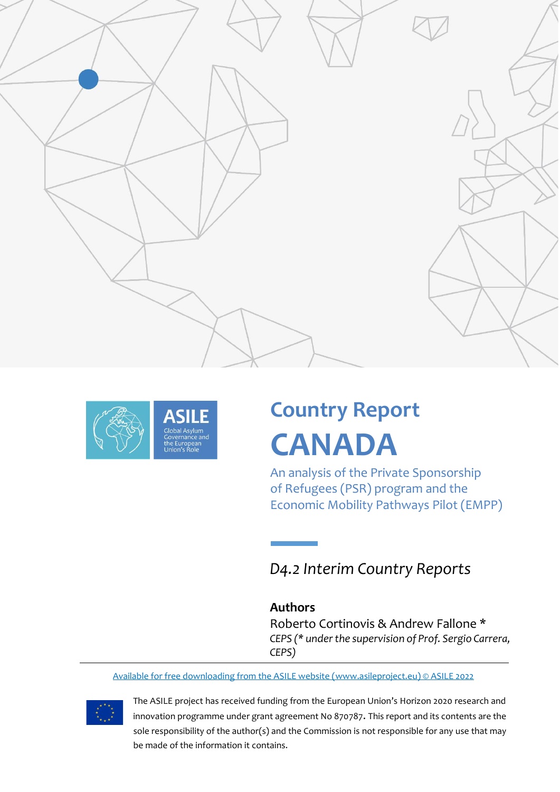



# **Country Report CANADA**

An analysis of the Private Sponsorship of Refugees (PSR) program and the Economic Mobility Pathways Pilot (EMPP)

*D4.2 Interim Country Reports*

## **Authors**

Roberto Cortinovis & Andrew Fallone \* *CEPS (\* under the supervision of Prof. Sergio Carrera, CEPS)*

Available for free downloading from the ASILE website [\(www.asileproject.eu\)](http://www.asileproject.eu/) © ASILE 2022



The ASILE project has received funding from the European Union's Horizon 2020 research and innovation programme under grant agreement No 870787. This report and its contents are the sole responsibility of the author(s) and the Commission is not responsible for any use that may be made of the information it contains.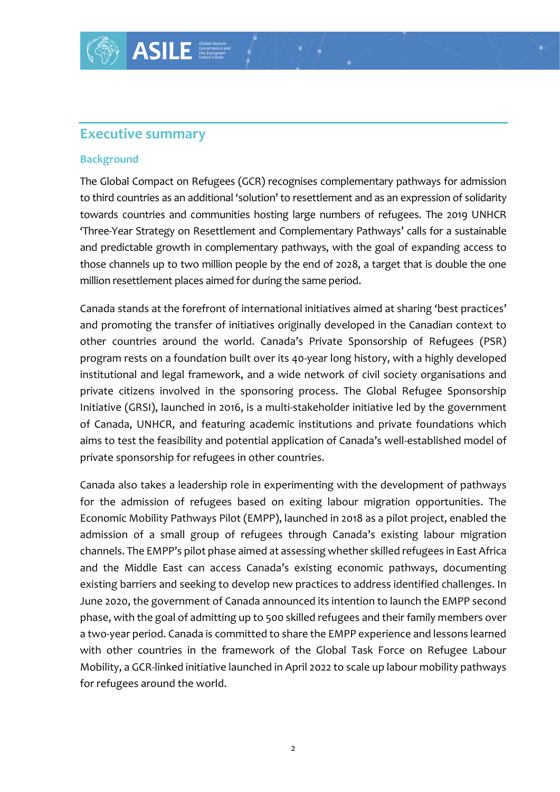## **Executive summary**

#### **Background**

The Global Compact on Refugees (GCR) recognises complementary pathways for admission to third countries as an additional 'solution' to resettlement and as an expression of solidarity towards countries and communities hosting large numbers of refugees. The 2019 UNHCR 'Three-Year Strategy on Resettlement and Complementary Pathways' calls for a sustainable and predictable growth in complementary pathways, with the goal of expanding access to those channels up to two million people by the end of 2028, a target that is double the one million resettlement places aimed for during the same period.

Canada stands at the forefront of international initiatives aimed at sharing 'best practices' and promoting the transfer of initiatives originally developed in the Canadian context to other countries around the world. Canada's Private Sponsorship of Refugees (PSR) program rests on a foundation built over its 40-year long history, with a highly developed institutional and legal framework, and a wide network of civil society organisations and private citizens involved in the sponsoring process. The Global Refugee Sponsorship Initiative (GRSI), launched in 2016, is a multi-stakeholder initiative led by the government of Canada, UNHCR, and featuring academic institutions and private foundations which aims to test the feasibility and potential application of Canada's well-established model of private sponsorship for refugees in other countries.

Canada also takes a leadership role in experimenting with the development of pathways for the admission of refugees based on exiting labour migration opportunities. The Economic Mobility Pathways Pilot (EMPP), launched in 2018 as a pilot project, enabled the admission of a small group of refugees through Canada's existing labour migration channels. The EMPP's pilot phase aimed at assessing whether skilled refugees in East Africa and the Middle East can access Canada's existing economic pathways, documenting existing barriers and seeking to develop new practices to address identified challenges. In June 2020, the government of Canada announced its intention to launch the EMPP second phase, with the goal of admitting up to 500 skilled refugees and their family members over a two-year period. Canada is committed to share the EMPP experience and lessons learned with other countries in the framework of the Global Task Force on Refugee Labour Mobility, a GCR-linked initiative launched in April 2022 to scale up labour mobility pathways for refugees around the world.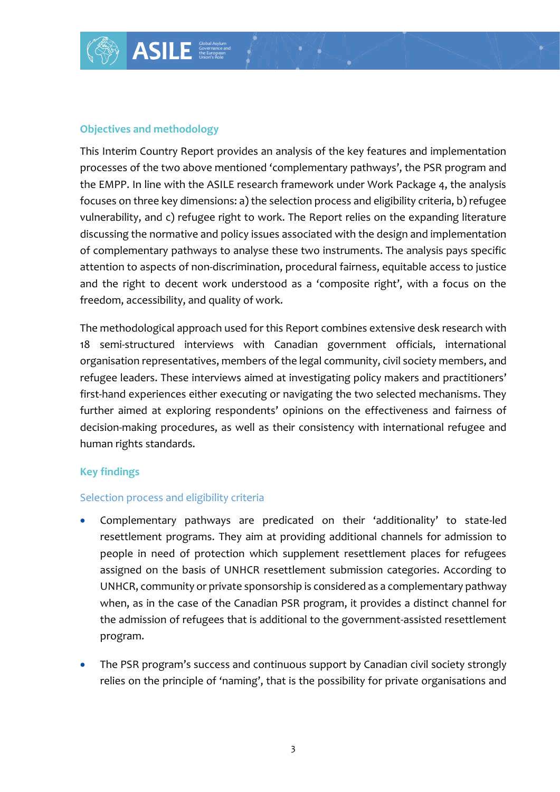

#### **Objectives and methodology**

This Interim Country Report provides an analysis of the key features and implementation processes of the two above mentioned 'complementary pathways', the PSR program and the EMPP. In line with the ASILE research framework under Work Package 4, the analysis focuses on three key dimensions: a) the selection process and eligibility criteria, b) refugee vulnerability, and c) refugee right to work. The Report relies on the expanding literature discussing the normative and policy issues associated with the design and implementation of complementary pathways to analyse these two instruments. The analysis pays specific attention to aspects of non-discrimination, procedural fairness, equitable access to justice and the right to decent work understood as a 'composite right', with a focus on the freedom, accessibility, and quality of work.

The methodological approach used for this Report combines extensive desk research with 18 semi-structured interviews with Canadian government officials, international organisation representatives, members of the legal community, civil society members, and refugee leaders. These interviews aimed at investigating policy makers and practitioners' first-hand experiences either executing or navigating the two selected mechanisms. They further aimed at exploring respondents' opinions on the effectiveness and fairness of decision-making procedures, as well as their consistency with international refugee and human rights standards.

#### **Key findings**

#### Selection process and eligibility criteria

- Complementary pathways are predicated on their 'additionality' to state-led resettlement programs. They aim at providing additional channels for admission to people in need of protection which supplement resettlement places for refugees assigned on the basis of UNHCR resettlement submission categories. According to UNHCR, community or private sponsorship is considered as a complementary pathway when, as in the case of the Canadian PSR program, it provides a distinct channel for the admission of refugees that is additional to the government-assisted resettlement program.
- The PSR program's success and continuous support by Canadian civil society strongly relies on the principle of 'naming', that is the possibility for private organisations and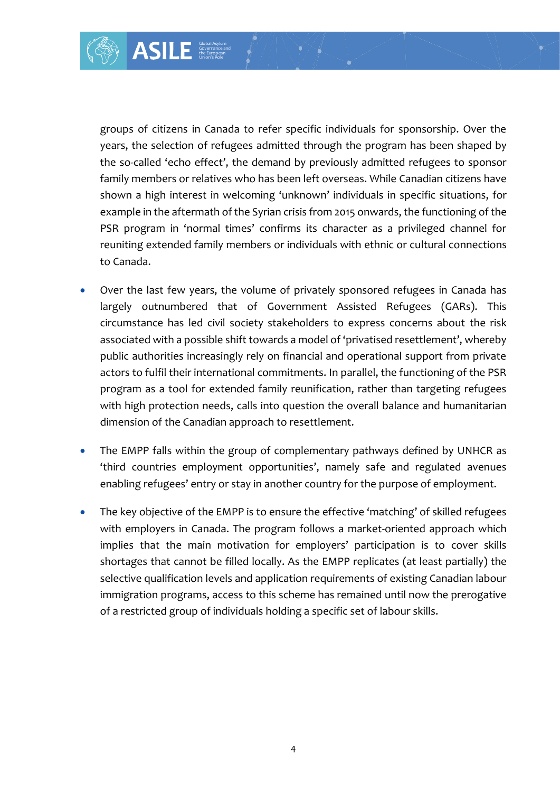groups of citizens in Canada to refer specific individuals for sponsorship. Over the years, the selection of refugees admitted through the program has been shaped by the so-called 'echo effect', the demand by previously admitted refugees to sponsor family members or relatives who has been left overseas. While Canadian citizens have shown a high interest in welcoming 'unknown' individuals in specific situations, for example in the aftermath of the Syrian crisis from 2015 onwards, the functioning of the PSR program in 'normal times' confirms its character as a privileged channel for reuniting extended family members or individuals with ethnic or cultural connections to Canada.

- Over the last few years, the volume of privately sponsored refugees in Canada has largely outnumbered that of Government Assisted Refugees (GARs). This circumstance has led civil society stakeholders to express concerns about the risk associated with a possible shift towards a model of 'privatised resettlement', whereby public authorities increasingly rely on financial and operational support from private actors to fulfil their international commitments. In parallel, the functioning of the PSR program as a tool for extended family reunification, rather than targeting refugees with high protection needs, calls into question the overall balance and humanitarian dimension of the Canadian approach to resettlement.
- The EMPP falls within the group of complementary pathways defined by UNHCR as 'third countries employment opportunities', namely safe and regulated avenues enabling refugees' entry or stay in another country for the purpose of employment.
- The key objective of the EMPP is to ensure the effective 'matching' of skilled refugees with employers in Canada. The program follows a market-oriented approach which implies that the main motivation for employers' participation is to cover skills shortages that cannot be filled locally. As the EMPP replicates (at least partially) the selective qualification levels and application requirements of existing Canadian labour immigration programs, access to this scheme has remained until now the prerogative of a restricted group of individuals holding a specific set of labour skills.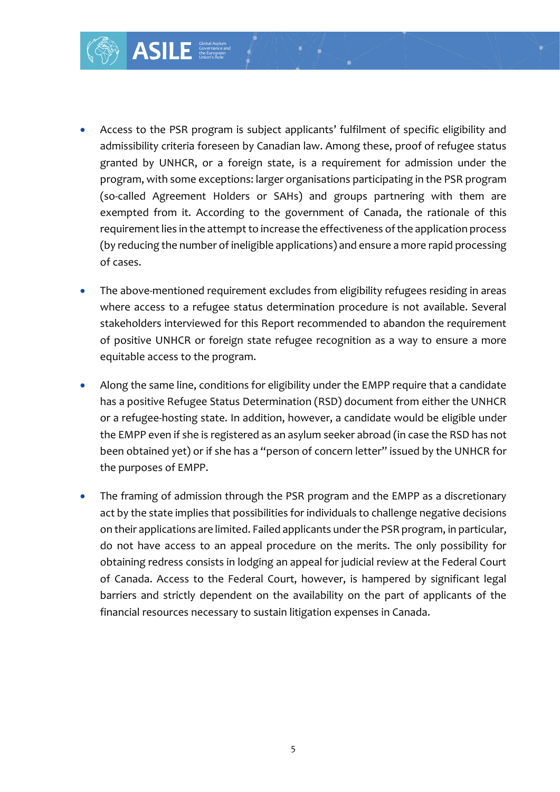

- The above-mentioned requirement excludes from eligibility refugees residing in areas where access to a refugee status determination procedure is not available. Several stakeholders interviewed for this Report recommended to abandon the requirement of positive UNHCR or foreign state refugee recognition as a way to ensure a more equitable access to the program.
- Along the same line, conditions for eligibility under the EMPP require that a candidate has a positive Refugee Status Determination (RSD) document from either the UNHCR or a refugee-hosting state. In addition, however, a candidate would be eligible under the EMPP even if she is registered as an asylum seeker abroad (in case the RSD has not been obtained yet) or if she has a "person of concern letter" issued by the UNHCR for the purposes of EMPP.
- The framing of admission through the PSR program and the EMPP as a discretionary act by the state implies that possibilities for individuals to challenge negative decisions on their applications are limited. Failed applicants under the PSR program, in particular, do not have access to an appeal procedure on the merits. The only possibility for obtaining redress consists in lodging an appeal for judicial review at the Federal Court of Canada. Access to the Federal Court, however, is hampered by significant legal barriers and strictly dependent on the availability on the part of applicants of the financial resources necessary to sustain litigation expenses in Canada.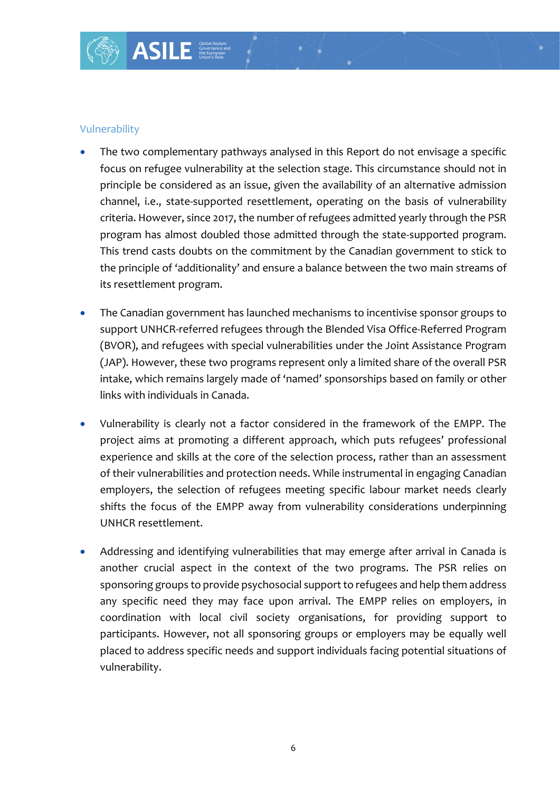• The two complementary pathways analysed in this Report do not envisage a specific focus on refugee vulnerability at the selection stage. This circumstance should not in principle be considered as an issue, given the availability of an alternative admission channel, i.e., state-supported resettlement, operating on the basis of vulnerability criteria. However, since 2017, the number of refugees admitted yearly through the PSR program has almost doubled those admitted through the state-supported program. This trend casts doubts on the commitment by the Canadian government to stick to the principle of 'additionality' and ensure a balance between the two main streams of its resettlement program.

Global Asylum Governance and the European Union's Role

- The Canadian government has launched mechanisms to incentivise sponsor groups to support UNHCR-referred refugees through the Blended Visa Office-Referred Program (BVOR), and refugees with special vulnerabilities under the Joint Assistance Program (JAP). However, these two programs represent only a limited share of the overall PSR intake, which remains largely made of 'named' sponsorships based on family or other links with individuals in Canada.
- Vulnerability is clearly not a factor considered in the framework of the EMPP. The project aims at promoting a different approach, which puts refugees' professional experience and skills at the core of the selection process, rather than an assessment of their vulnerabilities and protection needs. While instrumental in engaging Canadian employers, the selection of refugees meeting specific labour market needs clearly shifts the focus of the EMPP away from vulnerability considerations underpinning UNHCR resettlement.
- Addressing and identifying vulnerabilities that may emerge after arrival in Canada is another crucial aspect in the context of the two programs. The PSR relies on sponsoring groups to provide psychosocial support to refugees and help them address any specific need they may face upon arrival. The EMPP relies on employers, in coordination with local civil society organisations, for providing support to participants. However, not all sponsoring groups or employers may be equally well placed to address specific needs and support individuals facing potential situations of vulnerability.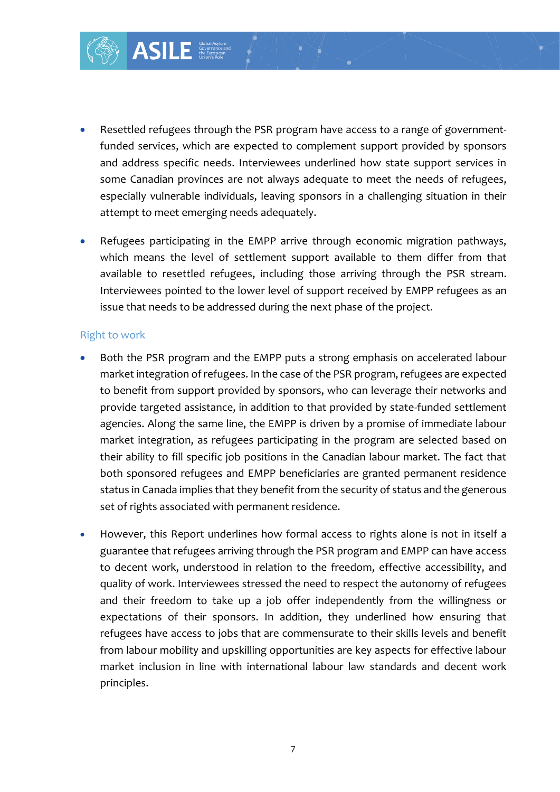

• Refugees participating in the EMPP arrive through economic migration pathways, which means the level of settlement support available to them differ from that available to resettled refugees, including those arriving through the PSR stream. Interviewees pointed to the lower level of support received by EMPP refugees as an issue that needs to be addressed during the next phase of the project.

#### Right to work

- Both the PSR program and the EMPP puts a strong emphasis on accelerated labour market integration of refugees. In the case of the PSR program, refugees are expected to benefit from support provided by sponsors, who can leverage their networks and provide targeted assistance, in addition to that provided by state-funded settlement agencies. Along the same line, the EMPP is driven by a promise of immediate labour market integration, as refugees participating in the program are selected based on their ability to fill specific job positions in the Canadian labour market. The fact that both sponsored refugees and EMPP beneficiaries are granted permanent residence status in Canada implies that they benefit from the security of status and the generous set of rights associated with permanent residence.
- However, this Report underlines how formal access to rights alone is not in itself a guarantee that refugees arriving through the PSR program and EMPP can have access to decent work, understood in relation to the freedom, effective accessibility, and quality of work. Interviewees stressed the need to respect the autonomy of refugees and their freedom to take up a job offer independently from the willingness or expectations of their sponsors. In addition, they underlined how ensuring that refugees have access to jobs that are commensurate to their skills levels and benefit from labour mobility and upskilling opportunities are key aspects for effective labour market inclusion in line with international labour law standards and decent work principles.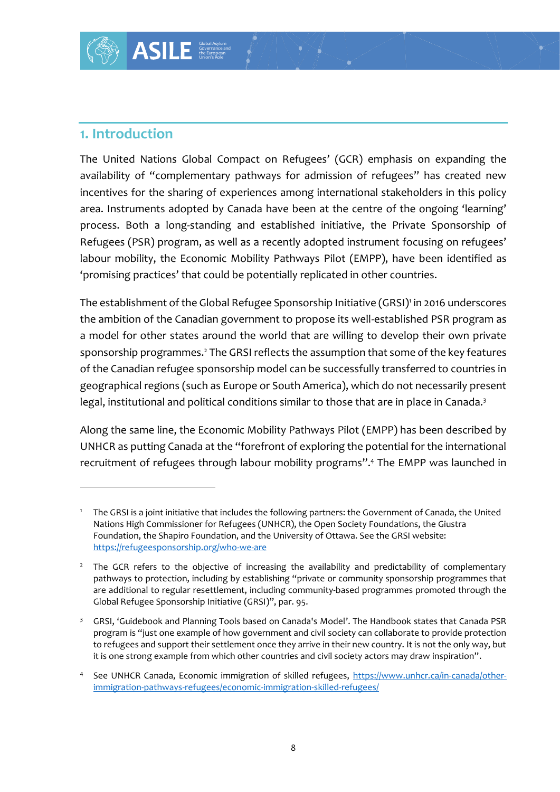The United Nations Global Compact on Refugees' (GCR) emphasis on expanding the availability of "complementary pathways for admission of refugees" has created new incentives for the sharing of experiences among international stakeholders in this policy area. Instruments adopted by Canada have been at the centre of the ongoing 'learning' process. Both a long-standing and established initiative, the Private Sponsorship of Refugees (PSR) program, as well as a recently adopted instrument focusing on refugees' labour mobility, the Economic Mobility Pathways Pilot (EMPP), have been identified as 'promising practices' that could be potentially replicated in other countries.

The establishment of the Global Refugee Sponsorship Initiative (GRSI)' in 2016 underscores the ambition of the Canadian government to propose its well-established PSR program as a model for other states around the world that are willing to develop their own private sponsorship programmes.<sup>2</sup> The GRSI reflects the assumption that some of the key features of the Canadian refugee sponsorship model can be successfully transferred to countries in geographical regions (such as Europe or South America), which do not necessarily present legal, institutional and political conditions similar to those that are in place in Canada.<sup>3</sup>

Along the same line, the Economic Mobility Pathways Pilot (EMPP) has been described by UNHCR as putting Canada at the "forefront of exploring the potential for the international recruitment of refugees through labour mobility programs".<sup>4</sup> The EMPP was launched in

<sup>1</sup> The GRSI is a joint initiative that includes the following partners: the Government of Canada, the United Nations High Commissioner for Refugees (UNHCR), the Open Society Foundations, the Giustra Foundation, the Shapiro Foundation, and the University of Ottawa. See the GRSI website: <https://refugeesponsorship.org/who-we-are>

<sup>&</sup>lt;sup>2</sup> The GCR refers to the objective of increasing the availability and predictability of complementary pathways to protection, including by establishing "private or community sponsorship programmes that are additional to regular resettlement, including community-based programmes promoted through the Global Refugee Sponsorship Initiative (GRSI)", par. 95.

<sup>&</sup>lt;sup>3</sup> GRSI, 'Guidebook and Planning Tools based on Canada's Model'. The Handbook states that Canada PSR program is "just one example of how government and civil society can collaborate to provide protection to refugees and support their settlement once they arrive in their new country. It is not the only way, but it is one strong example from which other countries and civil society actors may draw inspiration".

See UNHCR Canada, Economic immigration of skilled refugees, [https://www.unhcr.ca/in-canada/other](https://www.unhcr.ca/in-canada/other-immigration-pathways-refugees/economic-immigration-skilled-refugees/)[immigration-pathways-refugees/economic-immigration-skilled-refugees/](https://www.unhcr.ca/in-canada/other-immigration-pathways-refugees/economic-immigration-skilled-refugees/)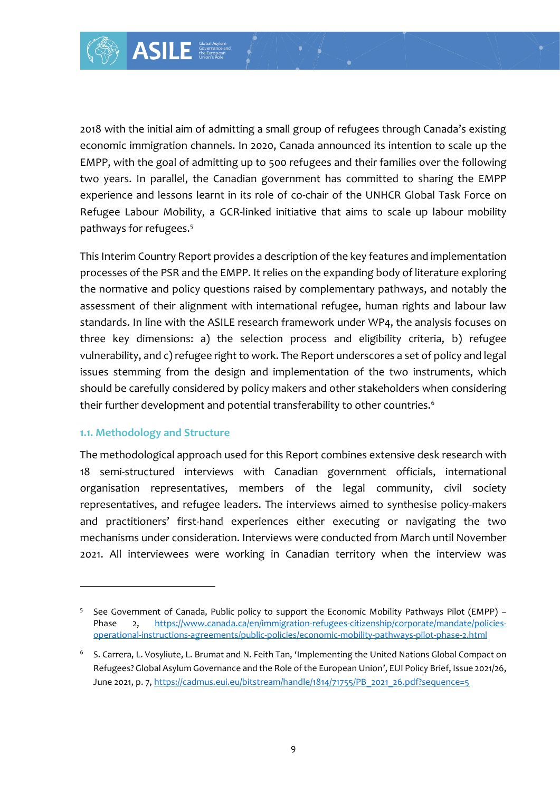2018 with the initial aim of admitting a small group of refugees through Canada's existing economic immigration channels. In 2020, Canada announced its intention to scale up the EMPP, with the goal of admitting up to 500 refugees and their families over the following two years. In parallel, the Canadian government has committed to sharing the EMPP experience and lessons learnt in its role of co-chair of the UNHCR Global Task Force on Refugee Labour Mobility, a GCR-linked initiative that aims to scale up labour mobility pathways for refugees.<sup>5</sup>

This Interim Country Report provides a description of the key features and implementation processes of the PSR and the EMPP. It relies on the expanding body of literature exploring the normative and policy questions raised by complementary pathways, and notably the assessment of their alignment with international refugee, human rights and labour law standards. In line with the ASILE research framework under WP4, the analysis focuses on three key dimensions: a) the selection process and eligibility criteria, b) refugee vulnerability, and c) refugee right to work. The Report underscores a set of policy and legal issues stemming from the design and implementation of the two instruments, which should be carefully considered by policy makers and other stakeholders when considering their further development and potential transferability to other countries.<sup>6</sup>

#### **1.1. Methodology and Structure**

The methodological approach used for this Report combines extensive desk research with 18 semi-structured interviews with Canadian government officials, international organisation representatives, members of the legal community, civil society representatives, and refugee leaders. The interviews aimed to synthesise policy-makers and practitioners' first-hand experiences either executing or navigating the two mechanisms under consideration. Interviews were conducted from March until November 2021. All interviewees were working in Canadian territory when the interview was

<sup>5</sup> See Government of Canada, Public policy to support the Economic Mobility Pathways Pilot (EMPP) – Phase 2, [https://www.canada.ca/en/immigration-refugees-citizenship/corporate/mandate/policies](https://www.canada.ca/en/immigration-refugees-citizenship/corporate/mandate/policies-operational-instructions-agreements/public-policies/economic-mobility-pathways-pilot-phase-2.html)[operational-instructions-agreements/public-policies/economic-mobility-pathways-pilot-phase-2.html](https://www.canada.ca/en/immigration-refugees-citizenship/corporate/mandate/policies-operational-instructions-agreements/public-policies/economic-mobility-pathways-pilot-phase-2.html)

<sup>&</sup>lt;sup>6</sup> S. Carrera, L. Vosyliute, L. Brumat and N. Feith Tan, 'Implementing the United Nations Global Compact on Refugees? Global Asylum Governance and the Role of the European Union', EUI Policy Brief, Issue 2021/26, June 2021, p. 7, [https://cadmus.eui.eu/bitstream/handle/1814/71755/PB\\_2021\\_26.pdf?sequence=5](https://cadmus.eui.eu/bitstream/handle/1814/71755/PB_2021_26.pdf?sequence=5)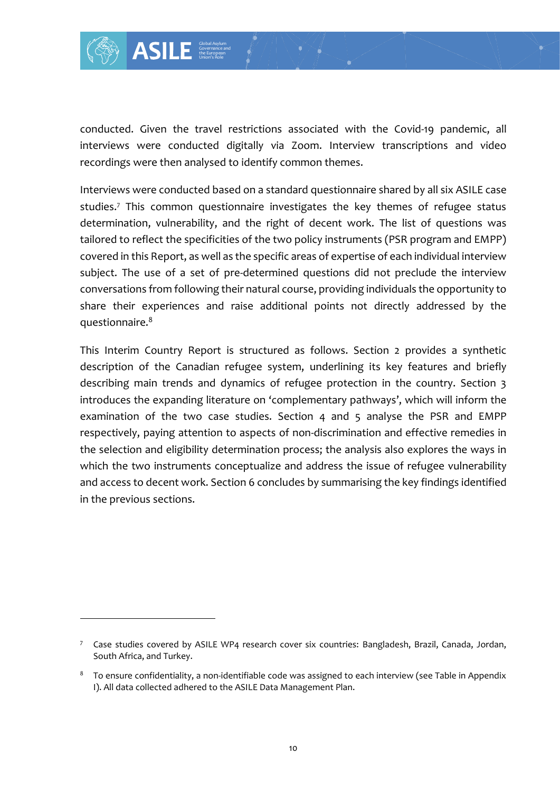

conducted. Given the travel restrictions associated with the Covid-19 pandemic, all interviews were conducted digitally via Zoom. Interview transcriptions and video recordings were then analysed to identify common themes.

Interviews were conducted based on a standard questionnaire shared by all six ASILE case studies. <sup>7</sup> This common questionnaire investigates the key themes of refugee status determination, vulnerability, and the right of decent work. The list of questions was tailored to reflect the specificities of the two policy instruments (PSR program and EMPP) covered in this Report, as well as the specific areas of expertise of each individual interview subject. The use of a set of pre-determined questions did not preclude the interview conversations from following their natural course, providing individuals the opportunity to share their experiences and raise additional points not directly addressed by the questionnaire.<sup>8</sup>

This Interim Country Report is structured as follows. Section 2 provides a synthetic description of the Canadian refugee system, underlining its key features and briefly describing main trends and dynamics of refugee protection in the country. Section 3 introduces the expanding literature on 'complementary pathways', which will inform the examination of the two case studies. Section 4 and 5 analyse the PSR and EMPP respectively, paying attention to aspects of non-discrimination and effective remedies in the selection and eligibility determination process; the analysis also explores the ways in which the two instruments conceptualize and address the issue of refugee vulnerability and access to decent work. Section 6 concludes by summarising the key findings identified in the previous sections.

<sup>7</sup> Case studies covered by ASILE WP4 research cover six countries: Bangladesh, Brazil, Canada, Jordan, South Africa, and Turkey.

<sup>&</sup>lt;sup>8</sup> To ensure confidentiality, a non-identifiable code was assigned to each interview (see Table in Appendix I). All data collected adhered to the ASILE Data Management Plan.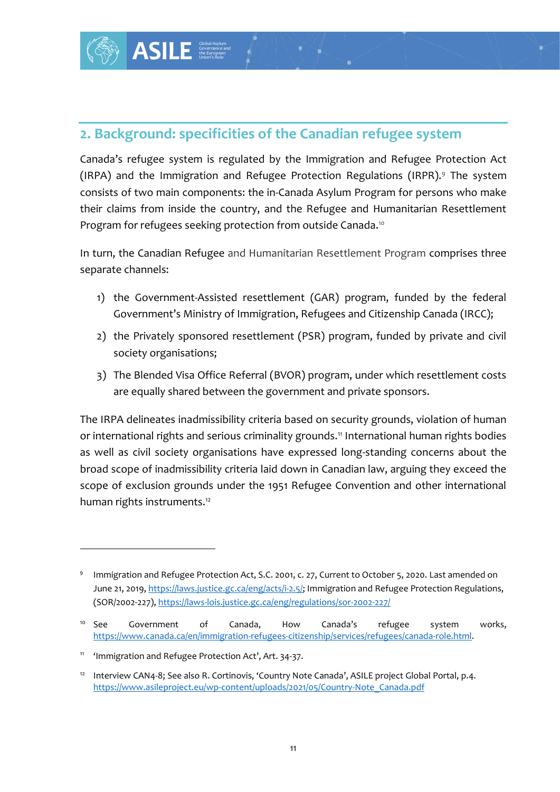

Canada's refugee system is regulated by the Immigration and Refugee Protection Act (IRPA) and the Immigration and Refugee Protection Regulations (IRPR).<sup>9</sup> The system consists of two main components: the in-Canada Asylum Program for persons who make their claims from inside the country, and the Refugee and Humanitarian Resettlement Program for refugees seeking protection from outside Canada.<sup>10</sup>

In turn, the Canadian Refugee and Humanitarian Resettlement Program comprises three separate channels:

- 1) the Government-Assisted resettlement (GAR) program, funded by the federal Government's Ministry of Immigration, Refugees and Citizenship Canada (IRCC);
- 2) the Privately sponsored resettlement (PSR) program, funded by private and civil society organisations;
- 3) The Blended Visa Office Referral (BVOR) program, under which resettlement costs are equally shared between the government and private sponsors.

The IRPA delineates inadmissibility criteria based on security grounds, violation of human or international rights and serious criminality grounds.<sup>11</sup> International human rights bodies as well as civil society organisations have expressed long-standing concerns about the broad scope of inadmissibility criteria laid down in Canadian law, arguing they exceed the scope of exclusion grounds under the 1951 Refugee Convention and other international human rights instruments.<sup>12</sup>

<sup>9</sup> Immigration and Refugee Protection Act, S.C. 2001, c. 27, Current to October 5, 2020. Last amended on June 21, 2019, [https://laws.justice.gc.ca/eng/acts/i-2.5/;](https://laws.justice.gc.ca/eng/acts/i-2.5/) Immigration and Refugee Protection Regulations, (SOR/2002-227)[, https://laws-lois.justice.gc.ca/eng/regulations/sor-2002-227/](https://laws-lois.justice.gc.ca/eng/regulations/sor-2002-227/)

<sup>&</sup>lt;sup>10</sup> See Government of Canada, How Canada's refugee system works, [https://www.canada.ca/en/immigration-refugees-citizenship/services/refugees/canada-role.html.](https://www.canada.ca/en/immigration-refugees-citizenship/services/refugees/canada-role.html)

<sup>11</sup> 'Immigration and Refugee Protection Act', Art. 34-37.

<sup>&</sup>lt;sup>12</sup> Interview CAN4-8; See also R. Cortinovis, 'Country Note Canada', ASILE project Global Portal, p.4. [https://www.asileproject.eu/wp-content/uploads/2021/05/Country-Note\\_Canada.pdf](https://www.asileproject.eu/wp-content/uploads/2021/05/Country-Note_Canada.pdf)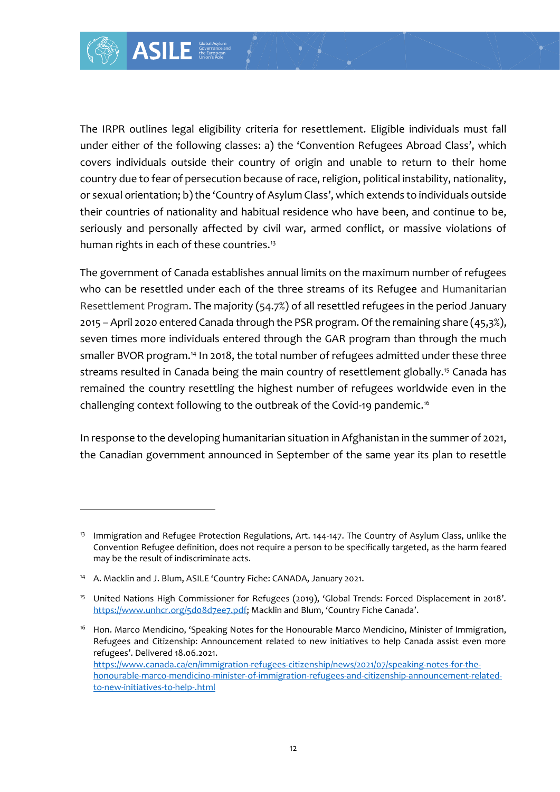

The IRPR outlines legal eligibility criteria for resettlement. Eligible individuals must fall under either of the following classes: a) the 'Convention Refugees Abroad Class', which covers individuals outside their country of origin and unable to return to their home country due to fear of persecution because of race, religion, political instability, nationality, or sexual orientation; b) the 'Country of Asylum Class', which extends to individuals outside their countries of nationality and habitual residence who have been, and continue to be, seriously and personally affected by civil war, armed conflict, or massive violations of human rights in each of these countries.<sup>13</sup>

The government of Canada establishes annual limits on the maximum number of refugees who can be resettled under each of the three streams of its Refugee and Humanitarian Resettlement Program. The majority (54.7%) of all resettled refugees in the period January 2015 – April 2020 entered Canada through the PSR program. Of the remaining share (45,3%), seven times more individuals entered through the GAR program than through the much smaller BVOR program.<sup>14</sup> In 2018, the total number of refugees admitted under these three streams resulted in Canada being the main country of resettlement globally.<sup>15</sup> Canada has remained the country resettling the highest number of refugees worldwide even in the challenging context following to the outbreak of the Covid-19 pandemic.<sup>16</sup>

In response to the developing humanitarian situation in Afghanistan in the summer of 2021, the Canadian government announced in September of the same year its plan to resettle

<sup>&</sup>lt;sup>13</sup> Immigration and Refugee Protection Regulations, Art. 144-147. The Country of Asylum Class, unlike the Convention Refugee definition, does not require a person to be specifically targeted, as the harm feared may be the result of indiscriminate acts.

<sup>&</sup>lt;sup>14</sup> A. Macklin and J. Blum, ASILE 'Country Fiche: CANADA, January 2021.

<sup>15</sup> United Nations High Commissioner for Refugees (2019), 'Global Trends: Forced Displacement in 2018'. <https://www.unhcr.org/5d08d7ee7.pdf>; Macklin and Blum, 'Country Fiche Canada'.

<sup>&</sup>lt;sup>16</sup> Hon. Marco Mendicino, 'Speaking Notes for the Honourable Marco Mendicino, Minister of Immigration, Refugees and Citizenship: Announcement related to new initiatives to help Canada assist even more refugees'. Delivered 18.06.2021. [https://www.canada.ca/en/immigration-refugees-citizenship/news/2021/07/speaking-notes-for-the](https://www.canada.ca/en/immigration-refugees-citizenship/news/2021/07/speaking-notes-for-the-honourable-marco-mendicino-minister-of-immigration-refugees-and-citizenship-announcement-related-to-new-initiatives-to-help-.html)[honourable-marco-mendicino-minister-of-immigration-refugees-and-citizenship-announcement-related](https://www.canada.ca/en/immigration-refugees-citizenship/news/2021/07/speaking-notes-for-the-honourable-marco-mendicino-minister-of-immigration-refugees-and-citizenship-announcement-related-to-new-initiatives-to-help-.html)[to-new-initiatives-to-help-.html](https://www.canada.ca/en/immigration-refugees-citizenship/news/2021/07/speaking-notes-for-the-honourable-marco-mendicino-minister-of-immigration-refugees-and-citizenship-announcement-related-to-new-initiatives-to-help-.html)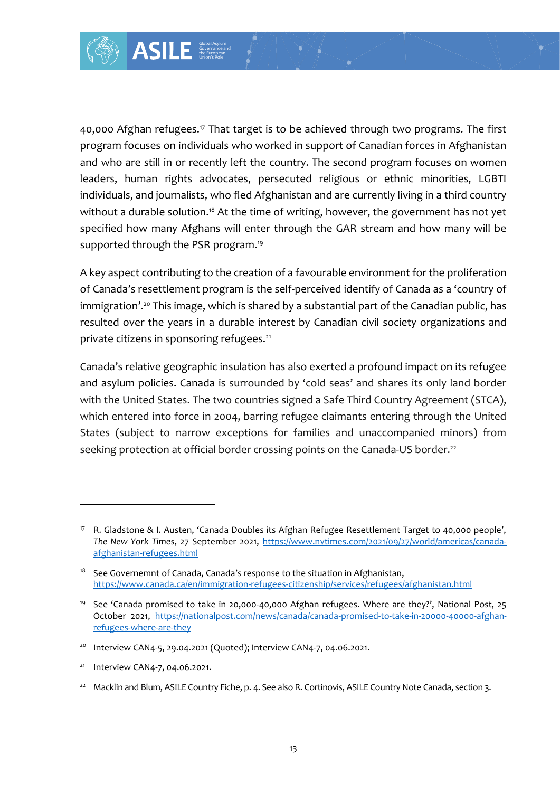

40,000 Afghan refugees.<sup>17</sup> That target is to be achieved through two programs. The first program focuses on individuals who worked in support of Canadian forces in Afghanistan and who are still in or recently left the country. The second program focuses on women leaders, human rights advocates, persecuted religious or ethnic minorities, LGBTI individuals, and journalists, who fled Afghanistan and are currently living in a third country without a durable solution.<sup>18</sup> At the time of writing, however, the government has not yet specified how many Afghans will enter through the GAR stream and how many will be supported through the PSR program.<sup>19</sup>

A key aspect contributing to the creation of a favourable environment for the proliferation of Canada's resettlement program is the self-perceived identify of Canada as a 'country of immigration'.<sup>20</sup> This image, which is shared by a substantial part of the Canadian public, has resulted over the years in a durable interest by Canadian civil society organizations and private citizens in sponsoring refugees.<sup>21</sup>

Canada's relative geographic insulation has also exerted a profound impact on its refugee and asylum policies. Canada is surrounded by 'cold seas' and shares its only land border with the United States. The two countries signed a Safe Third Country Agreement (STCA), which entered into force in 2004, barring refugee claimants entering through the United States (subject to narrow exceptions for families and unaccompanied minors) from seeking protection at official border crossing points on the Canada-US border.<sup>22</sup>

<sup>21</sup> Interview CAN4-7, 04.06.2021.

<sup>17</sup> R. Gladstone & I. Austen, 'Canada Doubles its Afghan Refugee Resettlement Target to 40,000 people', *The New York Times*, 27 September 2021, [https://www.nytimes.com/2021/09/27/world/americas/canada](https://www.nytimes.com/2021/09/27/world/americas/canada-afghanistan-refugees.html)[afghanistan-refugees.html](https://www.nytimes.com/2021/09/27/world/americas/canada-afghanistan-refugees.html)

<sup>&</sup>lt;sup>18</sup> See Governemnt of Canada, Canada's response to the situation in Afghanistan, <https://www.canada.ca/en/immigration-refugees-citizenship/services/refugees/afghanistan.html>

<sup>19</sup> See 'Canada promised to take in 20,000-40,000 Afghan refugees. Where are they?', National Post, 25 October 2021, [https://nationalpost.com/news/canada/canada-promised-to-take-in-20000-40000-afghan](https://nationalpost.com/news/canada/canada-promised-to-take-in-20000-40000-afghan-refugees-where-are-they)[refugees-where-are-they](https://nationalpost.com/news/canada/canada-promised-to-take-in-20000-40000-afghan-refugees-where-are-they)

<sup>&</sup>lt;sup>20</sup> Interview CAN4-5, 29.04.2021 (Quoted); Interview CAN4-7, 04.06.2021.

<sup>&</sup>lt;sup>22</sup> Macklin and Blum, ASILE Country Fiche, p. 4. See also R. Cortinovis, ASILE Country Note Canada, section 3.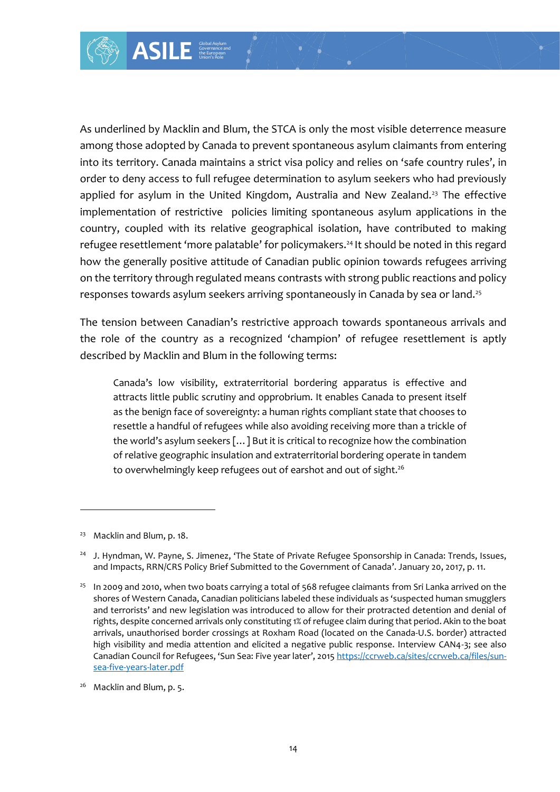As underlined by Macklin and Blum, the STCA is only the most visible deterrence measure among those adopted by Canada to prevent spontaneous asylum claimants from entering into its territory. Canada maintains a strict visa policy and relies on 'safe country rules', in order to deny access to full refugee determination to asylum seekers who had previously applied for asylum in the United Kingdom, Australia and New Zealand.<sup>23</sup> The effective implementation of restrictive policies limiting spontaneous asylum applications in the country, coupled with its relative geographical isolation, have contributed to making refugee resettlement 'more palatable' for policymakers.<sup>24</sup> It should be noted in this regard how the generally positive attitude of Canadian public opinion towards refugees arriving on the territory through regulated means contrasts with strong public reactions and policy responses towards asylum seekers arriving spontaneously in Canada by sea or land.<sup>25</sup>

The tension between Canadian's restrictive approach towards spontaneous arrivals and the role of the country as a recognized 'champion' of refugee resettlement is aptly described by Macklin and Blum in the following terms:

Canada's low visibility, extraterritorial bordering apparatus is effective and attracts little public scrutiny and opprobrium. It enables Canada to present itself as the benign face of sovereignty: a human rights compliant state that chooses to resettle a handful of refugees while also avoiding receiving more than a trickle of the world's asylum seekers […] But it is critical to recognize how the combination of relative geographic insulation and extraterritorial bordering operate in tandem to overwhelmingly keep refugees out of earshot and out of sight.<sup>26</sup>

<sup>26</sup> Macklin and Blum, p. 5.

<sup>&</sup>lt;sup>23</sup> Macklin and Blum, p. 18.

<sup>&</sup>lt;sup>24</sup> J. Hyndman, W. Payne, S. Jimenez, 'The State of Private Refugee Sponsorship in Canada: Trends, Issues, and Impacts, RRN/CRS Policy Brief Submitted to the Government of Canada'. January 20, 2017, p. 11.

<sup>&</sup>lt;sup>25</sup> In 2009 and 2010, when two boats carrying a total of 568 refugee claimants from Sri Lanka arrived on the shores of Western Canada, Canadian politicians labeled these individuals as 'suspected human smugglers and terrorists' and new legislation was introduced to allow for their protracted detention and denial of rights, despite concerned arrivals only constituting 1% of refugee claim during that period. Akin to the boat arrivals, unauthorised border crossings at Roxham Road (located on the Canada-U.S. border) attracted high visibility and media attention and elicited a negative public response. Interview CAN4-3; see also Canadian Council for Refugees, 'Sun Sea: Five year later', 2015 [https://ccrweb.ca/sites/ccrweb.ca/files/sun](https://ccrweb.ca/sites/ccrweb.ca/files/sun-sea-five-years-later.pdf)[sea-five-years-later.pdf](https://ccrweb.ca/sites/ccrweb.ca/files/sun-sea-five-years-later.pdf)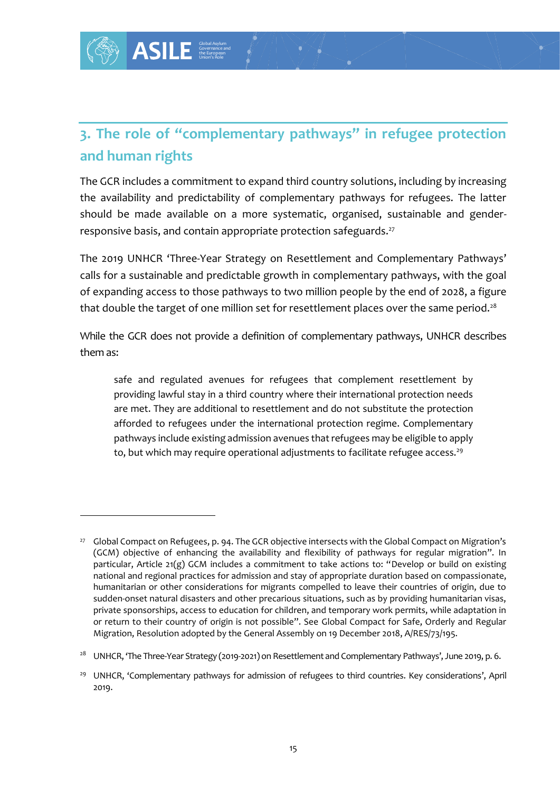## **3. The role of "complementary pathways" in refugee protection and human rights**

The GCR includes a commitment to expand third country solutions, including by increasing the availability and predictability of complementary pathways for refugees. The latter should be made available on a more systematic, organised, sustainable and genderresponsive basis, and contain appropriate protection safeguards.<sup>27</sup>

The 2019 UNHCR 'Three-Year Strategy on Resettlement and Complementary Pathways' calls for a sustainable and predictable growth in complementary pathways, with the goal of expanding access to those pathways to two million people by the end of 2028, a figure that double the target of one million set for resettlement places over the same period.<sup>28</sup>

While the GCR does not provide a definition of complementary pathways, UNHCR describes them as:

safe and regulated avenues for refugees that complement resettlement by providing lawful stay in a third country where their international protection needs are met. They are additional to resettlement and do not substitute the protection afforded to refugees under the international protection regime. Complementary pathways include existing admission avenues that refugees may be eligible to apply to, but which may require operational adjustments to facilitate refugee access.<sup>29</sup>

<sup>27</sup> Global Compact on Refugees, p. 94. The GCR objective intersects with the Global Compact on Migration's (GCM) objective of enhancing the availability and flexibility of pathways for regular migration". In particular, Article 21(g) GCM includes a commitment to take actions to: "Develop or build on existing national and regional practices for admission and stay of appropriate duration based on compassionate, humanitarian or other considerations for migrants compelled to leave their countries of origin, due to sudden-onset natural disasters and other precarious situations, such as by providing humanitarian visas, private sponsorships, access to education for children, and temporary work permits, while adaptation in or return to their country of origin is not possible". See Global Compact for Safe, Orderly and Regular Migration, Resolution adopted by the General Assembly on 19 December 2018, A/RES/73/195.

<sup>&</sup>lt;sup>28</sup> UNHCR, 'The Three-Year Strategy (2019-2021) on Resettlement and Complementary Pathways', June 2019, p. 6.

<sup>&</sup>lt;sup>29</sup> UNHCR, 'Complementary pathways for admission of refugees to third countries. Key considerations', April 2019.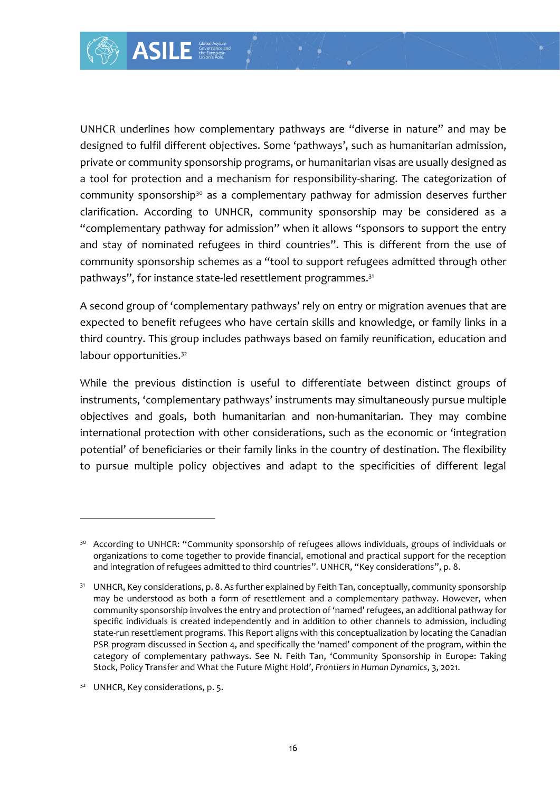complementary path<br>
and the objectives. Some<br>
on the synchronomy of a mechanism for r<br>
on the synchronomy of a mechanism for r<br>
or a sa a complementa<br>
to UNHCR, community of a dimission" where<br>
the synchronomy pathways<br>
ge UNHCR underlines how complementary pathways are "diverse in nature" and may be designed to fulfil different objectives. Some 'pathways', such as humanitarian admission, private or community sponsorship programs, or humanitarian visas are usually designed as a tool for protection and a mechanism for responsibility-sharing. The categorization of community sponsorship<sup>30</sup> as a complementary pathway for admission deserves further clarification. According to UNHCR, community sponsorship may be considered as a "complementary pathway for admission" when it allows "sponsors to support the entry and stay of nominated refugees in third countries". This is different from the use of community sponsorship schemes as a "tool to support refugees admitted through other pathways", for instance state-led resettlement programmes.<sup>31</sup>

A second group of 'complementary pathways' rely on entry or migration avenues that are expected to benefit refugees who have certain skills and knowledge, or family links in a third country. This group includes pathways based on family reunification, education and labour opportunities.<sup>32</sup>

While the previous distinction is useful to differentiate between distinct groups of instruments, 'complementary pathways' instruments may simultaneously pursue multiple objectives and goals, both humanitarian and non-humanitarian. They may combine international protection with other considerations, such as the economic or 'integration potential' of beneficiaries or their family links in the country of destination. The flexibility to pursue multiple policy objectives and adapt to the specificities of different legal

<sup>&</sup>lt;sup>30</sup> According to UNHCR: "Community sponsorship of refugees allows individuals, groups of individuals or organizations to come together to provide financial, emotional and practical support for the reception and integration of refugees admitted to third countries". UNHCR, "Key considerations", p. 8.

<sup>&</sup>lt;sup>31</sup> UNHCR, Key considerations, p. 8. As further explained by Feith Tan, conceptually, community sponsorship may be understood as both a form of resettlement and a complementary pathway. However, when community sponsorship involves the entry and protection of 'named' refugees, an additional pathway for specific individuals is created independently and in addition to other channels to admission, including state-run resettlement programs. This Report aligns with this conceptualization by locating the Canadian PSR program discussed in Section 4, and specifically the 'named' component of the program, within the category of complementary pathways. See N. Feith Tan, 'Community Sponsorship in Europe: Taking Stock, Policy Transfer and What the Future Might Hold', *Frontiers in Human Dynamics*, 3, 2021.

<sup>&</sup>lt;sup>32</sup> UNHCR, Key considerations, p. 5.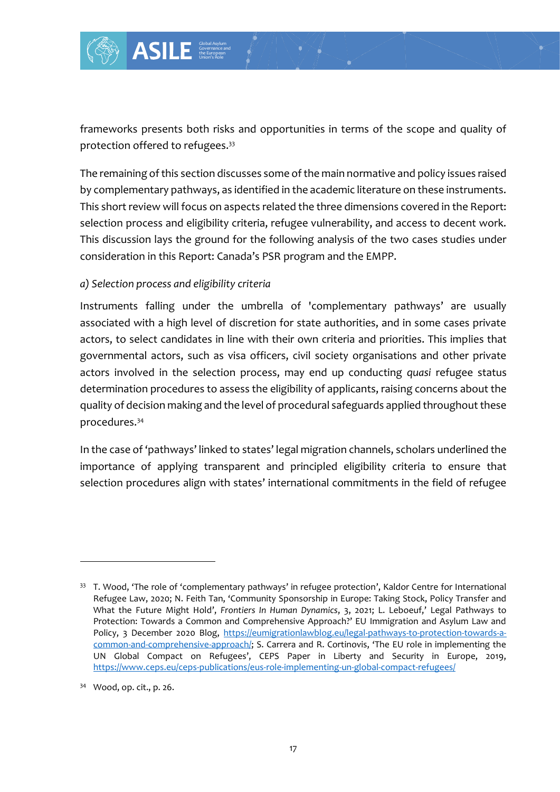

frameworks presents both risks and opportunities in terms of the scope and quality of protection offered to refugees.<sup>33</sup>

The remaining of this section discusses some of the main normative and policy issues raised by complementary pathways, as identified in the academic literature on these instruments. This short review will focus on aspects related the three dimensions covered in the Report: selection process and eligibility criteria, refugee vulnerability, and access to decent work. This discussion lays the ground for the following analysis of the two cases studies under consideration in this Report: Canada's PSR program and the EMPP.

#### *a) Selection process and eligibility criteria*

Instruments falling under the umbrella of 'complementary pathways' are usually associated with a high level of discretion for state authorities, and in some cases private actors, to select candidates in line with their own criteria and priorities. This implies that governmental actors, such as visa officers, civil society organisations and other private actors involved in the selection process, may end up conducting *quasi* refugee status determination procedures to assess the eligibility of applicants, raising concerns about the quality of decision making and the level of procedural safeguards applied throughout these procedures.<sup>34</sup>

In the case of 'pathways' linked to states' legal migration channels, scholars underlined the importance of applying transparent and principled eligibility criteria to ensure that selection procedures align with states' international commitments in the field of refugee

<sup>&</sup>lt;sup>33</sup> T. Wood, 'The role of 'complementary pathways' in refugee protection', Kaldor Centre for International Refugee Law, 2020; N. Feith Tan, 'Community Sponsorship in Europe: Taking Stock, Policy Transfer and What the Future Might Hold', *Frontiers In Human Dynamics*, 3, 2021; L. Leboeuf,' Legal Pathways to Protection: Towards a Common and Comprehensive Approach?' EU Immigration and Asylum Law and Policy, 3 December 2020 Blog, [https://eumigrationlawblog.eu/legal-pathways-to-protection-towards-a](https://eumigrationlawblog.eu/legal-pathways-to-protection-towards-a-common-and-comprehensive-approach/)[common-and-comprehensive-approach/](https://eumigrationlawblog.eu/legal-pathways-to-protection-towards-a-common-and-comprehensive-approach/); S. Carrera and R. Cortinovis, 'The EU role in implementing the UN Global Compact on Refugees', CEPS Paper in Liberty and Security in Europe, 2019, <https://www.ceps.eu/ceps-publications/eus-role-implementing-un-global-compact-refugees/>

<sup>34</sup> Wood, op. cit., p. 26.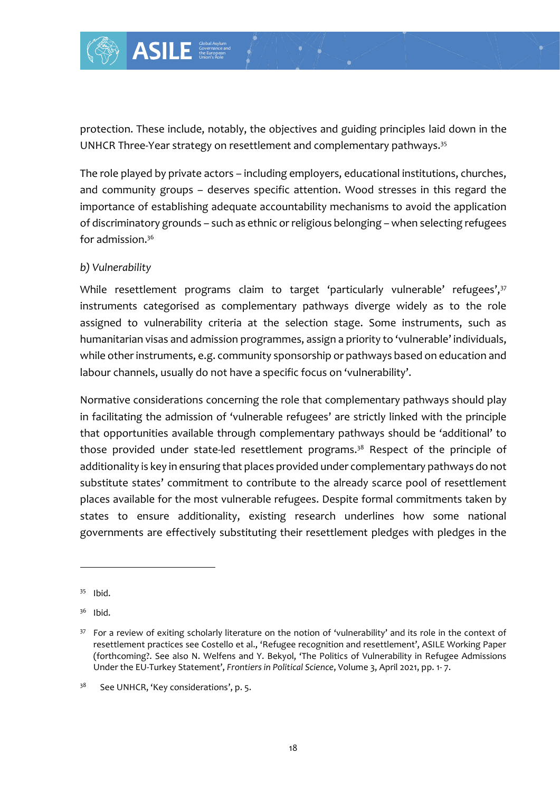

protection. These include, notably, the objectives and guiding principles laid down in the UNHCR Three-Year strategy on resettlement and complementary pathways.<sup>35</sup>

The role played by private actors – including employers, educational institutions, churches, and community groups – deserves specific attention. Wood stresses in this regard the importance of establishing adequate accountability mechanisms to avoid the application of discriminatory grounds – such as ethnic or religious belonging – when selecting refugees for admission. 36

#### *b) Vulnerability*

While resettlement programs claim to target 'particularly vulnerable' refugees',<sup>37</sup> instruments categorised as complementary pathways diverge widely as to the role assigned to vulnerability criteria at the selection stage. Some instruments, such as humanitarian visas and admission programmes, assign a priority to 'vulnerable' individuals, while other instruments, e.g. community sponsorship or pathways based on education and labour channels, usually do not have a specific focus on 'vulnerability'.

Example the object of the object of the object of actors – including endead of the object of actors – including endead account of a sethnic or represent to a sethnic or represent of a sethnic or represent of the sether of Normative considerations concerning the role that complementary pathways should play in facilitating the admission of 'vulnerable refugees' are strictly linked with the principle that opportunities available through complementary pathways should be 'additional' to those provided under state-led resettlement programs.<sup>38</sup> Respect of the principle of additionality is key in ensuring that places provided under complementary pathways do not substitute states' commitment to contribute to the already scarce pool of resettlement places available for the most vulnerable refugees. Despite formal commitments taken by states to ensure additionality, existing research underlines how some national governments are effectively substituting their resettlement pledges with pledges in the

<sup>35</sup> Ibid.

<sup>36</sup> Ibid.

<sup>&</sup>lt;sup>37</sup> For a review of exiting scholarly literature on the notion of 'vulnerability' and its role in the context of resettlement practices see Costello et al., 'Refugee recognition and resettlement', ASILE Working Paper (forthcoming?. See also N. Welfens and Y. Bekyol, 'The Politics of Vulnerability in Refugee Admissions Under the EU-Turkey Statement', *Frontiers in Political Science*, Volume 3, April 2021, pp. 1- 7.

<sup>38</sup> See UNHCR, 'Key considerations', p. 5.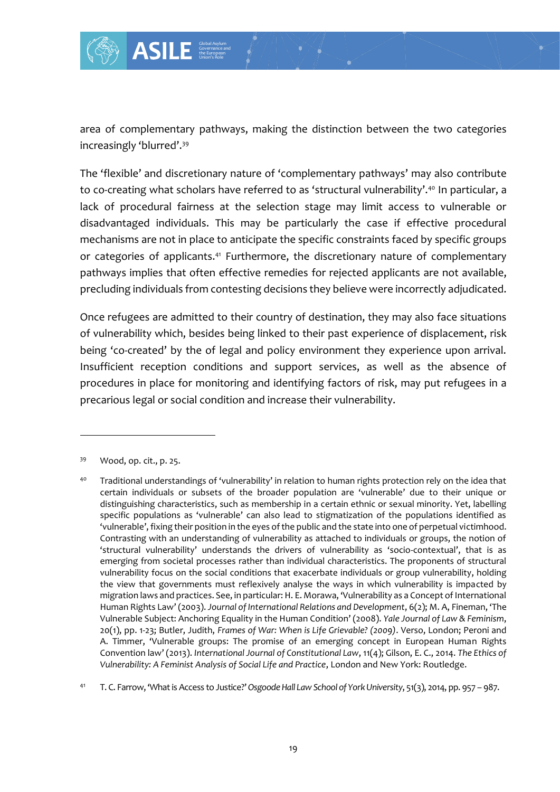

area of complementary pathways, making the distinction between the two categories increasingly 'blurred'.<sup>39</sup>

The 'flexible' and discretionary nature of 'complementary pathways' may also contribute to co-creating what scholars have referred to as 'structural vulnerability'.<sup>40</sup> In particular, a lack of procedural fairness at the selection stage may limit access to vulnerable or disadvantaged individuals. This may be particularly the case if effective procedural mechanisms are not in place to anticipate the specific constraints faced by specific groups or categories of applicants.<sup>41</sup> Furthermore, the discretionary nature of complementary pathways implies that often effective remedies for rejected applicants are not available, precluding individuals from contesting decisions they believe were incorrectly adjudicated.

Once refugees are admitted to their country of destination, they may also face situations of vulnerability which, besides being linked to their past experience of displacement, risk being 'co-created' by the of legal and policy environment they experience upon arrival. Insufficient reception conditions and support services, as well as the absence of procedures in place for monitoring and identifying factors of risk, may put refugees in a precarious legal or social condition and increase their vulnerability.

<sup>41</sup> T. C. Farrow, 'What is Access to Justice?' *Osgoode Hall Law School of York University*, 51(3), 2014, pp. 957 – 987.

<sup>39</sup> Wood, op. cit., p. 25.

<sup>40</sup> Traditional understandings of 'vulnerability' in relation to human rights protection rely on the idea that certain individuals or subsets of the broader population are 'vulnerable' due to their unique or distinguishing characteristics, such as membership in a certain ethnic or sexual minority. Yet, labelling specific populations as 'vulnerable' can also lead to stigmatization of the populations identified as 'vulnerable', fixing their position in the eyes of the public and the state into one of perpetual victimhood. Contrasting with an understanding of vulnerability as attached to individuals or groups, the notion of 'structural vulnerability' understands the drivers of vulnerability as 'socio-contextual', that is as emerging from societal processes rather than individual characteristics. The proponents of structural vulnerability focus on the social conditions that exacerbate individuals or group vulnerability, holding the view that governments must reflexively analyse the ways in which vulnerability is impacted by migration laws and practices. See, in particular: H. E. Morawa, 'Vulnerability as a Concept of International Human Rights Law' (2003). *Journal of International Relations and Development*, 6(2); M. A, Fineman, 'The Vulnerable Subject: Anchoring Equality in the Human Condition' (2008). *Yale Journal of Law & Feminism*, 20(1), pp. 1-23; Butler, Judith, *Frames of War: When is Life Grievable? (2009)*. Verso, London; Peroni and A. Timmer, 'Vulnerable groups: The promise of an emerging concept in European Human Rights Convention law' (2013). *International Journal of Constitutional Law*, 11(4); Gilson, E. C., 2014. *The Ethics of Vulnerability: A Feminist Analysis of Social Life and Practice*, London and New York: Routledge.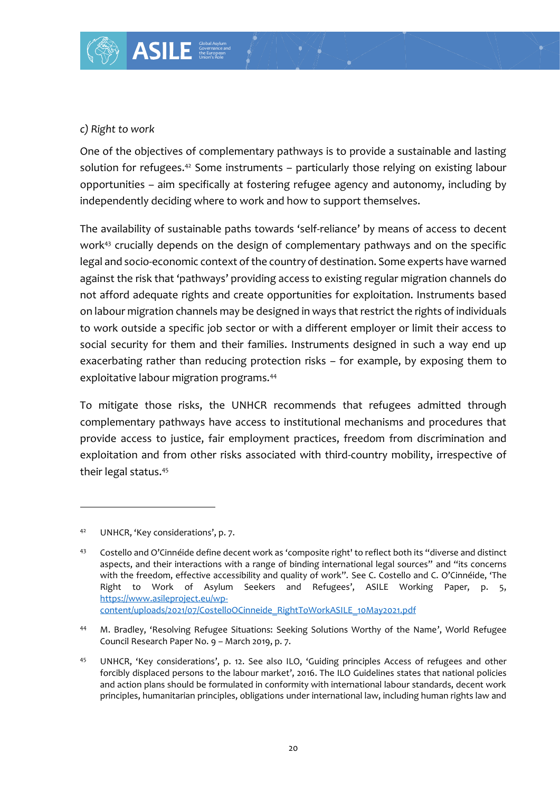#### *c) Right to work*

One of the objectives of complementary pathways is to provide a sustainable and lasting solution for refugees.<sup>42</sup> Some instruments – particularly those relying on existing labour opportunities – aim specifically at fostering refugee agency and autonomy, including by independently deciding where to work and how to support themselves.

The availability of sustainable paths towards 'self-reliance' by means of access to decent work<sup>43</sup> crucially depends on the design of complementary pathways and on the specific legal and socio-economic context of the country of destination. Some experts have warned against the risk that 'pathways' providing access to existing regular migration channels do not afford adequate rights and create opportunities for exploitation. Instruments based on labour migration channels may be designed in ways that restrict the rights of individuals to work outside a specific job sector or with a different employer or limit their access to social security for them and their families. Instruments designed in such a way end up exacerbating rather than reducing protection risks – for example, by exposing them to exploitative labour migration programs.<sup>44</sup>

To mitigate those risks, the UNHCR recommends that refugees admitted through complementary pathways have access to institutional mechanisms and procedures that provide access to justice, fair employment practices, freedom from discrimination and exploitation and from other risks associated with third-country mobility, irrespective of their legal status.<sup>45</sup>

<sup>42</sup> UNHCR, 'Key considerations', p. 7.

<sup>43</sup> Costello and O'Cinnéide define decent work as 'composite right' to reflect both its "diverse and distinct aspects, and their interactions with a range of binding international legal sources" and "its concerns with the freedom, effective accessibility and quality of work". See C. Costello and C. O'Cinnéide, 'The Right to Work of Asylum Seekers and Refugees', ASILE Working Paper, p. 5, [https://www.asileproject.eu/wp](https://www.asileproject.eu/wp-content/uploads/2021/07/CostelloOCinneide_RightToWorkASILE_10May2021.pdf)[content/uploads/2021/07/CostelloOCinneide\\_RightToWorkASILE\\_10May2021.pdf](https://www.asileproject.eu/wp-content/uploads/2021/07/CostelloOCinneide_RightToWorkASILE_10May2021.pdf)

<sup>44</sup> M. Bradley, 'Resolving Refugee Situations: Seeking Solutions Worthy of the Name', World Refugee Council Research Paper No. 9 – March 2019, p. 7.

<sup>45</sup> UNHCR, 'Key considerations', p. 12. See also ILO, 'Guiding principles Access of refugees and other forcibly displaced persons to the labour market', 2016. The ILO Guidelines states that national policies and action plans should be formulated in conformity with international labour standards, decent work principles, humanitarian principles, obligations under international law, including human rights law and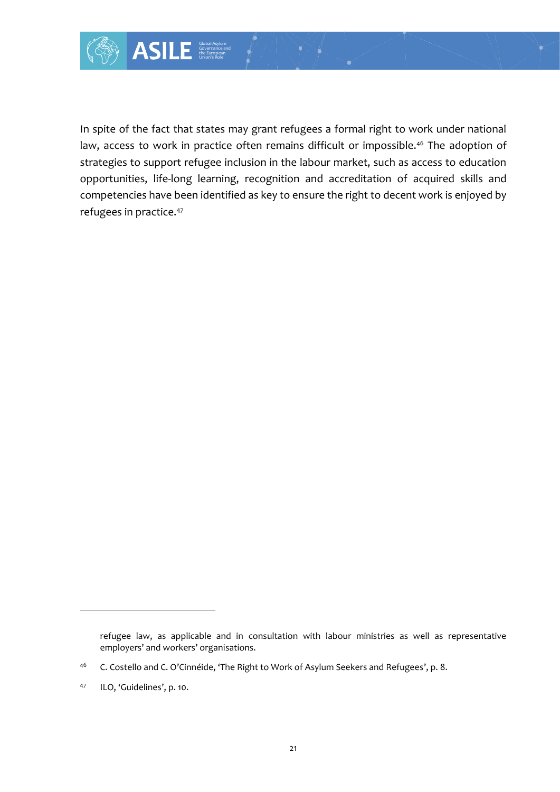

In spite of the fact that states may grant refugees a formal right to work under national law, access to work in practice often remains difficult or impossible.<sup>46</sup> The adoption of strategies to support refugee inclusion in the labour market, such as access to education opportunities, life-long learning, recognition and accreditation of acquired skills and competencies have been identified as key to ensure the right to decent work is enjoyed by refugees in practice.<sup>47</sup>

refugee law, as applicable and in consultation with labour ministries as well as representative employers' and workers' organisations.

<sup>&</sup>lt;sup>46</sup> C. Costello and C. O'Cinnéide, 'The Right to Work of Asylum Seekers and Refugees', p. 8.

<sup>47</sup> ILO, 'Guidelines', p. 10.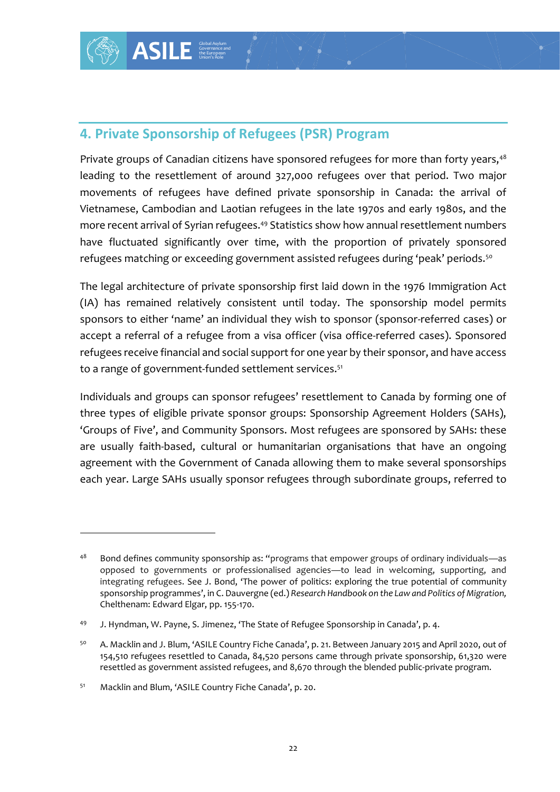## **4. Private Sponsorship of Refugees (PSR) Program**

Private groups of Canadian citizens have sponsored refugees for more than forty years,<sup>48</sup> leading to the resettlement of around 327,000 refugees over that period. Two major movements of refugees have defined private sponsorship in Canada: the arrival of Vietnamese, Cambodian and Laotian refugees in the late 1970s and early 1980s, and the more recent arrival of Syrian refugees.<sup>49</sup> Statistics show how annual resettlement numbers have fluctuated significantly over time, with the proportion of privately sponsored refugees matching or exceeding government assisted refugees during 'peak' periods.<sup>50</sup>

The legal architecture of private sponsorship first laid down in the 1976 Immigration Act (IA) has remained relatively consistent until today. The sponsorship model permits sponsors to either 'name' an individual they wish to sponsor (sponsor-referred cases) or accept a referral of a refugee from a visa officer (visa office-referred cases). Sponsored refugees receive financial and social support for one year by their sponsor, and have access to a range of government-funded settlement services.<sup>51</sup>

Individuals and groups can sponsor refugees' resettlement to Canada by forming one of three types of eligible private sponsor groups: Sponsorship Agreement Holders (SAHs), 'Groups of Five', and Community Sponsors. Most refugees are sponsored by SAHs: these are usually faith-based, cultural or humanitarian organisations that have an ongoing agreement with the Government of Canada allowing them to make several sponsorships each year. Large SAHs usually sponsor refugees through subordinate groups, referred to

 $48$  Bond defines community sponsorship as: "programs that empower groups of ordinary individuals—as opposed to governments or professionalised agencies—to lead in welcoming, supporting, and integrating refugees. See J. Bond, 'The power of politics: exploring the true potential of community sponsorship programmes', in C. Dauvergne (ed.) *Research Handbook on the Law and Politics of Migration,*  Chelthenam: Edward Elgar, pp. 155-170.

<sup>49</sup> J. Hyndman, W. Payne, S. Jimenez, 'The State of Refugee Sponsorship in Canada', p. 4.

<sup>50</sup> A. Macklin and J. Blum, 'ASILE Country Fiche Canada', p. 21. Between January 2015 and April 2020, out of 154,510 refugees resettled to Canada, 84,520 persons came through private sponsorship, 61,320 were resettled as government assisted refugees, and 8,670 through the blended public-private program.

<sup>51</sup> Macklin and Blum, 'ASILE Country Fiche Canada', p. 20.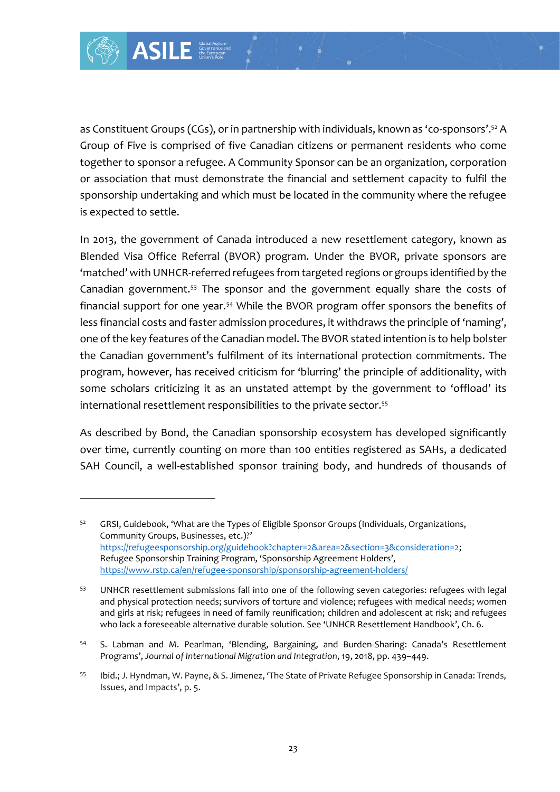

as Constituent Groups (CGs), or in partnership with individuals, known as 'co-sponsors'.<sup>52</sup> A Group of Five is comprised of five Canadian citizens or permanent residents who come together to sponsor a refugee. A Community Sponsor can be an organization, corporation or association that must demonstrate the financial and settlement capacity to fulfil the sponsorship undertaking and which must be located in the community where the refugee is expected to settle.

In 2013, the government of Canada introduced a new resettlement category, known as Blended Visa Office Referral (BVOR) program. Under the BVOR, private sponsors are 'matched' with UNHCR-referred refugees from targeted regions or groups identified by the Canadian government.<sup>53</sup> The sponsor and the government equally share the costs of financial support for one year.<sup>54</sup> While the BVOR program offer sponsors the benefits of less financial costs and faster admission procedures, it withdraws the principle of 'naming', one of the key features of the Canadian model. The BVOR stated intention is to help bolster the Canadian government's fulfilment of its international protection commitments. The program, however, has received criticism for 'blurring' the principle of additionality, with some scholars criticizing it as an unstated attempt by the government to 'offload' its international resettlement responsibilities to the private sector.<sup>55</sup>

As described by Bond, the Canadian sponsorship ecosystem has developed significantly over time, currently counting on more than 100 entities registered as SAHs, a dedicated SAH Council, a well-established sponsor training body, and hundreds of thousands of

<sup>52</sup> GRSI, Guidebook, 'What are the Types of Eligible Sponsor Groups (Individuals, Organizations, Community Groups, Businesses, etc.)?' [https://refugeesponsorship.org/guidebook?chapter=2&area=2&section=3&consideration=2;](https://refugeesponsorship.org/guidebook?chapter=2&area=2§ion=3&consideration=2) Refugee Sponsorship Training Program, 'Sponsorship Agreement Holders', <https://www.rstp.ca/en/refugee-sponsorship/sponsorship-agreement-holders/>

<sup>53</sup> UNHCR resettlement submissions fall into one of the following seven categories: refugees with legal and physical protection needs; survivors of torture and violence; refugees with medical needs; women and girls at risk; refugees in need of family reunification; children and adolescent at risk; and refugees who lack a foreseeable alternative durable solution. See 'UNHCR Resettlement Handbook', Ch. 6.

<sup>54</sup> S. Labman and M. Pearlman, 'Blending, Bargaining, and Burden-Sharing: Canada's Resettlement Programs', *Journal of International Migration and Integration*, 19, 2018, pp. 439–449.

<sup>55</sup> Ibid.; J. Hyndman, W. Payne, & S. Jimenez, 'The State of Private Refugee Sponsorship in Canada: Trends, Issues, and Impacts', p. 5.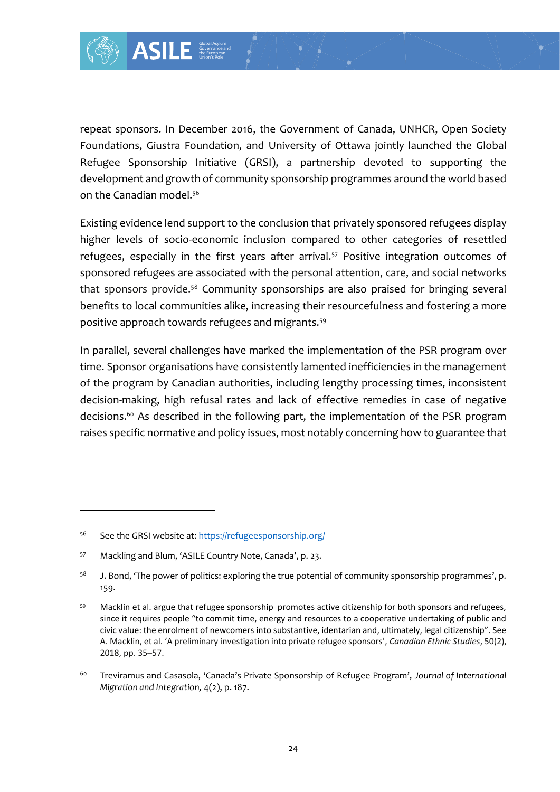

repeat sponsors. In December 2016, the Government of Canada, UNHCR, Open Society Foundations, Giustra Foundation, and University of Ottawa jointly launched the Global Refugee Sponsorship Initiative (GRSI), a partnership devoted to supporting the development and growth of community sponsorship programmes around the world based on the Canadian model.<sup>56</sup>

Existing evidence lend support to the conclusion that privately sponsored refugees display higher levels of socio-economic inclusion compared to other categories of resettled refugees, especially in the first years after arrival.<sup>57</sup> Positive integration outcomes of sponsored refugees are associated with the personal attention, care, and social networks that sponsors provide.<sup>58</sup> Community sponsorships are also praised for bringing several benefits to local communities alike, increasing their resourcefulness and fostering a more positive approach towards refugees and migrants.<sup>59</sup>

In parallel, several challenges have marked the implementation of the PSR program over time. Sponsor organisations have consistently lamented inefficiencies in the management of the program by Canadian authorities, including lengthy processing times, inconsistent decision-making, high refusal rates and lack of effective remedies in case of negative decisions.<sup>60</sup> As described in the following part, the implementation of the PSR program raises specific normative and policy issues, most notably concerning how to guarantee that

<sup>56</sup> See the GRSI website at: <https://refugeesponsorship.org/>

<sup>57</sup> Mackling and Blum, 'ASILE Country Note, Canada', p. 23.

 $58$  J. Bond, 'The power of politics: exploring the true potential of community sponsorship programmes', p. 159.

<sup>&</sup>lt;sup>59</sup> Macklin et al. argue that refugee sponsorship promotes active citizenship for both sponsors and refugees, since it requires people "to commit time, energy and resources to a cooperative undertaking of public and civic value: the enrolment of newcomers into substantive, identarian and, ultimately, legal citizenship". See A. Macklin, et al. 'A preliminary investigation into private refugee sponsors', *Canadian Ethnic Studies*, 50(2), 2018, pp. 35–57.

<sup>60</sup> Treviramus and Casasola, 'Canada's Private Sponsorship of Refugee Program', *Journal of International Migration and Integration,* 4(2), p. 187.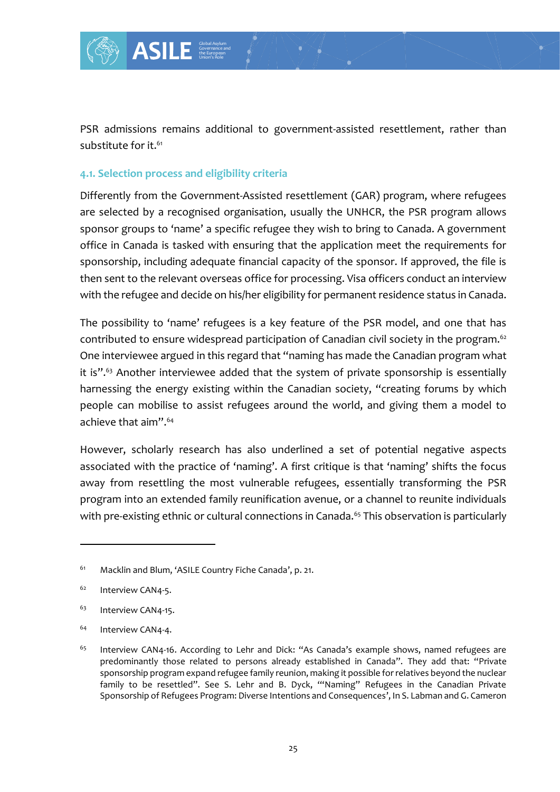

PSR admissions remains additional to government-assisted resettlement, rather than substitute for it.<sup>61</sup>

#### **4.1. Selection process and eligibility criteria**

Global Asylum Governance and the European Union's Role

Differently from the Government-Assisted resettlement (GAR) program, where refugees are selected by a recognised organisation, usually the UNHCR, the PSR program allows sponsor groups to 'name' a specific refugee they wish to bring to Canada. A government office in Canada is tasked with ensuring that the application meet the requirements for sponsorship, including adequate financial capacity of the sponsor. If approved, the file is then sent to the relevant overseas office for processing. Visa officers conduct an interview with the refugee and decide on his/her eligibility for permanent residence status in Canada.

The possibility to 'name' refugees is a key feature of the PSR model, and one that has contributed to ensure widespread participation of Canadian civil society in the program.<sup>62</sup> One interviewee argued in this regard that "naming has made the Canadian program what it is".<sup>63</sup> Another interviewee added that the system of private sponsorship is essentially harnessing the energy existing within the Canadian society, "creating forums by which people can mobilise to assist refugees around the world, and giving them a model to achieve that aim".<sup>64</sup>

However, scholarly research has also underlined a set of potential negative aspects associated with the practice of 'naming'. A first critique is that 'naming' shifts the focus away from resettling the most vulnerable refugees, essentially transforming the PSR program into an extended family reunification avenue, or a channel to reunite individuals with pre-existing ethnic or cultural connections in Canada.<sup>65</sup> This observation is particularly

<sup>61</sup> Macklin and Blum, 'ASILE Country Fiche Canada', p. 21.

<sup>&</sup>lt;sup>62</sup> Interview CAN4-5.

<sup>&</sup>lt;sup>63</sup> Interview CAN4-15.

<sup>&</sup>lt;sup>64</sup> Interview CAN4-4.

<sup>&</sup>lt;sup>65</sup> Interview CAN4-16. According to Lehr and Dick: "As Canada's example shows, named refugees are predominantly those related to persons already established in Canada". They add that: "Private sponsorship program expand refugee family reunion, making it possible for relatives beyond the nuclear family to be resettled". See S. Lehr and B. Dyck, '"Naming" Refugees in the Canadian Private Sponsorship of Refugees Program: Diverse Intentions and Consequences', In S. Labman and G. Cameron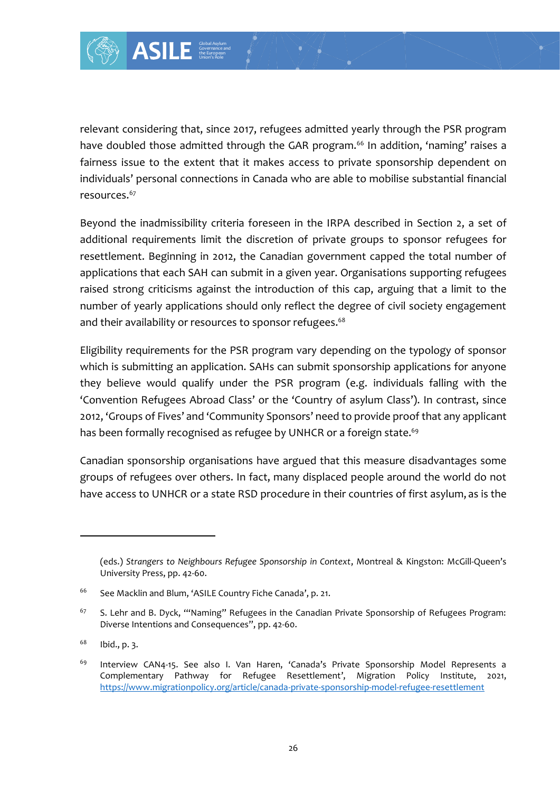

Governance and the European Union's Role

relevant considering that, since 2017, refugees admitted yearly through the PSR program have doubled those admitted through the GAR program.<sup>66</sup> In addition, 'naming' raises a fairness issue to the extent that it makes access to private sponsorship dependent on individuals' personal connections in Canada who are able to mobilise substantial financial resources.<sup>67</sup>

26 Global Asylon Since 2017, refugee<br>
26 and that it makes actions in Canada w<br>
26 and that it makes actions in Canada w<br>
26 and that it makes actions in Canadia<br>
4 Global Asylum and Biggains the introduct<br>
26 and a Submit Beyond the inadmissibility criteria foreseen in the IRPA described in Section 2, a set of additional requirements limit the discretion of private groups to sponsor refugees for resettlement. Beginning in 2012, the Canadian government capped the total number of applications that each SAH can submit in a given year. Organisations supporting refugees raised strong criticisms against the introduction of this cap, arguing that a limit to the number of yearly applications should only reflect the degree of civil society engagement and their availability or resources to sponsor refugees.<sup>68</sup>

Eligibility requirements for the PSR program vary depending on the typology of sponsor which is submitting an application. SAHs can submit sponsorship applications for anyone they believe would qualify under the PSR program (e.g. individuals falling with the 'Convention Refugees Abroad Class' or the 'Country of asylum Class'). In contrast, since 2012, 'Groups of Fives' and 'Community Sponsors' need to provide proof that any applicant has been formally recognised as refugee by UNHCR or a foreign state.<sup>69</sup>

Canadian sponsorship organisations have argued that this measure disadvantages some groups of refugees over others. In fact, many displaced people around the world do not have access to UNHCR or a state RSD procedure in their countries of first asylum, as is the

<sup>(</sup>eds.) *Strangers to Neighbours Refugee Sponsorship in Context*, Montreal & Kingston: McGillQueen's University Press, pp. 42-60.

<sup>&</sup>lt;sup>66</sup> See Macklin and Blum, 'ASILE Country Fiche Canada', p. 21.

 $67$  S. Lehr and B. Dyck, "Naming" Refugees in the Canadian Private Sponsorship of Refugees Program: Diverse Intentions and Consequences", pp. 42-60.

 $68$  Ibid., p. 3.

<sup>&</sup>lt;sup>69</sup> Interview CAN4-15. See also I. Van Haren, 'Canada's Private Sponsorship Model Represents a Complementary Pathway for Refugee Resettlement', Migration Policy Institute, 2021, <https://www.migrationpolicy.org/article/canada-private-sponsorship-model-refugee-resettlement>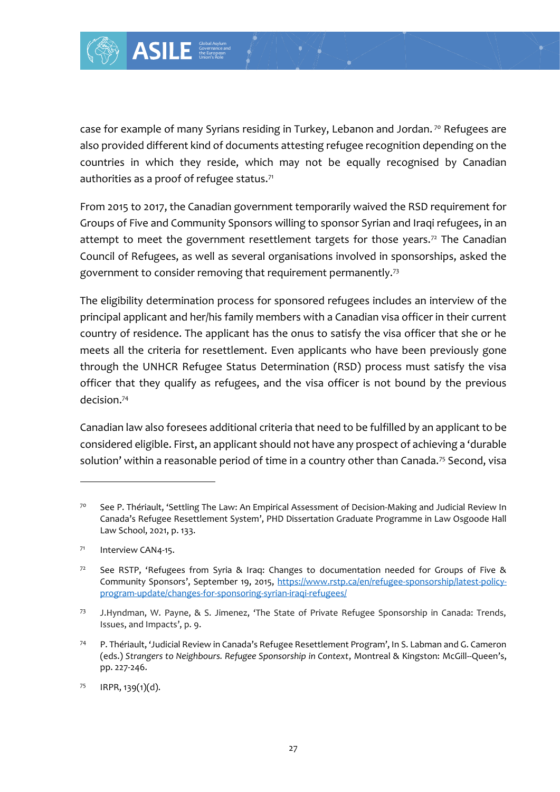

case for example of many Syrians residing in Turkey, Lebanon and Jordan.<sup>70</sup> Refugees are also provided different kind of documents attesting refugee recognition depending on the countries in which they reside, which may not be equally recognised by Canadian authorities as a proof of refugee status.<sup>71</sup>

From 2015 to 2017, the Canadian government temporarily waived the RSD requirement for Groups of Five and Community Sponsors willing to sponsor Syrian and Iraqi refugees, in an attempt to meet the government resettlement targets for those years.<sup>72</sup> The Canadian Council of Refugees, as well as several organisations involved in sponsorships, asked the government to consider removing that requirement permanently.<sup>73</sup>

The eligibility determination process for sponsored refugees includes an interview of the principal applicant and her/his family members with a Canadian visa officer in their current country of residence. The applicant has the onus to satisfy the visa officer that she or he meets all the criteria for resettlement. Even applicants who have been previously gone through the UNHCR Refugee Status Determination (RSD) process must satisfy the visa officer that they qualify as refugees, and the visa officer is not bound by the previous decision.<sup>74</sup>

Canadian law also foresees additional criteria that need to be fulfilled by an applicant to be considered eligible. First, an applicant should not have any prospect of achieving a 'durable solution' within a reasonable period of time in a country other than Canada.<sup>75</sup> Second, visa

<sup>70</sup> See P. Thériault, 'Settling The Law: An Empirical Assessment of Decision-Making and Judicial Review In Canada's Refugee Resettlement System', PHD Dissertation Graduate Programme in Law Osgoode Hall Law School, 2021, p. 133.

<sup>71</sup> Interview CAN4-15.

<sup>&</sup>lt;sup>72</sup> See RSTP, 'Refugees from Syria & Iraq: Changes to documentation needed for Groups of Five & Community Sponsors', September 19, 2015, [https://www.rstp.ca/en/refugee-sponsorship/latest-policy](https://www.rstp.ca/en/refugee-sponsorship/latest-policy-program-update/changes-for-sponsoring-syrian-iraqi-refugees/)[program-update/changes-for-sponsoring-syrian-iraqi-refugees/](https://www.rstp.ca/en/refugee-sponsorship/latest-policy-program-update/changes-for-sponsoring-syrian-iraqi-refugees/)

<sup>73</sup> J.Hyndman, W. Payne, & S. Jimenez, 'The State of Private Refugee Sponsorship in Canada: Trends, Issues, and Impacts', p. 9.

<sup>74</sup> P. Thériault, 'Judicial Review in Canada's Refugee Resettlement Program', In S. Labman and G. Cameron (eds.) *Strangers to Neighbours. Refugee Sponsorship in Context*, Montreal & Kingston: McGill-Queen's, pp. 227-246.

 $75$  IRPR, 139(1)(d).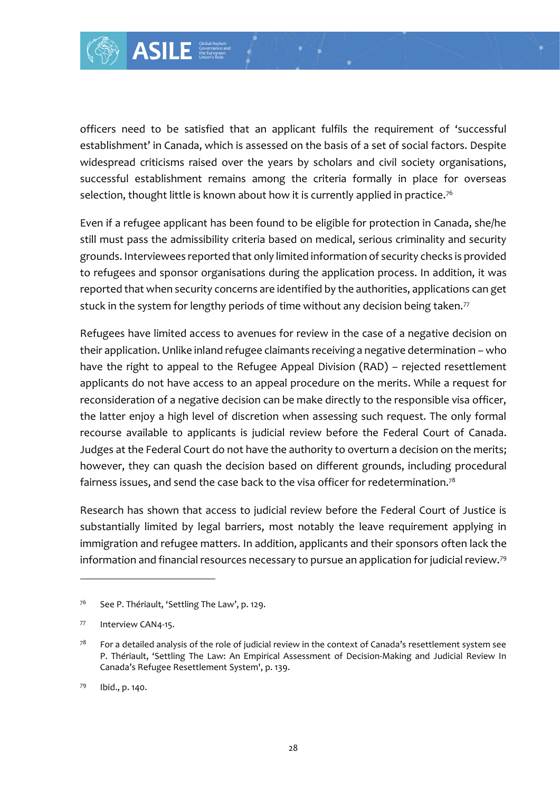

Governance and the European Union's Role

officers need to be satisfied that an applicant fulfils the requirement of 'successful establishment' in Canada, which is assessed on the basis of a set of social factors. Despite widespread criticisms raised over the years by scholars and civil society organisations, successful establishment remains among the criteria formally in place for overseas selection, thought little is known about how it is currently applied in practice.<sup>76</sup>

Even if a refugee applicant has been found to be eligible for protection in Canada, she/he still must pass the admissibility criteria based on medical, serious criminality and security grounds. Interviewees reported that only limited information of security checks is provided to refugees and sponsor organisations during the application process. In addition, it was reported that when security concerns are identified by the authorities, applications can get stuck in the system for lengthy periods of time without any decision being taken.<sup>77</sup>

Sisted that an application<br>
Sisted dover the years<br>
termains among the states of the state of the state of the state<br>
termains among the state of the state of the state of the state of<br>
the state of the origins during<br>
tiv Refugees have limited access to avenues for review in the case of a negative decision on their application. Unlike inland refugee claimants receiving a negative determination – who have the right to appeal to the Refugee Appeal Division (RAD) – rejected resettlement applicants do not have access to an appeal procedure on the merits. While a request for reconsideration of a negative decision can be make directly to the responsible visa officer, the latter enjoy a high level of discretion when assessing such request. The only formal recourse available to applicants is judicial review before the Federal Court of Canada. Judges at the Federal Court do not have the authority to overturn a decision on the merits; however, they can quash the decision based on different grounds, including procedural fairness issues, and send the case back to the visa officer for redetermination.<sup>78</sup>

Research has shown that access to judicial review before the Federal Court of Justice is substantially limited by legal barriers, most notably the leave requirement applying in immigration and refugee matters. In addition, applicants and their sponsors often lack the information and financial resources necessary to pursue an application for judicial review.<sup>79</sup>

<sup>&</sup>lt;sup>76</sup> See P. Thériault, 'Settling The Law', p. 129.

<sup>77</sup> Interview CAN4-15.

 $78$  For a detailed analysis of the role of judicial review in the context of Canada's resettlement system see P. Thériault, 'Settling The Law: An Empirical Assessment of Decision-Making and Judicial Review In Canada's Refugee Resettlement System', p. 139.

<sup>79</sup> Ibid., p. 140.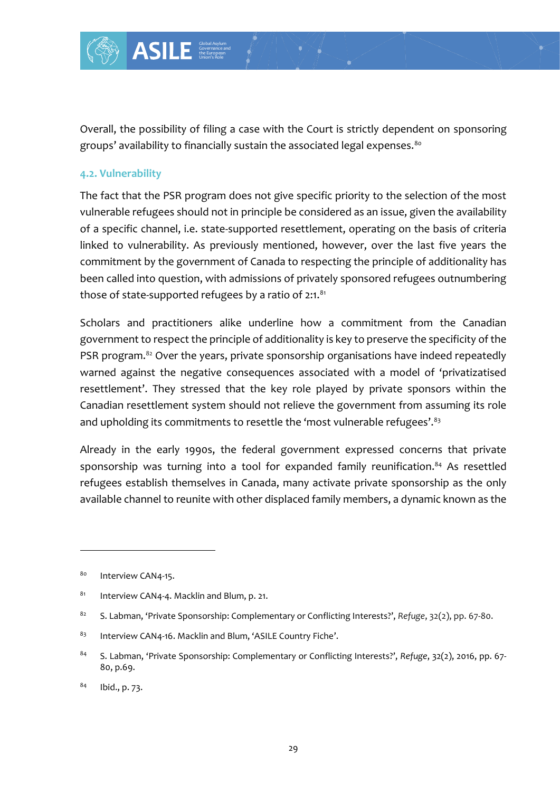

Overall, the possibility of filing a case with the Court is strictly dependent on sponsoring groups' availability to financially sustain the associated legal expenses.<sup>80</sup>

#### **4.2. Vulnerability**

The fact that the PSR program does not give specific priority to the selection of the most vulnerable refugees should not in principle be considered as an issue, given the availability of a specific channel, i.e. state-supported resettlement, operating on the basis of criteria linked to vulnerability. As previously mentioned, however, over the last five years the commitment by the government of Canada to respecting the principle of additionality has been called into question, with admissions of privately sponsored refugees outnumbering those of state-supported refugees by a ratio of  $2:1.^{81}$ 

Scholars and practitioners alike underline how a commitment from the Canadian government to respect the principle of additionality is key to preserve the specificity of the PSR program.<sup>82</sup> Over the years, private sponsorship organisations have indeed repeatedly warned against the negative consequences associated with a model of 'privatizatised resettlement'. They stressed that the key role played by private sponsors within the Canadian resettlement system should not relieve the government from assuming its role and upholding its commitments to resettle the 'most vulnerable refugees'.<sup>83</sup>

Already in the early 1990s, the federal government expressed concerns that private sponsorship was turning into a tool for expanded family reunification.<sup>84</sup> As resettled refugees establish themselves in Canada, many activate private sponsorship as the only available channel to reunite with other displaced family members, a dynamic known as the

<sup>80</sup> Interview CAN4-15.

<sup>81</sup> Interview CAN4-4. Macklin and Blum, p. 21.

<sup>82</sup> S. Labman, 'Private Sponsorship: Complementary or Conflicting Interests?', *Refuge*, 32(2), pp. 67-80.

<sup>83</sup> Interview CAN4-16. Macklin and Blum, 'ASILE Country Fiche'.

<sup>84</sup> S. Labman, 'Private Sponsorship: Complementary or Conflicting Interests?', *Refuge*, 32(2), 2016, pp. 67- 80, p.69.

 $84$  Ibid., p. 73.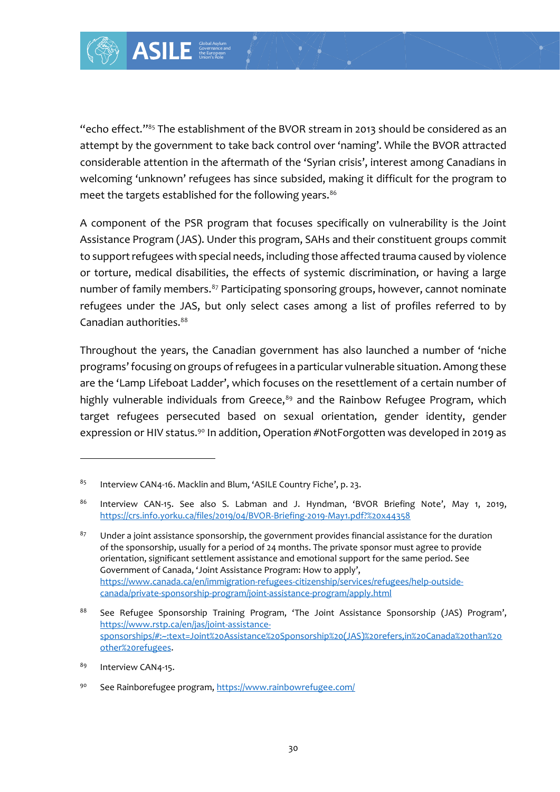

"echo effect."<sup>85</sup> The establishment of the BVOR stream in 2013 should be considered as an attempt by the government to take back control over 'naming'. While the BVOR attracted considerable attention in the aftermath of the 'Syrian crisis', interest among Canadians in welcoming 'unknown' refugees has since subsided, making it difficult for the program to meet the targets established for the following years.<sup>86</sup>

A component of the PSR program that focuses specifically on vulnerability is the Joint Assistance Program (JAS). Under this program, SAHs and their constituent groups commit to support refugees with special needs, including those affected trauma caused by violence or torture, medical disabilities, the effects of systemic discrimination, or having a large number of family members.<sup>87</sup> Participating sponsoring groups, however, cannot nominate refugees under the JAS, but only select cases among a list of profiles referred to by Canadian authorities.<sup>88</sup>

Throughout the years, the Canadian government has also launched a number of 'niche programs' focusing on groups of refugees in a particular vulnerable situation. Among these are the 'Lamp Lifeboat Ladder', which focuses on the resettlement of a certain number of highly vulnerable individuals from Greece, $89$  and the Rainbow Refugee Program, which target refugees persecuted based on sexual orientation, gender identity, gender expression or HIV status.<sup>90</sup> In addition, Operation #NotForgotten was developed in 2019 as

<sup>85</sup> Interview CAN4-16. Macklin and Blum, 'ASILE Country Fiche', p. 23.

<sup>86</sup> Interview CAN-15. See also S. Labman and J. Hyndman, 'BVOR Briefing Note', May 1, 2019, <https://crs.info.yorku.ca/files/2019/04/BVOR-Briefing-2019-May1.pdf?%20x44358>

 $87$  Under a joint assistance sponsorship, the government provides financial assistance for the duration of the sponsorship, usually for a period of 24 months. The private sponsor must agree to provide orientation, significant settlement assistance and emotional support for the same period. See Government of Canada, 'Joint Assistance Program: How to apply', [https://www.canada.ca/en/immigration-refugees-citizenship/services/refugees/help-outside](https://www.canada.ca/en/immigration-refugees-citizenship/services/refugees/help-outside-canada/private-sponsorship-program/joint-assistance-program/apply.html)[canada/private-sponsorship-program/joint-assistance-program/apply.html](https://www.canada.ca/en/immigration-refugees-citizenship/services/refugees/help-outside-canada/private-sponsorship-program/joint-assistance-program/apply.html)

<sup>88</sup> See Refugee Sponsorship Training Program, 'The Joint Assistance Sponsorship (JAS) Program', [https://www.rstp.ca/en/jas/joint-assistance](https://www.rstp.ca/en/jas/joint-assistance-sponsorships/#:~:text=Joint%20Assistance%20Sponsorship%20(JAS)%20refers,in%20Canada%20than%20other%20refugees)[sponsorships/#:~:text=Joint%20Assistance%20Sponsorship%20\(JAS\)%20refers,in%20Canada%20than%20](https://www.rstp.ca/en/jas/joint-assistance-sponsorships/#:~:text=Joint%20Assistance%20Sponsorship%20(JAS)%20refers,in%20Canada%20than%20other%20refugees) [other%20refugees.](https://www.rstp.ca/en/jas/joint-assistance-sponsorships/#:~:text=Joint%20Assistance%20Sponsorship%20(JAS)%20refers,in%20Canada%20than%20other%20refugees)

<sup>89</sup> Interview CAN4-15.

<sup>90</sup> See Rainborefugee program, <https://www.rainbowrefugee.com/>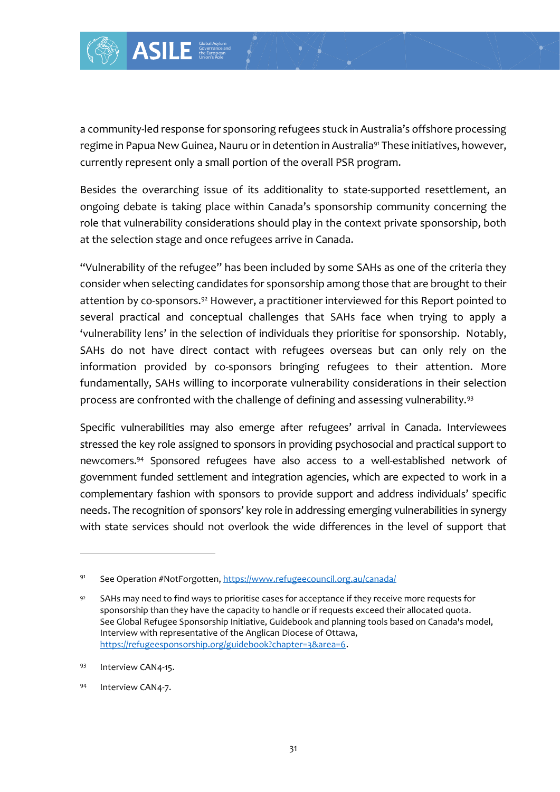

a community-led response for sponsoring refugees stuck in Australia's offshore processing regime in Papua New Guinea, Nauru or in detention in Australia<sup>91</sup> These initiatives, however, currently represent only a small portion of the overall PSR program.

Besides the overarching issue of its additionality to state-supported resettlement, an ongoing debate is taking place within Canada's sponsorship community concerning the role that vulnerability considerations should play in the context private sponsorship, both at the selection stage and once refugees arrive in Canada.

"Vulnerability of the refugee" has been included by some SAHs as one of the criteria they consider when selecting candidates for sponsorship among those that are brought to their attention by co-sponsors.<sup>92</sup> However, a practitioner interviewed for this Report pointed to several practical and conceptual challenges that SAHs face when trying to apply a 'vulnerability lens' in the selection of individuals they prioritise for sponsorship. Notably, SAHs do not have direct contact with refugees overseas but can only rely on the information provided by co-sponsors bringing refugees to their attention. More fundamentally, SAHs willing to incorporate vulnerability considerations in their selection process are confronted with the challenge of defining and assessing vulnerability.<sup>93</sup>

Specific vulnerabilities may also emerge after refugees' arrival in Canada. Interviewees stressed the key role assigned to sponsors in providing psychosocial and practical support to newcomers.<sup>94</sup> Sponsored refugees have also access to a well-established network of government funded settlement and integration agencies, which are expected to work in a complementary fashion with sponsors to provide support and address individuals' specific needs. The recognition of sponsors' key role in addressing emerging vulnerabilities in synergy with state services should not overlook the wide differences in the level of support that

<sup>94</sup> Interview CAN4-7.

<sup>91</sup> See Operation #NotForgotten[, https://www.refugeecouncil.org.au/canada/](https://www.refugeecouncil.org.au/canada/)

 $92$  SAHs may need to find ways to prioritise cases for acceptance if they receive more requests for sponsorship than they have the capacity to handle or if requests exceed their allocated quota. See Global Refugee Sponsorship Initiative, Guidebook and planning tools based on Canada's model, Interview with representative of the Anglican Diocese of Ottawa, [https://refugeesponsorship.org/guidebook?chapter=3&area=6.](https://refugeesponsorship.org/guidebook?chapter=3&area=6)

<sup>93</sup> Interview CAN4-15.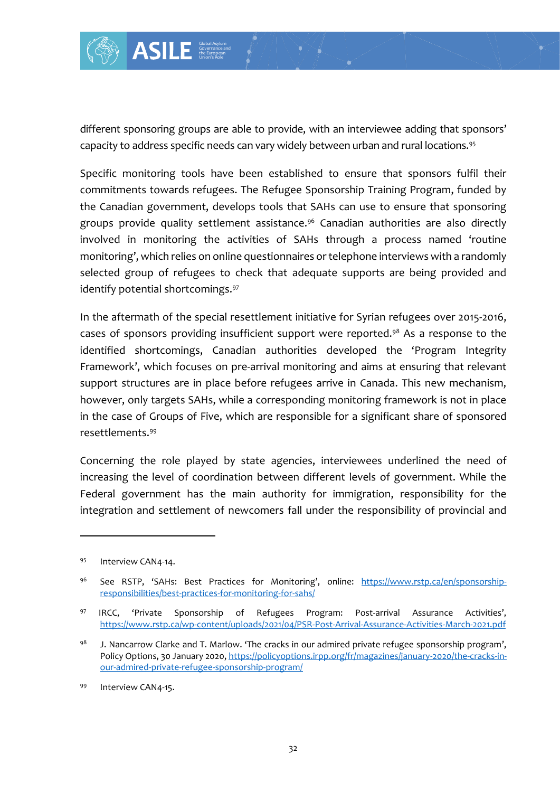

different sponsoring groups are able to provide, with an interviewee adding that sponsors' capacity to address specific needs can vary widely between urban and rural locations.<sup>95</sup>

Specific monitoring tools have been established to ensure that sponsors fulfil their commitments towards refugees. The Refugee Sponsorship Training Program, funded by the Canadian government, develops tools that SAHs can use to ensure that sponsoring groups provide quality settlement assistance.<sup>96</sup> Canadian authorities are also directly involved in monitoring the activities of SAHs through a process named 'routine monitoring', which relies on online questionnaires or telephone interviews with a randomly selected group of refugees to check that adequate supports are being provided and identify potential shortcomings.<sup>97</sup>

In the aftermath of the special resettlement initiative for Syrian refugees over 2015-2016, cases of sponsors providing insufficient support were reported.<sup>98</sup> As a response to the identified shortcomings, Canadian authorities developed the 'Program Integrity Framework', which focuses on pre-arrival monitoring and aims at ensuring that relevant support structures are in place before refugees arrive in Canada. This new mechanism, however, only targets SAHs, while a corresponding monitoring framework is not in place in the case of Groups of Five, which are responsible for a significant share of sponsored resettlements.<sup>99</sup>

Concerning the role played by state agencies, interviewees underlined the need of increasing the level of coordination between different levels of government. While the Federal government has the main authority for immigration, responsibility for the integration and settlement of newcomers fall under the responsibility of provincial and

<sup>95</sup> Interview CAN4-14.

<sup>96</sup> See RSTP, 'SAHs: Best Practices for Monitoring', online: [https://www.rstp.ca/en/sponsorship](https://www.rstp.ca/en/sponsorship-responsibilities/best-practices-for-monitoring-for-sahs/)[responsibilities/best-practices-for-monitoring-for-sahs/](https://www.rstp.ca/en/sponsorship-responsibilities/best-practices-for-monitoring-for-sahs/)

<sup>97</sup> IRCC, 'Private Sponsorship of Refugees Program: Post-arrival Assurance Activities', <https://www.rstp.ca/wp-content/uploads/2021/04/PSR-Post-Arrival-Assurance-Activities-March-2021.pdf>

 $98$  J. Nancarrow Clarke and T. Marlow. 'The cracks in our admired private refugee sponsorship program', Policy Options, 30 January 2020[, https://policyoptions.irpp.org/fr/magazines/january-2020/the-cracks-in](https://policyoptions.irpp.org/fr/magazines/january-2020/the-cracks-in-our-admired-private-refugee-sponsorship-program/)[our-admired-private-refugee-sponsorship-program/](https://policyoptions.irpp.org/fr/magazines/january-2020/the-cracks-in-our-admired-private-refugee-sponsorship-program/)

<sup>99</sup> Interview CAN4-15.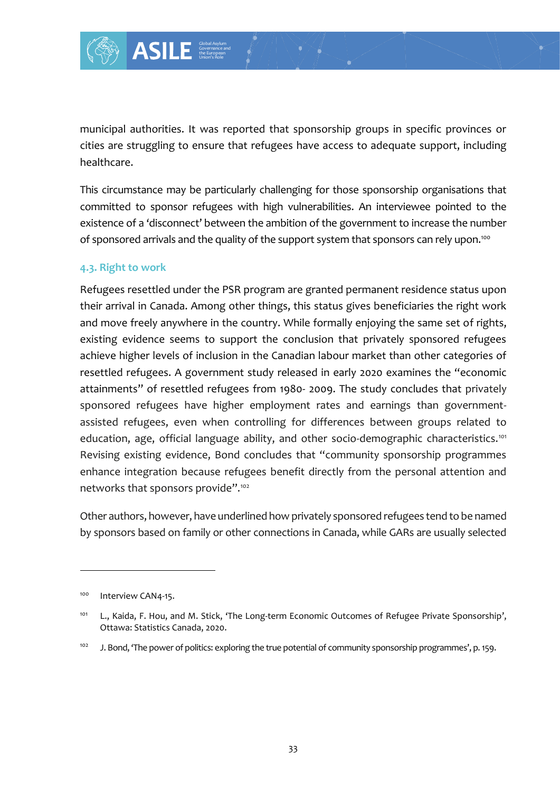

municipal authorities. It was reported that sponsorship groups in specific provinces or cities are struggling to ensure that refugees have access to adequate support, including healthcare.

This circumstance may be particularly challenging for those sponsorship organisations that committed to sponsor refugees with high vulnerabilities. An interviewee pointed to the existence of a 'disconnect' between the ambition of the government to increase the number of sponsored arrivals and the quality of the support system that sponsors can rely upon.<sup>100</sup>

#### **4.3. Right to work**

Refugees resettled under the PSR program are granted permanent residence status upon their arrival in Canada. Among other things, this status gives beneficiaries the right work and move freely anywhere in the country. While formally enjoying the same set of rights, existing evidence seems to support the conclusion that privately sponsored refugees achieve higher levels of inclusion in the Canadian labour market than other categories of resettled refugees. A government study released in early 2020 examines the "economic attainments" of resettled refugees from 1980- 2009. The study concludes that privately sponsored refugees have higher employment rates and earnings than governmentassisted refugees, even when controlling for differences between groups related to education, age, official language ability, and other socio-demographic characteristics.<sup>101</sup> Revising existing evidence, Bond concludes that "community sponsorship programmes enhance integration because refugees benefit directly from the personal attention and networks that sponsors provide".<sup>102</sup>

Other authors, however, have underlined how privately sponsored refugees tend to be named by sponsors based on family or other connections in Canada, while GARs are usually selected

<sup>&</sup>lt;sup>100</sup> Interview CAN4-15.

<sup>&</sup>lt;sup>101</sup> L., Kaida, F. Hou, and M. Stick, 'The Long-term Economic Outcomes of Refugee Private Sponsorship', Ottawa: Statistics Canada, 2020.

<sup>102</sup> J. Bond, 'The power of politics: exploring the true potential of community sponsorship programmes', p. 159.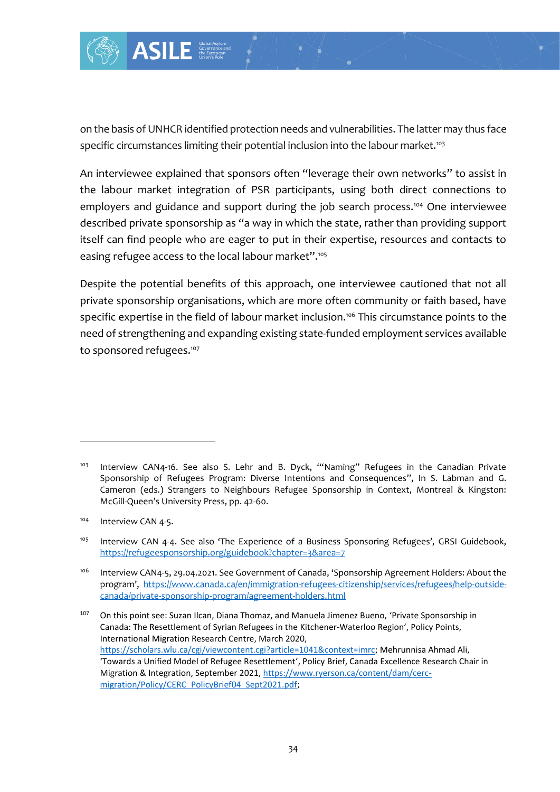

on the basis of UNHCR identified protection needs and vulnerabilities. The latter may thus face specific circumstances limiting their potential inclusion into the labour market.<sup>103</sup>

An interviewee explained that sponsors often "leverage their own networks" to assist in the labour market integration of PSR participants, using both direct connections to employers and guidance and support during the job search process.<sup>104</sup> One interviewee described private sponsorship as "a way in which the state, rather than providing support itself can find people who are eager to put in their expertise, resources and contacts to easing refugee access to the local labour market".<sup>105</sup>

Despite the potential benefits of this approach, one interviewee cautioned that not all private sponsorship organisations, which are more often community or faith based, have specific expertise in the field of labour market inclusion.<sup>106</sup> This circumstance points to the need of strengthening and expanding existing state-funded employment services available to sponsored refugees. 107

<sup>&</sup>lt;sup>103</sup> Interview CAN4-16. See also S. Lehr and B. Dyck, "Naming" Refugees in the Canadian Private Sponsorship of Refugees Program: Diverse Intentions and Consequences", In S. Labman and G. Cameron (eds.) Strangers to Neighbours Refugee Sponsorship in Context, Montreal & Kingston: McGill-Queen's University Press, pp. 42-60.

<sup>&</sup>lt;sup>104</sup> Interview CAN 4-5.

<sup>&</sup>lt;sup>105</sup> Interview CAN 4-4. See also 'The Experience of a Business Sponsoring Refugees', GRSI Guidebook, <https://refugeesponsorship.org/guidebook?chapter=3&area=7>

<sup>106</sup> Interview CAN4-5, 29.04.2021. See Government of Canada, 'Sponsorship Agreement Holders: About the program', [https://www.canada.ca/en/immigration-refugees-citizenship/services/refugees/help-outside](https://www.canada.ca/en/immigration-refugees-citizenship/services/refugees/help-outside-canada/private-sponsorship-program/agreement-holders.html)[canada/private-sponsorship-program/agreement-holders.html](https://www.canada.ca/en/immigration-refugees-citizenship/services/refugees/help-outside-canada/private-sponsorship-program/agreement-holders.html)

<sup>107</sup> On this point see: Suzan Ilcan, Diana Thomaz, and Manuela Jimenez Bueno, 'Private Sponsorship in Canada: The Resettlement of Syrian Refugees in the Kitchener-Waterloo Region', Policy Points, International Migration Research Centre, March 2020, [https://scholars.wlu.ca/cgi/viewcontent.cgi?article=1041&context=imrc;](https://scholars.wlu.ca/cgi/viewcontent.cgi?article=1041&context=imrc) Mehrunnisa Ahmad Ali, 'Towards a Unified Model of Refugee Resettlement', Policy Brief, Canada Excellence Research Chair in Migration & Integration, September 2021, [https://www.ryerson.ca/content/dam/cerc](https://www.ryerson.ca/content/dam/cerc-migration/Policy/CERC_PolicyBrief04_Sept2021.pdf)[migration/Policy/CERC\\_PolicyBrief04\\_Sept2021.pdf;](https://www.ryerson.ca/content/dam/cerc-migration/Policy/CERC_PolicyBrief04_Sept2021.pdf)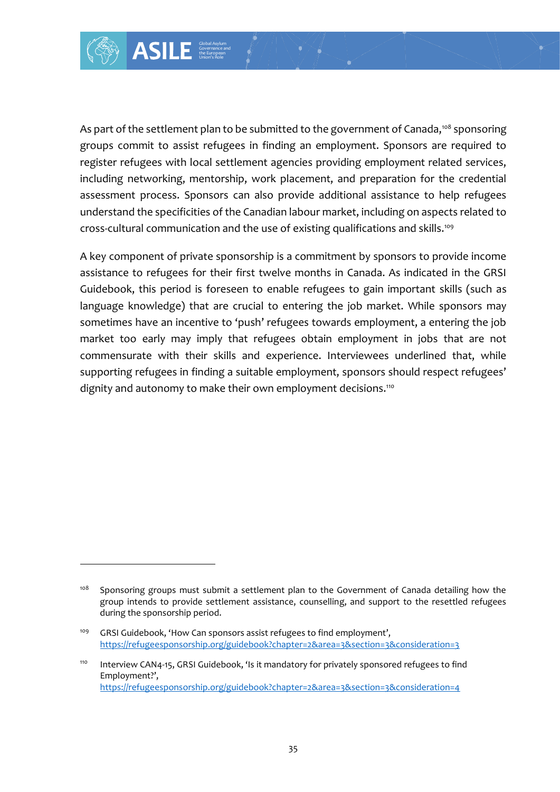As part of the settlement plan to be submitted to the government of Canada,<sup>108</sup> sponsoring groups commit to assist refugees in finding an employment. Sponsors are required to register refugees with local settlement agencies providing employment related services, including networking, mentorship, work placement, and preparation for the credential assessment process. Sponsors can also provide additional assistance to help refugees understand the specificities of the Canadian labour market, including on aspects related to cross-cultural communication and the use of existing qualifications and skills.<sup>109</sup>

A key component of private sponsorship is a commitment by sponsors to provide income assistance to refugees for their first twelve months in Canada. As indicated in the GRSI Guidebook, this period is foreseen to enable refugees to gain important skills (such as language knowledge) that are crucial to entering the job market. While sponsors may sometimes have an incentive to 'push' refugees towards employment, a entering the job market too early may imply that refugees obtain employment in jobs that are not commensurate with their skills and experience. Interviewees underlined that, while supporting refugees in finding a suitable employment, sponsors should respect refugees' dignity and autonomy to make their own employment decisions.<sup>110</sup>

<sup>&</sup>lt;sup>108</sup> Sponsoring groups must submit a settlement plan to the Government of Canada detailing how the group intends to provide settlement assistance, counselling, and support to the resettled refugees during the sponsorship period.

<sup>&</sup>lt;sup>109</sup> GRSI Guidebook, 'How Can sponsors assist refugees to find employment', [https://refugeesponsorship.org/guidebook?chapter=2&area=3&section=3&consideration=3](https://refugeesponsorship.org/guidebook?chapter=2&area=3§ion=3&consideration=3)

<sup>&</sup>lt;sup>110</sup> Interview CAN4-15, GRSI Guidebook, 'Is it mandatory for privately sponsored refugees to find Employment?', [https://refugeesponsorship.org/guidebook?chapter=2&area=3&section=3&consideration=4](https://refugeesponsorship.org/guidebook?chapter=2&area=3§ion=3&consideration=4)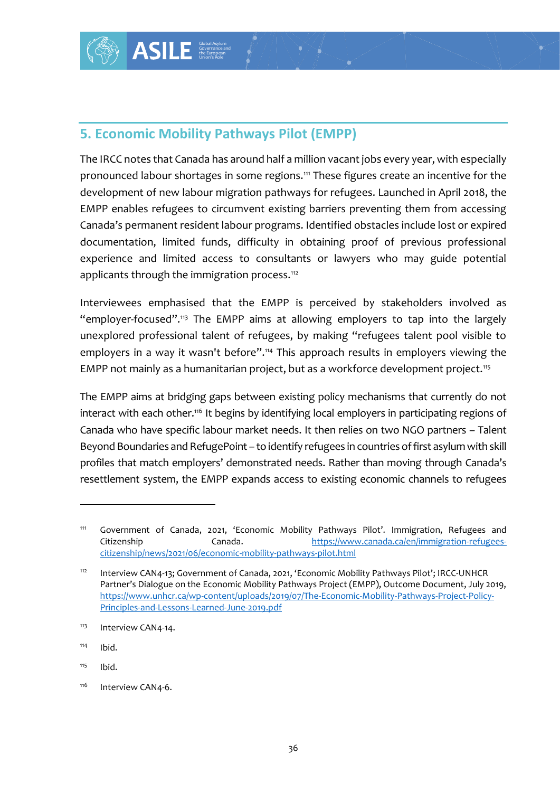## **5. Economic Mobility Pathways Pilot (EMPP)**

Example 1<br>
In the axylon and the axylon and the axylon and the axylon and the axylon and the axylon migration pathway<br>
the circumvent existing the state of entries of the EMPP in access to<br>
d that the EMPP in the EMPP in t The IRCC notes that Canada has around half a million vacant jobs every year, with especially pronounced labour shortages in some regions.<sup>111</sup> These figures create an incentive for the development of new labour migration pathways for refugees. Launched in April 2018, the EMPP enables refugees to circumvent existing barriers preventing them from accessing Canada's permanent resident labour programs. Identified obstacles include lost or expired documentation, limited funds, difficulty in obtaining proof of previous professional experience and limited access to consultants or lawyers who may guide potential applicants through the immigration process.<sup>112</sup>

Interviewees emphasised that the EMPP is perceived by stakeholders involved as "employer-focused".<sup>113</sup> The EMPP aims at allowing employers to tap into the largely unexplored professional talent of refugees, by making "refugees talent pool visible to employers in a way it wasn't before".<sup>114</sup> This approach results in employers viewing the EMPP not mainly as a humanitarian project, but as a workforce development project.<sup>115</sup>

The EMPP aims at bridging gaps between existing policy mechanisms that currently do not interact with each other.<sup>116</sup> It begins by identifying local employers in participating regions of Canada who have specific labour market needs. It then relies on two NGO partners – Talent Beyond Boundaries and RefugePoint – to identify refugees in countries of first asylum with skill profiles that match employers' demonstrated needs. Rather than moving through Canada's resettlement system, the EMPP expands access to existing economic channels to refugees

- $114$  Ibid.
- $115$  Ibid.

<sup>&</sup>lt;sup>111</sup> Government of Canada, 2021, 'Economic Mobility Pathways Pilot'. Immigration, Refugees and Citizenship Canada. [https://www.canada.ca/en/immigration-refugees](https://www.canada.ca/en/immigration-refugees-citizenship/news/2021/06/economic-mobility-pathways-pilot.html)[citizenship/news/2021/06/economic-mobility-pathways-pilot.html](https://www.canada.ca/en/immigration-refugees-citizenship/news/2021/06/economic-mobility-pathways-pilot.html)

<sup>112</sup> Interview CAN4-13; Government of Canada, 2021, 'Economic Mobility Pathways Pilot'; IRCC-UNHCR Partner's Dialogue on the Economic Mobility Pathways Project (EMPP), Outcome Document, July 2019, [https://www.unhcr.ca/wp-content/uploads/2019/07/The-Economic-Mobility-Pathways-Project-Policy-](https://www.unhcr.ca/wp-content/uploads/2019/07/The-Economic-Mobility-Pathways-Project-Policy-Principles-and-Lessons-Learned-June-2019.pdf)[Principles-and-Lessons-Learned-June-2019.pdf](https://www.unhcr.ca/wp-content/uploads/2019/07/The-Economic-Mobility-Pathways-Project-Policy-Principles-and-Lessons-Learned-June-2019.pdf)

<sup>&</sup>lt;sup>113</sup> Interview CAN4-14.

<sup>&</sup>lt;sup>116</sup> Interview CAN4-6.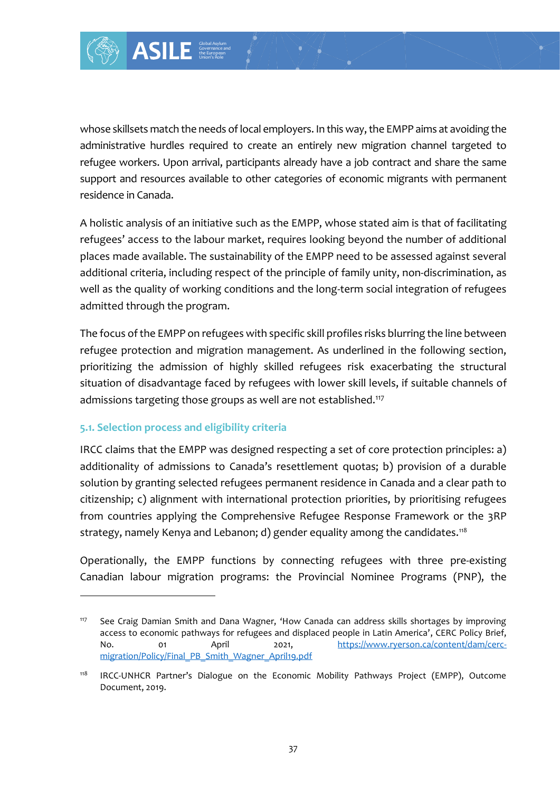

whose skillsets match the needs of local employers. In this way, the EMPP aims at avoiding the administrative hurdles required to create an entirely new migration channel targeted to refugee workers. Upon arrival, participants already have a job contract and share the same support and resources available to other categories of economic migrants with permanent residence in Canada.

A holistic analysis of an initiative such as the EMPP, whose stated aim is that of facilitating refugees' access to the labour market, requires looking beyond the number of additional places made available. The sustainability of the EMPP need to be assessed against several additional criteria, including respect of the principle of family unity, non-discrimination, as well as the quality of working conditions and the long-term social integration of refugees admitted through the program.

The focus of the EMPP on refugees with specific skill profiles risks blurring the line between refugee protection and migration management. As underlined in the following section, prioritizing the admission of highly skilled refugees risk exacerbating the structural situation of disadvantage faced by refugees with lower skill levels, if suitable channels of admissions targeting those groups as well are not established.<sup>117</sup>

#### **5.1. Selection process and eligibility criteria**

IRCC claims that the EMPP was designed respecting a set of core protection principles: a) additionality of admissions to Canada's resettlement quotas; b) provision of a durable solution by granting selected refugees permanent residence in Canada and a clear path to citizenship; c) alignment with international protection priorities, by prioritising refugees from countries applying the Comprehensive Refugee Response Framework or the 3RP strategy, namely Kenya and Lebanon; d) gender equality among the candidates.<sup>118</sup>

Operationally, the EMPP functions by connecting refugees with three pre-existing Canadian labour migration programs: the Provincial Nominee Programs (PNP), the

<sup>&</sup>lt;sup>117</sup> See Craig Damian Smith and Dana Wagner, 'How Canada can address skills shortages by improving access to economic pathways for refugees and displaced people in Latin America', CERC Policy Brief, No. 01 April 2021, [https://www.ryerson.ca/content/dam/cerc](https://www.ryerson.ca/content/dam/cerc-migration/Policy/Final_PB_Smith_Wagner_April19.pdf)[migration/Policy/Final\\_PB\\_Smith\\_Wagner\\_April19.pdf](https://www.ryerson.ca/content/dam/cerc-migration/Policy/Final_PB_Smith_Wagner_April19.pdf)

<sup>&</sup>lt;sup>118</sup> IRCC-UNHCR Partner's Dialogue on the Economic Mobility Pathways Project (EMPP), Outcome Document, 2019.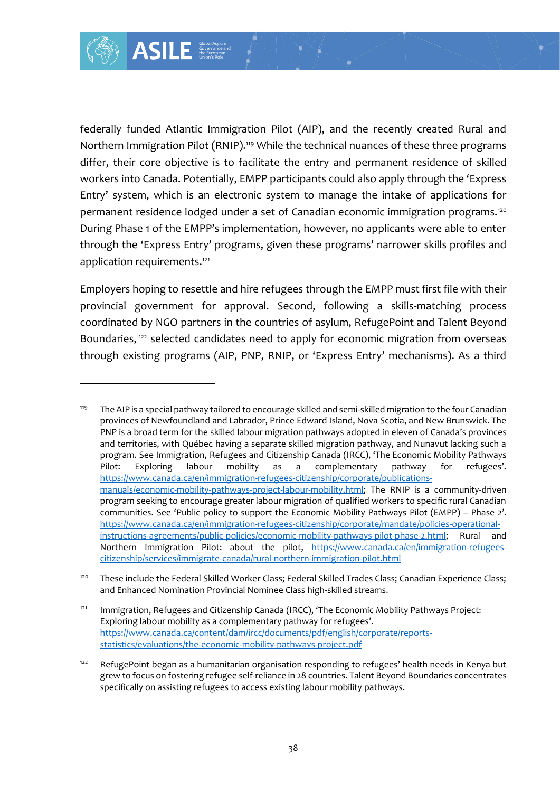federally funded Atlantic Immigration Pilot (AIP), and the recently created Rural and Northern Immigration Pilot (RNIP).<sup>119</sup> While the technical nuances of these three programs differ, their core objective is to facilitate the entry and permanent residence of skilled workers into Canada. Potentially, EMPP participants could also apply through the 'Express Entry' system, which is an electronic system to manage the intake of applications for permanent residence lodged under a set of Canadian economic immigration programs.<sup>120</sup> During Phase 1 of the EMPP's implementation, however, no applicants were able to enter through the 'Express Entry' programs, given these programs' narrower skills profiles and application requirements.<sup>121</sup>

Employers hoping to resettle and hire refugees through the EMPP must first file with their provincial government for approval. Second, following a skills-matching process coordinated by NGO partners in the countries of asylum, RefugePoint and Talent Beyond Boundaries,<sup>122</sup> selected candidates need to apply for economic migration from overseas through existing programs (AIP, PNP, RNIP, or 'Express Entry' mechanisms). As a third

Example 11 State of the state of the state of the state of (RNIP)."9 While the<br>
ve is to facilitate the<br>
entially, EMPP partic<br>
an electronic system<br>
ged under a set of C<br>
PP's implementation<br>
ry' programs, given t<br>
<sup>121</sup><br> <sup>119</sup> The AIP is a special pathway tailored to encourage skilled and semi-skilled migration to the four Canadian provinces of Newfoundland and Labrador, Prince Edward Island, Nova Scotia, and New Brunswick. The PNP is a broad term for the skilled labour migration pathways adopted in eleven of Canada's provinces and territories, with Québec having a separate skilled migration pathway, and Nunavut lacking such a program. See Immigration, Refugees and Citizenship Canada (IRCC), 'The Economic Mobility Pathways Pilot: Exploring labour mobility as a complementary pathway for refugees'. [https://www.canada.ca/en/immigration-refugees-citizenship/corporate/publications](https://www.canada.ca/en/immigration-refugees-citizenship/corporate/publications-manuals/economic-mobility-pathways-project-labour-mobility.html)[manuals/economic-mobility-pathways-project-labour-mobility.html;](https://www.canada.ca/en/immigration-refugees-citizenship/corporate/publications-manuals/economic-mobility-pathways-project-labour-mobility.html) The RNIP is a community-driven program seeking to encourage greater labour migration of qualified workers to specific rural Canadian communities. See 'Public policy to support the Economic Mobility Pathways Pilot (EMPP) – Phase 2'. [https://www.canada.ca/en/immigration-refugees-citizenship/corporate/mandate/policies-operational](https://www.canada.ca/en/immigration-refugees-citizenship/corporate/mandate/policies-operational-instructions-agreements/public-policies/economic-mobility-pathways-pilot-phase-2.html)[instructions-agreements/public-policies/economic-mobility-pathways-pilot-phase-2.html;](https://www.canada.ca/en/immigration-refugees-citizenship/corporate/mandate/policies-operational-instructions-agreements/public-policies/economic-mobility-pathways-pilot-phase-2.html) Rural and Northern Immigration Pilot: about the pilot, [https://www.canada.ca/en/immigration-refugees](https://www.canada.ca/en/immigration-refugees-citizenship/services/immigrate-canada/rural-northern-immigration-pilot.html)[citizenship/services/immigrate-canada/rural-northern-immigration-pilot.html](https://www.canada.ca/en/immigration-refugees-citizenship/services/immigrate-canada/rural-northern-immigration-pilot.html)

<sup>&</sup>lt;sup>120</sup> These include the Federal Skilled Worker Class; Federal Skilled Trades Class; Canadian Experience Class; and Enhanced Nomination Provincial Nominee Class high-skilled streams.

<sup>&</sup>lt;sup>121</sup> Immigration, Refugees and Citizenship Canada (IRCC), 'The Economic Mobility Pathways Project: Exploring labour mobility as a complementary pathway for refugees'. [https://www.canada.ca/content/dam/ircc/documents/pdf/english/corporate/reports](https://www.canada.ca/content/dam/ircc/documents/pdf/english/corporate/reports-statistics/evaluations/the-economic-mobility-pathways-project.pdf)[statistics/evaluations/the-economic-mobility-pathways-project.pdf](https://www.canada.ca/content/dam/ircc/documents/pdf/english/corporate/reports-statistics/evaluations/the-economic-mobility-pathways-project.pdf)

RefugePoint began as a humanitarian organisation responding to refugees' health needs in Kenya but grew to focus on fostering refugee self-reliance in 28 countries. Talent Beyond Boundaries concentrates specifically on assisting refugees to access existing labour mobility pathways.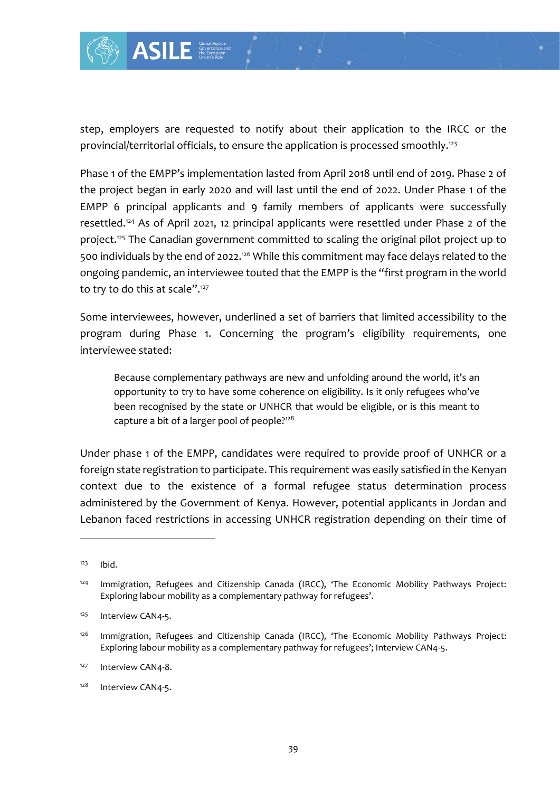

step, employers are requested to notify about their application to the IRCC or the provincial/territorial officials, to ensure the application is processed smoothly.<sup>123</sup>

Phase 1 of the EMPP's implementation lasted from April 2018 until end of 2019. Phase 2 of the project began in early 2020 and will last until the end of 2022. Under Phase 1 of the EMPP 6 principal applicants and 9 family members of applicants were successfully resettled.<sup>124</sup> As of April 2021, 12 principal applicants were resettled under Phase 2 of the project.<sup>125</sup> The Canadian government committed to scaling the original pilot project up to 500 individuals by the end of 2022.<sup>126</sup> While this commitment may face delays related to the ongoing pandemic, an interviewee touted that the EMPP is the "first program in the world to try to do this at scale".<sup>127</sup>

Some interviewees, however, underlined a set of barriers that limited accessibility to the program during Phase 1. Concerning the program's eligibility requirements, one interviewee stated:

Because complementary pathways are new and unfolding around the world, it's an opportunity to try to have some coherence on eligibility. Is it only refugees who've been recognised by the state or UNHCR that would be eligible, or is this meant to capture a bit of a larger pool of people?<sup>128</sup>

Under phase 1 of the EMPP, candidates were required to provide proof of UNHCR or a foreign state registration to participate. This requirement was easily satisfied in the Kenyan context due to the existence of a formal refugee status determination process administered by the Government of Kenya. However, potential applicants in Jordan and Lebanon faced restrictions in accessing UNHCR registration depending on their time of

 $123$  Ibid.

<sup>&</sup>lt;sup>124</sup> Immigration, Refugees and Citizenship Canada (IRCC), 'The Economic Mobility Pathways Project: Exploring labour mobility as a complementary pathway for refugees'.

<sup>&</sup>lt;sup>125</sup> Interview CAN4-5.

<sup>&</sup>lt;sup>126</sup> Immigration, Refugees and Citizenship Canada (IRCC), 'The Economic Mobility Pathways Project: Exploring labour mobility as a complementary pathway for refugees'; Interview CAN4-5.

<sup>&</sup>lt;sup>127</sup> Interview CAN4-8.

<sup>&</sup>lt;sup>128</sup> Interview CAN4-5.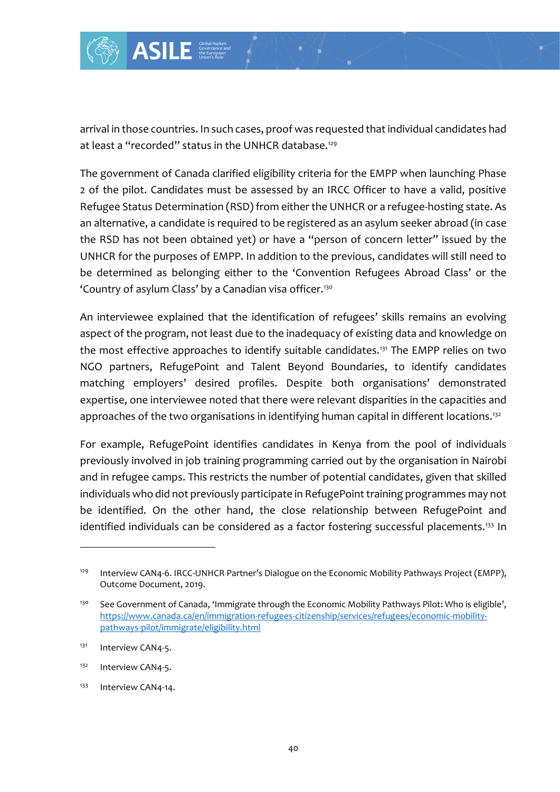

arrival in those countries. In such cases, proof was requested that individual candidates had at least a "recorded" status in the UNHCR database.<sup>129</sup>

The government of Canada clarified eligibility criteria for the EMPP when launching Phase 2 of the pilot. Candidates must be assessed by an IRCC Officer to have a valid, positive Refugee Status Determination (RSD) from either the UNHCR or a refugee-hosting state. As an alternative, a candidate is required to be registered as an asylum seeker abroad (in case the RSD has not been obtained yet) *or* have a "person of concern letter" issued by the UNHCR for the purposes of EMPP. In addition to the previous, candidates will still need to be determined as belonging either to the 'Convention Refugees Abroad Class' or the 'Country of asylum Class' by a Canadian visa officer.<sup>130</sup>

An interviewee explained that the identification of refugees' skills remains an evolving aspect of the program, not least due to the inadequacy of existing data and knowledge on the most effective approaches to identify suitable candidates.<sup>131</sup> The EMPP relies on two NGO partners, RefugePoint and Talent Beyond Boundaries, to identify candidates matching employers' desired profiles. Despite both organisations' demonstrated expertise, one interviewee noted that there were relevant disparities in the capacities and approaches of the two organisations in identifying human capital in different locations.<sup>132</sup>

For example, RefugePoint identifies candidates in Kenya from the pool of individuals previously involved in job training programming carried out by the organisation in Nairobi and in refugee camps. This restricts the number of potential candidates, given that skilled individuals who did not previously participate in RefugePoint training programmes may not be identified. On the other hand, the close relationship between RefugePoint and identified individuals can be considered as a factor fostering successful placements.<sup>133</sup> In

<sup>&</sup>lt;sup>129</sup> Interview CAN4-6. IRCC-UNHCR Partner's Dialogue on the Economic Mobility Pathways Project (EMPP), Outcome Document, 2019.

<sup>&</sup>lt;sup>130</sup> See Government of Canada, 'Immigrate through the Economic Mobility Pathways Pilot: Who is eligible', [https://www.canada.ca/en/immigration-refugees-citizenship/services/refugees/economic-mobility](https://www.canada.ca/en/immigration-refugees-citizenship/services/refugees/economic-mobility-pathways-pilot/immigrate/eligibility.html)[pathways-pilot/immigrate/eligibility.html](https://www.canada.ca/en/immigration-refugees-citizenship/services/refugees/economic-mobility-pathways-pilot/immigrate/eligibility.html)

<sup>&</sup>lt;sup>131</sup> Interview CAN4-5.

<sup>132</sup> Interview CAN4-5.

<sup>&</sup>lt;sup>133</sup> Interview CAN4-14.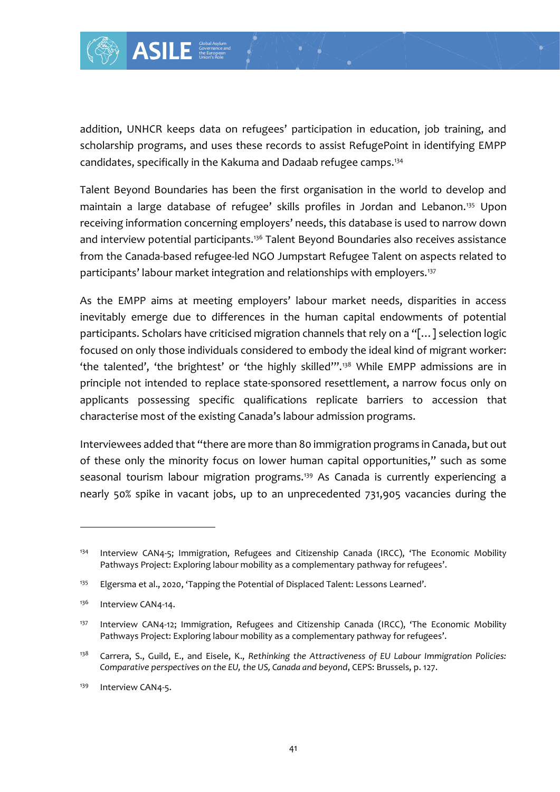

addition, UNHCR keeps data on refugees' participation in education, job training, and scholarship programs, and uses these records to assist RefugePoint in identifying EMPP candidates, specifically in the Kakuma and Dadaab refugee camps.<sup>134</sup>

Talent Beyond Boundaries has been the first organisation in the world to develop and maintain a large database of refugee' skills profiles in Jordan and Lebanon.<sup>135</sup> Upon receiving information concerning employers' needs, this database is used to narrow down and interview potential participants.<sup>136</sup> Talent Beyond Boundaries also receives assistance from the Canada-based refugee-led NGO Jumpstart Refugee Talent on aspects related to participants' labour market integration and relationships with employers.<sup>137</sup>

As the EMPP aims at meeting employers' labour market needs, disparities in access inevitably emerge due to differences in the human capital endowments of potential participants. Scholars have criticised migration channels that rely on a "[…] selection logic focused on only those individuals considered to embody the ideal kind of migrant worker: 'the talented', 'the brightest' or 'the highly skilled'".<sup>138</sup> While EMPP admissions are in principle not intended to replace state-sponsored resettlement, a narrow focus only on applicants possessing specific qualifications replicate barriers to accession that characterise most of the existing Canada's labour admission programs.

Interviewees added that "there are more than 80 immigration programs in Canada, but out of these only the minority focus on lower human capital opportunities," such as some seasonal tourism labour migration programs.<sup>139</sup> As Canada is currently experiencing a nearly 50% spike in vacant jobs, up to an unprecedented 731,905 vacancies during the

<sup>&</sup>lt;sup>134</sup> Interview CAN4-5; Immigration, Refugees and Citizenship Canada (IRCC), 'The Economic Mobility Pathways Project: Exploring labour mobility as a complementary pathway for refugees'.

<sup>&</sup>lt;sup>135</sup> Elgersma et al., 2020, 'Tapping the Potential of Displaced Talent: Lessons Learned'.

<sup>&</sup>lt;sup>136</sup> Interview CAN4-14.

<sup>&</sup>lt;sup>137</sup> Interview CAN4-12; Immigration, Refugees and Citizenship Canada (IRCC), 'The Economic Mobility Pathways Project: Exploring labour mobility as a complementary pathway for refugees'.

<sup>138</sup> Carrera, S., Guild, E., and Eisele, K., *Rethinking the Attractiveness of EU Labour Immigration Policies: Comparative perspectives on the EU, the US, Canada and beyond*, CEPS: Brussels, p. 127.

<sup>&</sup>lt;sup>139</sup> Interview CAN4-5.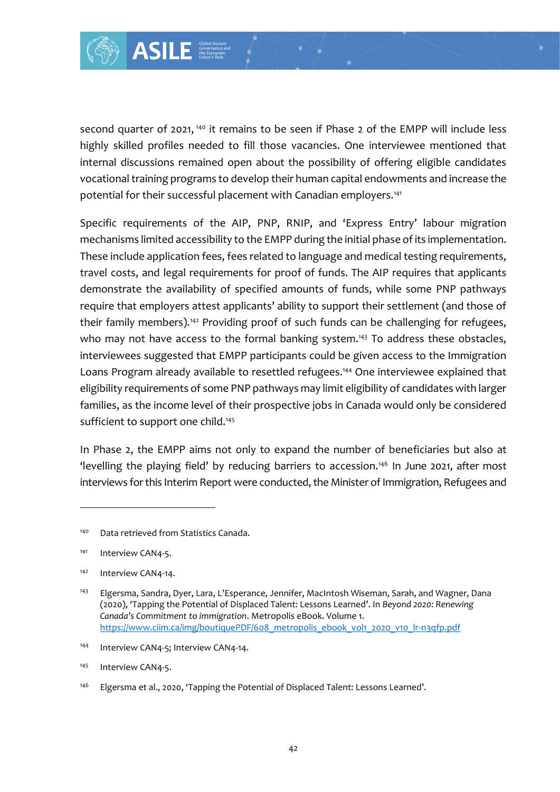

second quarter of 2021,<sup>140</sup> it remains to be seen if Phase 2 of the EMPP will include less highly skilled profiles needed to fill those vacancies. One interviewee mentioned that internal discussions remained open about the possibility of offering eligible candidates vocational training programs to develop their human capital endowments and increase the potential for their successful placement with Canadian employers.<sup>141</sup>

Specific requirements of the AIP, PNP, RNIP, and 'Express Entry' labour migration mechanisms limited accessibility to the EMPP during the initial phase of its implementation. These include application fees, fees related to language and medical testing requirements, travel costs, and legal requirements for proof of funds. The AIP requires that applicants demonstrate the availability of specified amounts of funds, while some PNP pathways require that employers attest applicants' ability to support their settlement (and those of their family members).<sup>142</sup> Providing proof of such funds can be challenging for refugees, who may not have access to the formal banking system.<sup>143</sup> To address these obstacles, interviewees suggested that EMPP participants could be given access to the Immigration Loans Program already available to resettled refugees.<sup>144</sup> One interviewee explained that eligibility requirements of some PNP pathways may limit eligibility of candidates with larger families, as the income level of their prospective jobs in Canada would only be considered sufficient to support one child.<sup>145</sup>

In Phase 2, the EMPP aims not only to expand the number of beneficiaries but also at 'levelling the playing field' by reducing barriers to accession.<sup>146</sup> In June 2021, after most interviews for this Interim Report were conducted, the Minister of Immigration, Refugees and

- 144 Interview CAN4-5; Interview CAN4-14.
- <sup>145</sup> Interview CAN4-5.
- <sup>146</sup> Elgersma et al., 2020, 'Tapping the Potential of Displaced Talent: Lessons Learned'.

<sup>140</sup> Data retrieved from Statistics Canada.

<sup>&</sup>lt;sup>141</sup> Interview CAN4-5.

<sup>&</sup>lt;sup>142</sup> Interview CAN4-14.

<sup>&</sup>lt;sup>143</sup> Elgersma, Sandra, Dyer, Lara, L'Esperance, Jennifer, MacIntosh Wiseman, Sarah, and Wagner, Dana (2020), 'Tapping the Potential of Displaced Talent: Lessons Learned'. In *Beyond 2020: Renewing Canada's Commitment to immigration*. Metropolis eBook. Volume 1. https://www.ciim.ca/img/boutiquePDF/608 metropolis ebook vol1 2020 v10 lr-n3qfp.pdf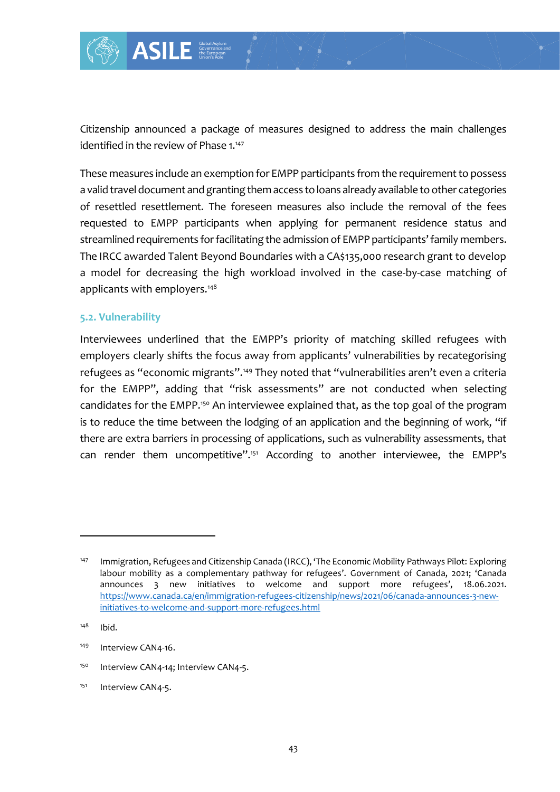

Citizenship announced a package of measures designed to address the main challenges identified in the review of Phase 1.<sup>147</sup>

These measures include an exemption for EMPP participants from the requirement to possess a valid travel document and granting them access to loans already available to other categories of resettled resettlement. The foreseen measures also include the removal of the fees requested to EMPP participants when applying for permanent residence status and streamlined requirements for facilitating the admission of EMPP participants' family members. The IRCC awarded Talent Beyond Boundaries with a CA\$135,000 research grant to develop a model for decreasing the high workload involved in the case-by-case matching of applicants with employers.<sup>148</sup>

#### **5.2. Vulnerability**

Interviewees underlined that the EMPP's priority of matching skilled refugees with employers clearly shifts the focus away from applicants' vulnerabilities by recategorising refugees as "economic migrants".<sup>149</sup> They noted that "vulnerabilities aren't even a criteria for the EMPP", adding that "risk assessments" are not conducted when selecting candidates for the EMPP.<sup>150</sup> An interviewee explained that, as the top goal of the program is to reduce the time between the lodging of an application and the beginning of work, "if there are extra barriers in processing of applications, such as vulnerability assessments, that can render them uncompetitive".<sup>151</sup> According to another interviewee, the EMPP's

<sup>150</sup> Interview CAN4-14; Interview CAN4-5.

<sup>&</sup>lt;sup>147</sup> Immigration, Refugees and Citizenship Canada (IRCC), 'The Economic Mobility Pathways Pilot: Exploring labour mobility as a complementary pathway for refugees'. Government of Canada, 2021; 'Canada announces 3 new initiatives to welcome and support more refugees', 18.06.2021. [https://www.canada.ca/en/immigration-refugees-citizenship/news/2021/06/canada-announces-3-new](https://www.canada.ca/en/immigration-refugees-citizenship/news/2021/06/canada-announces-3-new-initiatives-to-welcome-and-support-more-refugees.html)[initiatives-to-welcome-and-support-more-refugees.html](https://www.canada.ca/en/immigration-refugees-citizenship/news/2021/06/canada-announces-3-new-initiatives-to-welcome-and-support-more-refugees.html)

<sup>148</sup> Ibid.

<sup>&</sup>lt;sup>149</sup> Interview CAN4-16.

<sup>&</sup>lt;sup>151</sup> Interview CAN4-5.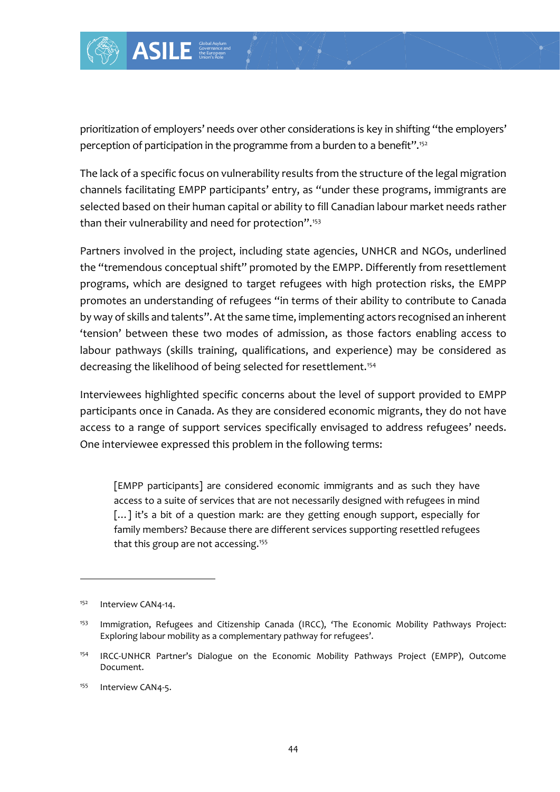

prioritization of employers' needs over other considerations is key in shifting "the employers' perception of participation in the programme from a burden to a benefit".<sup>152</sup>

The lack of a specific focus on vulnerability results from the structure of the legal migration channels facilitating EMPP participants' entry, as "under these programs, immigrants are selected based on their human capital or ability to fill Canadian labour market needs rather than their vulnerability and need for protection".<sup>153</sup>

Partners involved in the project, including state agencies, UNHCR and NGOs, underlined the "tremendous conceptual shift" promoted by the EMPP. Differently from resettlement programs, which are designed to target refugees with high protection risks, the EMPP promotes an understanding of refugees "in terms of their ability to contribute to Canada by way of skills and talents". At the same time, implementing actors recognised an inherent 'tension' between these two modes of admission, as those factors enabling access to labour pathways (skills training, qualifications, and experience) may be considered as decreasing the likelihood of being selected for resettlement.<sup>154</sup>

Interviewees highlighted specific concerns about the level of support provided to EMPP participants once in Canada. As they are considered economic migrants, they do not have access to a range of support services specifically envisaged to address refugees' needs. One interviewee expressed this problem in the following terms:

[EMPP participants] are considered economic immigrants and as such they have access to a suite of services that are not necessarily designed with refugees in mind [...] it's a bit of a question mark: are they getting enough support, especially for family members? Because there are different services supporting resettled refugees that this group are not accessing.<sup>155</sup>

<sup>&</sup>lt;sup>152</sup> Interview CAN4-14.

<sup>&</sup>lt;sup>153</sup> Immigration, Refugees and Citizenship Canada (IRCC), 'The Economic Mobility Pathways Project: Exploring labour mobility as a complementary pathway for refugees'.

<sup>154</sup> IRCC-UNHCR Partner's Dialogue on the Economic Mobility Pathways Project (EMPP), Outcome Document.

<sup>&</sup>lt;sup>155</sup> Interview CAN4-5.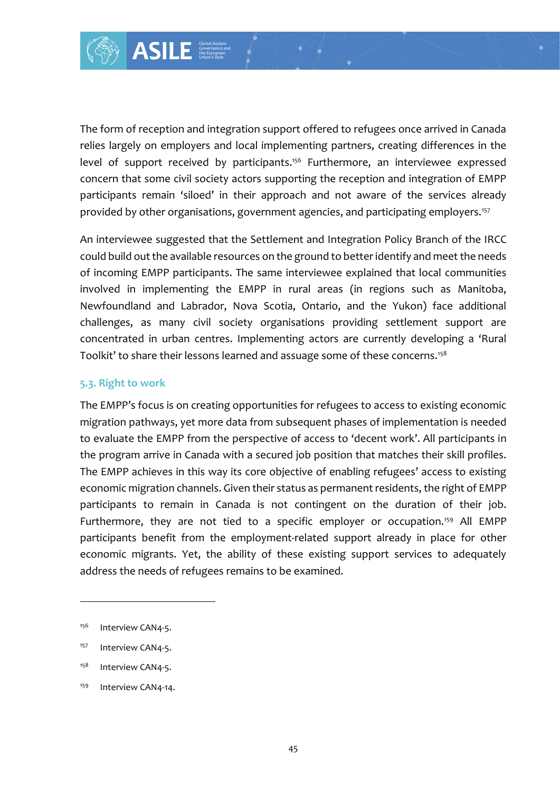

The form of reception and integration support offered to refugees once arrived in Canada relies largely on employers and local implementing partners, creating differences in the level of support received by participants.<sup>156</sup> Furthermore, an interviewee expressed concern that some civil society actors supporting the reception and integration of EMPP participants remain 'siloed' in their approach and not aware of the services already provided by other organisations, government agencies, and participating employers.<sup>157</sup>

An interviewee suggested that the Settlement and Integration Policy Branch of the IRCC could build out the available resources on the ground to better identify and meet the needs of incoming EMPP participants. The same interviewee explained that local communities involved in implementing the EMPP in rural areas (in regions such as Manitoba, Newfoundland and Labrador, Nova Scotia, Ontario, and the Yukon) face additional challenges, as many civil society organisations providing settlement support are concentrated in urban centres. Implementing actors are currently developing a 'Rural Toolkit' to share their lessons learned and assuage some of these concerns.<sup>158</sup>

#### **5.3. Right to work**

The EMPP's focus is on creating opportunities for refugees to access to existing economic migration pathways, yet more data from subsequent phases of implementation is needed to evaluate the EMPP from the perspective of access to 'decent work'. All participants in the program arrive in Canada with a secured job position that matches their skill profiles. The EMPP achieves in this way its core objective of enabling refugees' access to existing economic migration channels. Given their status as permanent residents, the right of EMPP participants to remain in Canada is not contingent on the duration of their job. Furthermore, they are not tied to a specific employer or occupation.<sup>159</sup> All EMPP participants benefit from the employment-related support already in place for other economic migrants. Yet, the ability of these existing support services to adequately address the needs of refugees remains to be examined.

<sup>&</sup>lt;sup>156</sup> Interview CAN4-5.

<sup>&</sup>lt;sup>157</sup> Interview CAN4-5.

<sup>&</sup>lt;sup>158</sup> Interview CAN4-5.

<sup>&</sup>lt;sup>159</sup> Interview CAN4-14.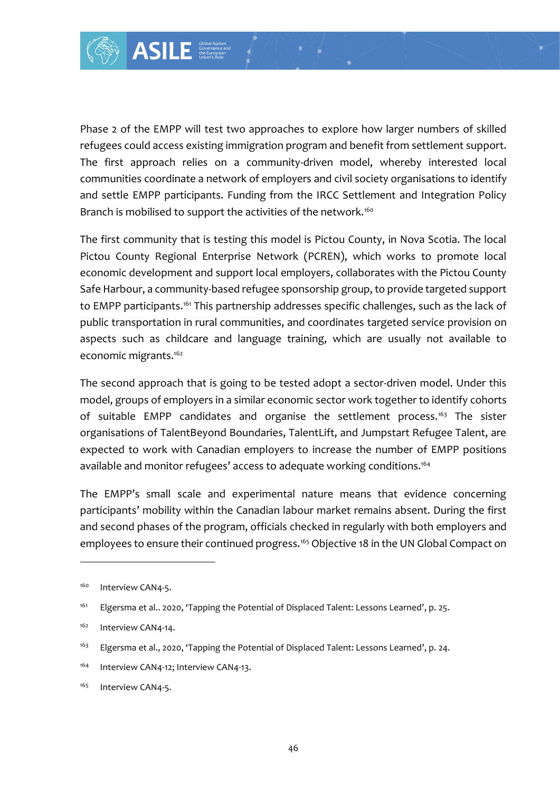

Governance and the European Union's Role

Phase 2 of the EMPP will test two approaches to explore how larger numbers of skilled refugees could access existing immigration program and benefit from settlement support. The first approach relies on a community-driven model, whereby interested local communities coordinate a network of employers and civil society organisations to identify and settle EMPP participants. Funding from the IRCC Settlement and Integration Policy Branch is mobilised to support the activities of the network.<sup>160</sup>

France I<br>
Lest two approaches<br>
Lest two approaches<br>
Lest two approaches<br>
Lest two approaches<br>
a network of employ<br>
annts. Funding from<br>
pport the activities of<br>
Linearly the activities of<br>
Linearly based refugee spo<br>
his p The first community that is testing this model is Pictou County, in Nova Scotia. The local Pictou County Regional Enterprise Network (PCREN), which works to promote local economic development and support local employers, collaborates with the Pictou County Safe Harbour, a community-based refugee sponsorship group, to provide targeted support to EMPP participants.<sup>161</sup> This partnership addresses specific challenges, such as the lack of public transportation in rural communities, and coordinates targeted service provision on aspects such as childcare and language training, which are usually not available to economic migrants.<sup>162</sup>

The second approach that is going to be tested adopt a sector-driven model. Under this model, groups of employers in a similar economic sector work together to identify cohorts of suitable EMPP candidates and organise the settlement process.<sup>163</sup> The sister organisations of TalentBeyond Boundaries, TalentLift, and Jumpstart Refugee Talent, are expected to work with Canadian employers to increase the number of EMPP positions available and monitor refugees' access to adequate working conditions.<sup>164</sup>

The EMPP's small scale and experimental nature means that evidence concerning participants' mobility within the Canadian labour market remains absent. During the first and second phases of the program, officials checked in regularly with both employers and employees to ensure their continued progress.<sup>165</sup> Objective 18 in the UN Global Compact on

<sup>&</sup>lt;sup>160</sup> Interview CAN4-5.

<sup>161</sup> Elgersma et al.. 2020, 'Tapping the Potential of Displaced Talent: Lessons Learned', p. 25.

<sup>&</sup>lt;sup>162</sup> Interview CAN4-14.

<sup>&</sup>lt;sup>163</sup> Elgersma et al., 2020, 'Tapping the Potential of Displaced Talent: Lessons Learned', p. 24.

<sup>164</sup> Interview CAN4-12; Interview CAN4-13.

<sup>&</sup>lt;sup>165</sup> Interview CAN4-5.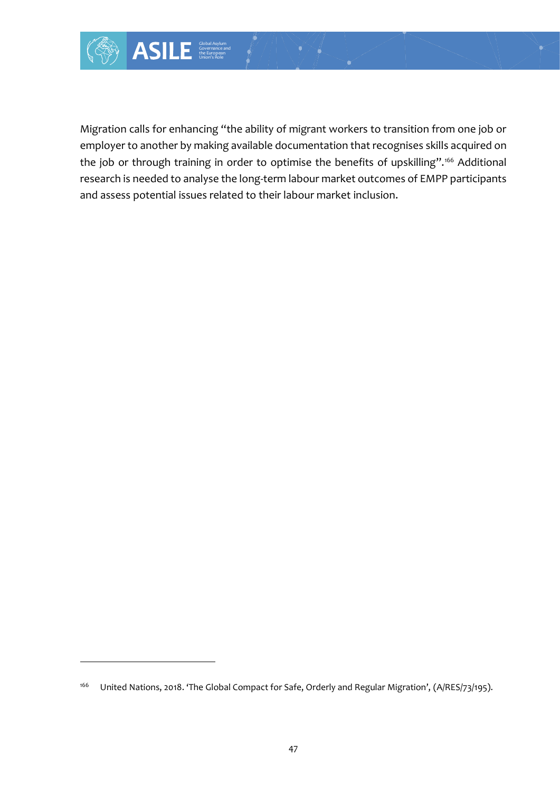Migration calls for enhancing "the ability of migrant workers to transition from one job or employer to another by making available documentation that recognises skills acquired on the job or through training in order to optimise the benefits of upskilling".<sup>166</sup> Additional research is needed to analyse the long-term labour market outcomes of EMPP participants and assess potential issues related to their labour market inclusion.

<sup>166</sup> United Nations, 2018. 'The Global Compact for Safe, Orderly and Regular Migration', (A/RES/73/195).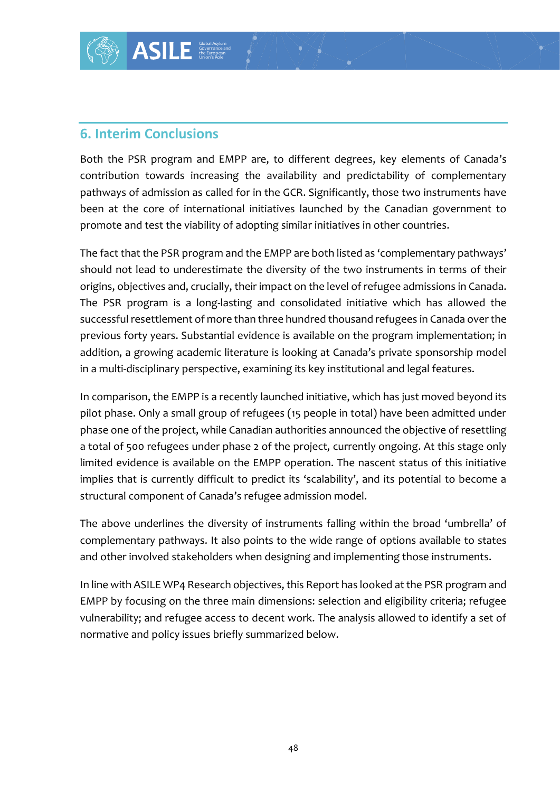## **6. Interim Conclusions**

Both the PSR program and EMPP are, to different degrees, key elements of Canada's contribution towards increasing the availability and predictability of complementary pathways of admission as called for in the GCR. Significantly, those two instruments have been at the core of international initiatives launched by the Canadian government to promote and test the viability of adopting similar initiatives in other countries.

**ONS**<br> **ONS**<br> **ONS**<br> **ONS**<br> **EXECUTE ASSEMPLY ASSEMPLY**<br> **SCALUTE ASSEMPLY**<br> **SCALUTE ASSEMPLY**<br> **SCALUTE ASSEMPLY**<br> **SCALUTE ASSEMPLY**<br> **SCALUTE ASSEMPLY**<br> **ONE-**<br> **ONE-**<br> **ONEXELUTE ASSEMPLY**<br> **EXECUTE ASSEMPLY**<br> **ONEXEL** The fact that the PSR program and the EMPP are both listed as 'complementary pathways' should not lead to underestimate the diversity of the two instruments in terms of their origins, objectives and, crucially, their impact on the level of refugee admissions in Canada. The PSR program is a long-lasting and consolidated initiative which has allowed the successful resettlement of more than three hundred thousand refugees in Canada over the previous forty years. Substantial evidence is available on the program implementation; in addition, a growing academic literature is looking at Canada's private sponsorship model in a multi-disciplinary perspective, examining its key institutional and legal features.

In comparison, the EMPP is a recently launched initiative, which has just moved beyond its pilot phase. Only a small group of refugees (15 people in total) have been admitted under phase one of the project, while Canadian authorities announced the objective of resettling a total of 500 refugees under phase 2 of the project, currently ongoing. At this stage only limited evidence is available on the EMPP operation. The nascent status of this initiative implies that is currently difficult to predict its 'scalability', and its potential to become a structural component of Canada's refugee admission model.

The above underlines the diversity of instruments falling within the broad 'umbrella' of complementary pathways. It also points to the wide range of options available to states and other involved stakeholders when designing and implementing those instruments.

In line with ASILE WP4 Research objectives, this Report has looked at the PSR program and EMPP by focusing on the three main dimensions: selection and eligibility criteria; refugee vulnerability; and refugee access to decent work. The analysis allowed to identify a set of normative and policy issues briefly summarized below.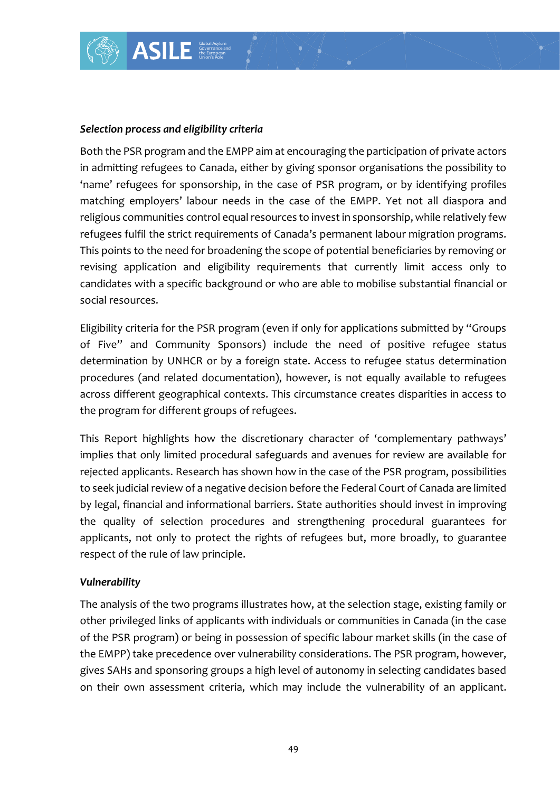

Both the PSR program and the EMPP aim at encouraging the participation of private actors in admitting refugees to Canada, either by giving sponsor organisations the possibility to 'name' refugees for sponsorship, in the case of PSR program, or by identifying profiles matching employers' labour needs in the case of the EMPP. Yet not all diaspora and religious communities control equal resources to invest in sponsorship, while relatively few refugees fulfil the strict requirements of Canada's permanent labour migration programs. This points to the need for broadening the scope of potential beneficiaries by removing or revising application and eligibility requirements that currently limit access only to candidates with a specific background or who are able to mobilise substantial financial or social resources.

Eligibility criteria for the PSR program (even if only for applications submitted by "Groups of Five" and Community Sponsors) include the need of positive refugee status determination by UNHCR or by a foreign state. Access to refugee status determination procedures (and related documentation), however, is not equally available to refugees across different geographical contexts. This circumstance creates disparities in access to the program for different groups of refugees.

This Report highlights how the discretionary character of 'complementary pathways' implies that only limited procedural safeguards and avenues for review are available for rejected applicants. Research has shown how in the case of the PSR program, possibilities to seek judicial review of a negative decision before the Federal Court of Canada are limited by legal, financial and informational barriers. State authorities should invest in improving the quality of selection procedures and strengthening procedural guarantees for applicants, not only to protect the rights of refugees but, more broadly, to guarantee respect of the rule of law principle.

#### *Vulnerability*

The analysis of the two programs illustrates how, at the selection stage, existing family or other privileged links of applicants with individuals or communities in Canada (in the case of the PSR program) or being in possession of specific labour market skills (in the case of the EMPP) take precedence over vulnerability considerations. The PSR program, however, gives SAHs and sponsoring groups a high level of autonomy in selecting candidates based on their own assessment criteria, which may include the vulnerability of an applicant.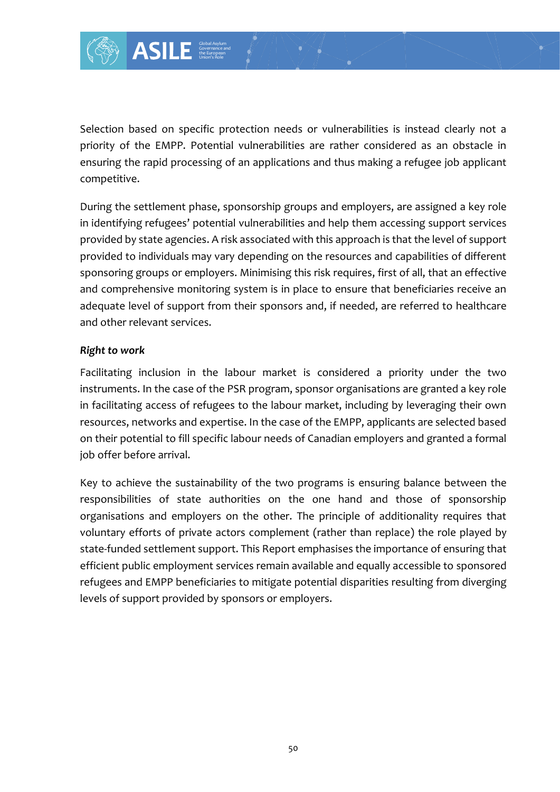

Selection based on specific protection needs or vulnerabilities is instead clearly not a priority of the EMPP. Potential vulnerabilities are rather considered as an obstacle in ensuring the rapid processing of an applications and thus making a refugee job applicant competitive.

During the settlement phase, sponsorship groups and employers, are assigned a key role in identifying refugees' potential vulnerabilities and help them accessing support services provided by state agencies. A risk associated with this approach is that the level of support provided to individuals may vary depending on the resources and capabilities of different sponsoring groups or employers. Minimising this risk requires, first of all, that an effective and comprehensive monitoring system is in place to ensure that beneficiaries receive an adequate level of support from their sponsors and, if needed, are referred to healthcare and other relevant services.

#### *Right to work*

Facilitating inclusion in the labour market is considered a priority under the two instruments. In the case of the PSR program, sponsor organisations are granted a key role in facilitating access of refugees to the labour market, including by leveraging their own resources, networks and expertise. In the case of the EMPP, applicants are selected based on their potential to fill specific labour needs of Canadian employers and granted a formal job offer before arrival.

Key to achieve the sustainability of the two programs is ensuring balance between the responsibilities of state authorities on the one hand and those of sponsorship organisations and employers on the other. The principle of additionality requires that voluntary efforts of private actors complement (rather than replace) the role played by state-funded settlement support. This Report emphasises the importance of ensuring that efficient public employment services remain available and equally accessible to sponsored refugees and EMPP beneficiaries to mitigate potential disparities resulting from diverging levels of support provided by sponsors or employers.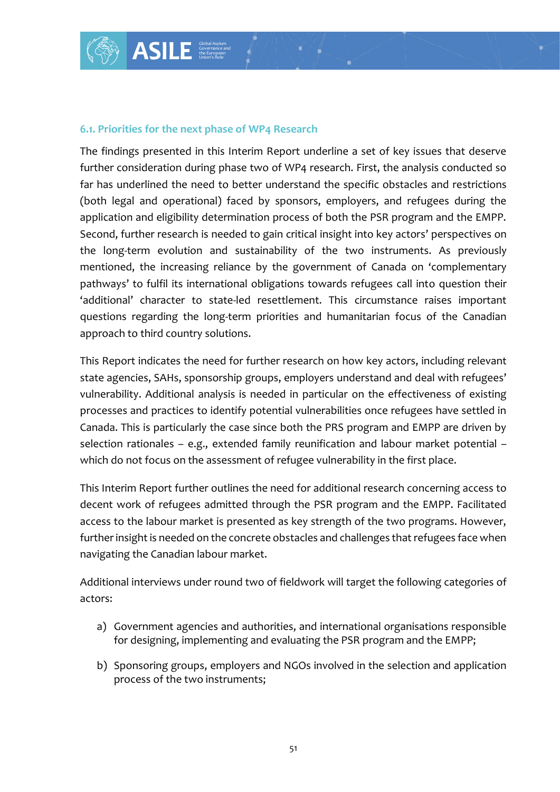#### **6.1. Priorities for the next phase of WP4 Research**

The findings presented in this Interim Report underline a set of key issues that deserve further consideration during phase two of WP4 research. First, the analysis conducted so far has underlined the need to better understand the specific obstacles and restrictions (both legal and operational) faced by sponsors, employers, and refugees during the application and eligibility determination process of both the PSR program and the EMPP. Second, further research is needed to gain critical insight into key actors' perspectives on the long-term evolution and sustainability of the two instruments. As previously mentioned, the increasing reliance by the government of Canada on 'complementary pathways' to fulfil its international obligations towards refugees call into question their 'additional' character to state-led resettlement. This circumstance raises important questions regarding the long-term priorities and humanitarian focus of the Canadian approach to third country solutions.

This Report indicates the need for further research on how key actors, including relevant state agencies, SAHs, sponsorship groups, employers understand and deal with refugees' vulnerability. Additional analysis is needed in particular on the effectiveness of existing processes and practices to identify potential vulnerabilities once refugees have settled in Canada. This is particularly the case since both the PRS program and EMPP are driven by selection rationales – e.g., extended family reunification and labour market potential – which do not focus on the assessment of refugee vulnerability in the first place.

This Interim Report further outlines the need for additional research concerning access to decent work of refugees admitted through the PSR program and the EMPP. Facilitated access to the labour market is presented as key strength of the two programs. However, further insight is needed on the concrete obstacles and challenges that refugees face when navigating the Canadian labour market.

Additional interviews under round two of fieldwork will target the following categories of actors:

- a) Government agencies and authorities, and international organisations responsible for designing, implementing and evaluating the PSR program and the EMPP;
- b) Sponsoring groups, employers and NGOs involved in the selection and application process of the two instruments;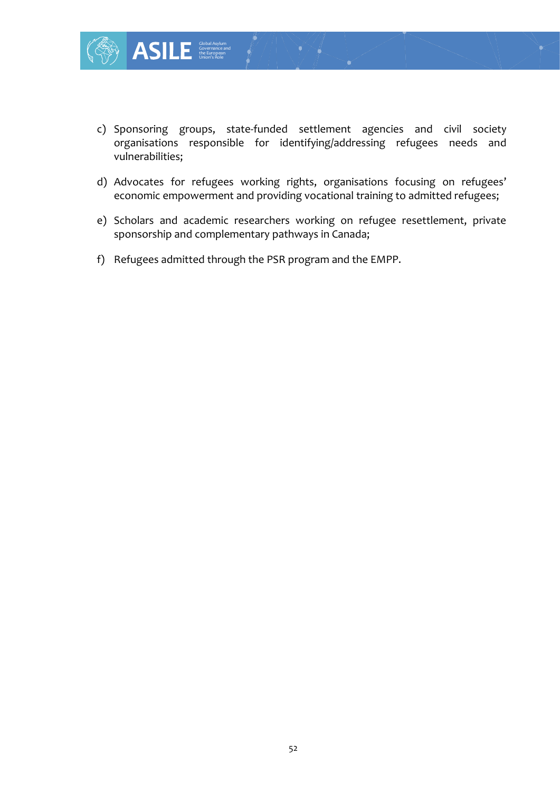

- c) Sponsoring groups, state-funded settlement agencies and civil society organisations responsible for identifying/addressing refugees needs and vulnerabilities;
- d) Advocates for refugees working rights, organisations focusing on refugees' economic empowerment and providing vocational training to admitted refugees;
- e) Scholars and academic researchers working on refugee resettlement, private sponsorship and complementary pathways in Canada;
- f) Refugees admitted through the PSR program and the EMPP.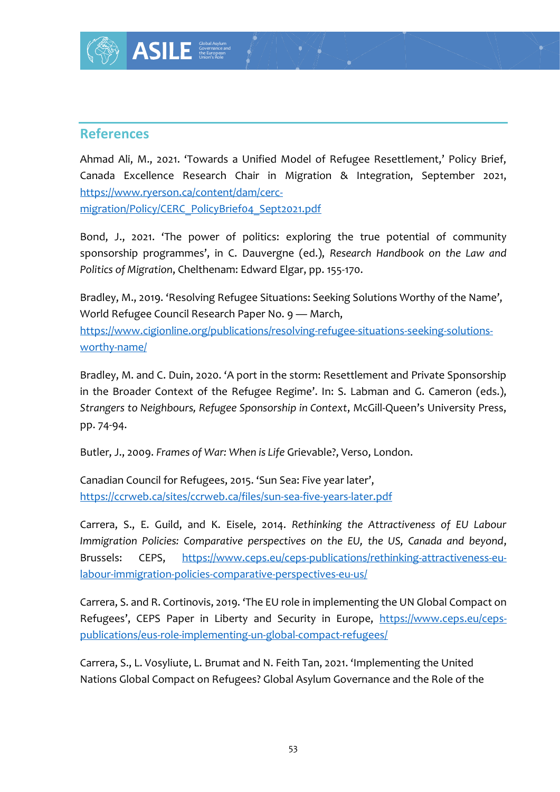### **References**

Ahmad Ali, M., 2021. 'Towards a Unified Model of Refugee Resettlement,' Policy Brief, Canada Excellence Research Chair in Migration & Integration, September 2021, [https://www.ryerson.ca/content/dam/cerc-](https://www.ryerson.ca/content/dam/cerc-migration/Policy/CERC_PolicyBrief04_Sept2021.pdf)

[migration/Policy/CERC\\_PolicyBrief04\\_Sept2021.pdf](https://www.ryerson.ca/content/dam/cerc-migration/Policy/CERC_PolicyBrief04_Sept2021.pdf) 

Bond, J., 2021. 'The power of politics: exploring the true potential of community sponsorship programmes', in C. Dauvergne (ed.), *Research Handbook on the Law and Politics of Migration*, Chelthenam: Edward Elgar, pp. 155-170.

Bradley, M., 2019. 'Resolving Refugee Situations: Seeking Solutions Worthy of the Name', World Refugee Council Research Paper No. 9 — March, [https://www.cigionline.org/publications/resolving-refugee-situations-seeking-solutions](https://www.cigionline.org/publications/resolving-refugee-situations-seeking-solutions-worthy-name/)[worthy-name/](https://www.cigionline.org/publications/resolving-refugee-situations-seeking-solutions-worthy-name/)

Bradley, M. and C. Duin, 2020. 'A port in the storm: Resettlement and Private Sponsorship in the Broader Context of the Refugee Regime'. In: S. Labman and G. Cameron (eds.), *Strangers to Neighbours, Refugee Sponsorship in Context*, McGill-Queen's University Press, pp. 74-94.

Butler, J., 2009. *Frames of War: When is Life* Grievable?, Verso, London.

Canadian Council for Refugees, 2015. 'Sun Sea: Five year later', <https://ccrweb.ca/sites/ccrweb.ca/files/sun-sea-five-years-later.pdf>

Carrera, S., E. Guild, and K. Eisele, 2014. *Rethinking the Attractiveness of EU Labour Immigration Policies: Comparative perspectives on the EU, the US, Canada and beyond*, Brussels: CEPS, [https://www.ceps.eu/ceps-publications/rethinking-attractiveness-eu](https://www.ceps.eu/ceps-publications/rethinking-attractiveness-eu-labour-immigration-policies-comparative-perspectives-eu-us/)[labour-immigration-policies-comparative-perspectives-eu-us/](https://www.ceps.eu/ceps-publications/rethinking-attractiveness-eu-labour-immigration-policies-comparative-perspectives-eu-us/)

Carrera, S. and R. Cortinovis, 2019. 'The EU role in implementing the UN Global Compact on Refugees', CEPS Paper in Liberty and Security in Europe, [https://www.ceps.eu/ceps](https://www.ceps.eu/ceps-publications/eus-role-implementing-un-global-compact-refugees/)[publications/eus-role-implementing-un-global-compact-refugees/](https://www.ceps.eu/ceps-publications/eus-role-implementing-un-global-compact-refugees/)

Carrera, S., L. Vosyliute, L. Brumat and N. Feith Tan, 2021. 'Implementing the United Nations Global Compact on Refugees? Global Asylum Governance and the Role of the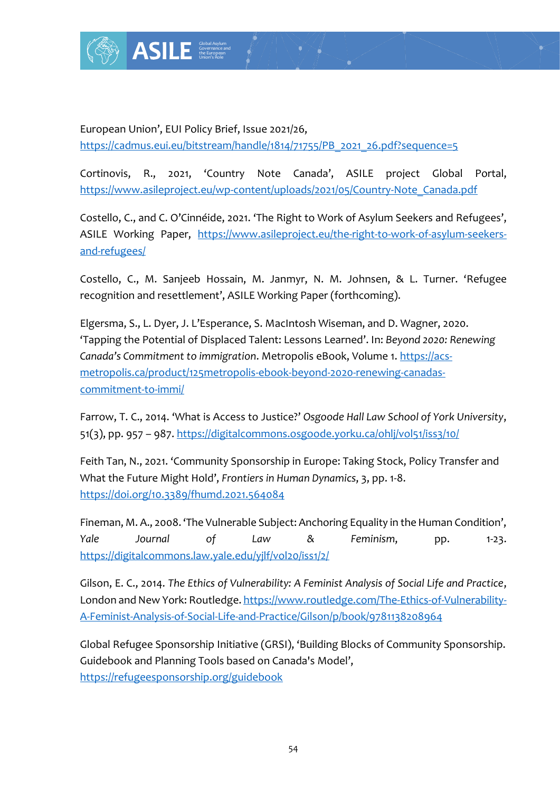

European Union', EUI Policy Brief, Issue 2021/26, [https://cadmus.eui.eu/bitstream/handle/1814/71755/PB\\_2021\\_26.pdf?sequence=5](https://cadmus.eui.eu/bitstream/handle/1814/71755/PB_2021_26.pdf?sequence=5)

Cortinovis, R., 2021, 'Country Note Canada', ASILE project Global Portal, https://www.asileproject.eu/wp-content/uploads/2021/05/Country-Note\_Canada.pdf

Costello, C., and C. O'Cinnéide, 2021. 'The Right to Work of Asylum Seekers and Refugees', ASILE Working Paper, [https://www.asileproject.eu/the-right-to-work-of-asylum-seekers](https://www.asileproject.eu/the-right-to-work-of-asylum-seekers-and-refugees/)[and-refugees/](https://www.asileproject.eu/the-right-to-work-of-asylum-seekers-and-refugees/)

Costello, C., M. Sanjeeb Hossain, M. Janmyr, N. M. Johnsen, & L. Turner. 'Refugee recognition and resettlement', ASILE Working Paper (forthcoming).

Elgersma, S., L. Dyer, J. L'Esperance, S. MacIntosh Wiseman, and D. Wagner, 2020. 'Tapping the Potential of Displaced Talent: Lessons Learned'. In: *Beyond 2020: Renewing Canada's Commitment to immigration*. Metropolis eBook, Volume 1. [https://acs](https://acs-metropolis.ca/product/125metropolis-ebook-beyond-2020-renewing-canadas-commitment-to-immi/)[metropolis.ca/product/125metropolis-ebook-beyond-2020-renewing-canadas](https://acs-metropolis.ca/product/125metropolis-ebook-beyond-2020-renewing-canadas-commitment-to-immi/)[commitment-to-immi/](https://acs-metropolis.ca/product/125metropolis-ebook-beyond-2020-renewing-canadas-commitment-to-immi/)

Farrow, T. C., 2014. 'What is Access to Justice?' *Osgoode Hall Law School of York University*, 51(3), pp. 957 – 987.<https://digitalcommons.osgoode.yorku.ca/ohlj/vol51/iss3/10/>

Feith Tan, N., 2021. 'Community Sponsorship in Europe: Taking Stock, Policy Transfer and What the Future Might Hold', *Frontiers in Human Dynamics*, 3, pp. 1-8. <https://doi.org/10.3389/fhumd.2021.564084>

Fineman, M. A., 2008. 'The Vulnerable Subject: Anchoring Equality in the Human Condition', *Yale Journal of Law & Feminism*, pp. 1-23. <https://digitalcommons.law.yale.edu/yjlf/vol20/iss1/2/>

Gilson, E. C., 2014. *The Ethics of Vulnerability: A Feminist Analysis of Social Life and Practice*, London and New York: Routledge. [https://www.routledge.com/The-Ethics-of-Vulnerability-](https://www.routledge.com/The-Ethics-of-Vulnerability-A-Feminist-Analysis-of-Social-Life-and-Practice/Gilson/p/book/9781138208964)[A-Feminist-Analysis-of-Social-Life-and-Practice/Gilson/p/book/9781138208964](https://www.routledge.com/The-Ethics-of-Vulnerability-A-Feminist-Analysis-of-Social-Life-and-Practice/Gilson/p/book/9781138208964)

Global Refugee Sponsorship Initiative (GRSI), 'Building Blocks of Community Sponsorship. Guidebook and Planning Tools based on Canada's Model', <https://refugeesponsorship.org/guidebook>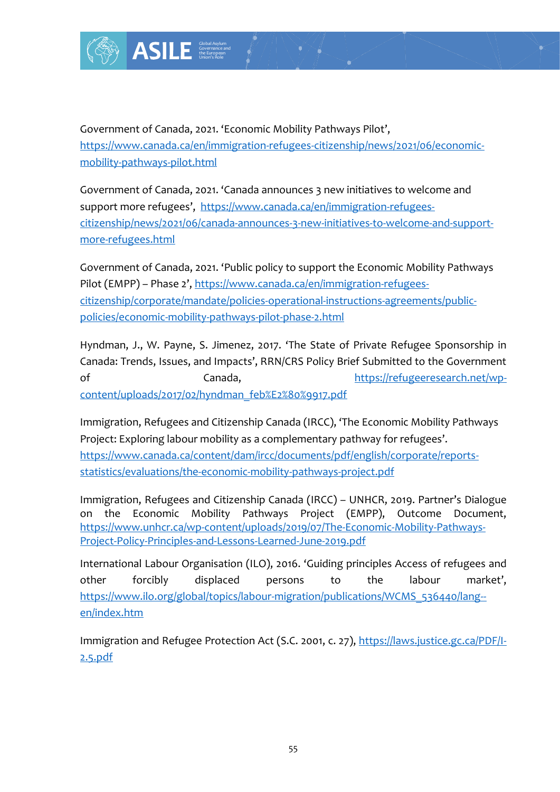

Government of Canada, 2021. 'Economic Mobility Pathways Pilot', [https://www.canada.ca/en/immigration-refugees-citizenship/news/2021/06/economic](https://www.canada.ca/en/immigration-refugees-citizenship/news/2021/06/economic-mobility-pathways-pilot.html)[mobility-pathways-pilot.html](https://www.canada.ca/en/immigration-refugees-citizenship/news/2021/06/economic-mobility-pathways-pilot.html)

Government of Canada, 2021. 'Canada announces 3 new initiatives to welcome and support more refugees', [https://www.canada.ca/en/immigration-refugees](https://www.canada.ca/en/immigration-refugees-citizenship/news/2021/06/canada-announces-3-new-initiatives-to-welcome-and-support-more-refugees.html)[citizenship/news/2021/06/canada-announces-3-new-initiatives-to-welcome-and-support](https://www.canada.ca/en/immigration-refugees-citizenship/news/2021/06/canada-announces-3-new-initiatives-to-welcome-and-support-more-refugees.html)[more-refugees.html](https://www.canada.ca/en/immigration-refugees-citizenship/news/2021/06/canada-announces-3-new-initiatives-to-welcome-and-support-more-refugees.html)

Government of Canada, 2021. 'Public policy to support the Economic Mobility Pathways Pilot (EMPP) – Phase 2', [https://www.canada.ca/en/immigration-refugees](https://www.canada.ca/en/immigration-refugees-citizenship/corporate/mandate/policies-operational-instructions-agreements/public-policies/economic-mobility-pathways-pilot-phase-2.html)[citizenship/corporate/mandate/policies-operational-instructions-agreements/public](https://www.canada.ca/en/immigration-refugees-citizenship/corporate/mandate/policies-operational-instructions-agreements/public-policies/economic-mobility-pathways-pilot-phase-2.html)[policies/economic-mobility-pathways-pilot-phase-2.html](https://www.canada.ca/en/immigration-refugees-citizenship/corporate/mandate/policies-operational-instructions-agreements/public-policies/economic-mobility-pathways-pilot-phase-2.html)

Hyndman, J., W. Payne, S. Jimenez, 2017. 'The State of Private Refugee Sponsorship in Canada: Trends, Issues, and Impacts', RRN/CRS Policy Brief Submitted to the Government of Canada, Canada, [https://refugeeresearch.net/wp](https://refugeeresearch.net/wp-content/uploads/2017/02/hyndman_feb%E2%80%9917.pdf)[content/uploads/2017/02/hyndman\\_feb%E2%80%9917.pdf](https://refugeeresearch.net/wp-content/uploads/2017/02/hyndman_feb%E2%80%9917.pdf)

Immigration, Refugees and Citizenship Canada (IRCC), 'The Economic Mobility Pathways Project: Exploring labour mobility as a complementary pathway for refugees'. [https://www.canada.ca/content/dam/ircc/documents/pdf/english/corporate/reports](https://www.canada.ca/content/dam/ircc/documents/pdf/english/corporate/reports-statistics/evaluations/the-economic-mobility-pathways-project.pdf)[statistics/evaluations/the-economic-mobility-pathways-project.pdf](https://www.canada.ca/content/dam/ircc/documents/pdf/english/corporate/reports-statistics/evaluations/the-economic-mobility-pathways-project.pdf)

Immigration, Refugees and Citizenship Canada (IRCC) – UNHCR, 2019. Partner's Dialogue on the Economic Mobility Pathways Project (EMPP), Outcome Document, [https://www.unhcr.ca/wp-content/uploads/2019/07/The-Economic-Mobility-Pathways-](https://www.unhcr.ca/wp-content/uploads/2019/07/The-Economic-Mobility-Pathways-Project-Policy-Principles-and-Lessons-Learned-June-2019.pdf)[Project-Policy-Principles-and-Lessons-Learned-June-2019.pdf](https://www.unhcr.ca/wp-content/uploads/2019/07/The-Economic-Mobility-Pathways-Project-Policy-Principles-and-Lessons-Learned-June-2019.pdf)

International Labour Organisation (ILO), 2016. 'Guiding principles Access of refugees and other forcibly displaced persons to the labour market', [https://www.ilo.org/global/topics/labour-migration/publications/WCMS\\_536440/lang-](https://www.ilo.org/global/topics/labour-migration/publications/WCMS_536440/lang--en/index.htm) [en/index.htm](https://www.ilo.org/global/topics/labour-migration/publications/WCMS_536440/lang--en/index.htm)

Immigration and Refugee Protection Act (S.C. 2001, c. 27), [https://laws.justice.gc.ca/PDF/I-](https://laws.justice.gc.ca/PDF/I-2.5.pdf)[2.5.pdf](https://laws.justice.gc.ca/PDF/I-2.5.pdf)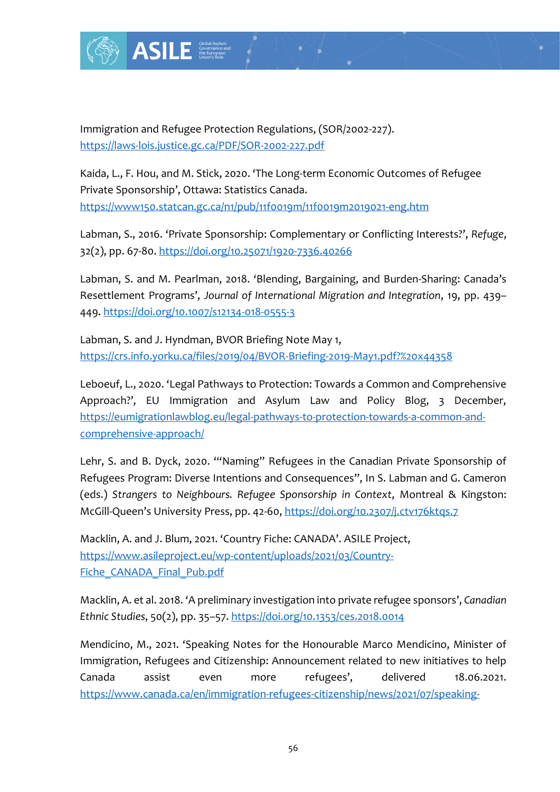

Immigration and Refugee Protection Regulations, (SOR/2002-227). <https://laws-lois.justice.gc.ca/PDF/SOR-2002-227.pdf>

Kaida, L., F. Hou, and M. Stick, 2020. 'The Long-term Economic Outcomes of Refugee Private Sponsorship', Ottawa: Statistics Canada. <https://www150.statcan.gc.ca/n1/pub/11f0019m/11f0019m2019021-eng.htm>

Labman, S., 2016. 'Private Sponsorship: Complementary or Conflicting Interests?', *Refuge*, 32(2), pp. 67-80.<https://doi.org/10.25071/1920-7336.40266>

Labman, S. and M. Pearlman, 2018. 'Blending, Bargaining, and Burden-Sharing: Canada's Resettlement Programs', *Journal of International Migration and Integration*, 19, pp. 439– 449.<https://doi.org/10.1007/s12134-018-0555-3>

Labman, S. and J. Hyndman, BVOR Briefing Note May 1, <https://crs.info.yorku.ca/files/2019/04/BVOR-Briefing-2019-May1.pdf?%20x44358>

Protection Regulation<br>
E.ca/PDF/SOR-2002-22<br>
Stick, 2020. The Long<br>
<u>awa:</u> Statistics Canad<br>
<u>gc.ca/n1/pub/11fo01gn</u><br>
P. Sponsorship: Comp<br>
oi.org/10.25071/1920-<br>
man, 2018. 'Blending<br>
Journal of Internation<br>
Journal of In Leboeuf, L., 2020. 'Legal Pathways to Protection: Towards a Common and Comprehensive Approach?', EU Immigration and Asylum Law and Policy Blog, 3 December, [https://eumigrationlawblog.eu/legal-pathways-to-protection-towards-a-common-and](https://eumigrationlawblog.eu/legal-pathways-to-protection-towards-a-common-and-comprehensive-approach/)[comprehensive-approach/](https://eumigrationlawblog.eu/legal-pathways-to-protection-towards-a-common-and-comprehensive-approach/)

Lehr, S. and B. Dyck, 2020. '"Naming" Refugees in the Canadian Private Sponsorship of Refugees Program: Diverse Intentions and Consequences", In S. Labman and G. Cameron (eds.) *Strangers to Neighbours. Refugee Sponsorship in Context*, Montreal & Kingston: McGill-Queen's University Press, pp. 42-60, <https://doi.org/10.2307/j.ctv176ktqs.7>

Macklin, A. and J. Blum, 2021. 'Country Fiche: CANADA'. ASILE Project, [https://www.asileproject.eu/wp-content/uploads/2021/03/Country-](https://www.asileproject.eu/wp-content/uploads/2021/03/Country-Fiche_CANADA_Final_Pub.pdf)[Fiche\\_CANADA\\_Final\\_Pub.pdf](https://www.asileproject.eu/wp-content/uploads/2021/03/Country-Fiche_CANADA_Final_Pub.pdf)

Macklin, A. et al. 2018. 'A preliminary investigation into private refugee sponsors', *Canadian Ethnic Studies*, 50(2), pp. 35–57.<https://doi.org/10.1353/ces.2018.0014>

Mendicino, M., 2021. 'Speaking Notes for the Honourable Marco Mendicino, Minister of Immigration, Refugees and Citizenship: Announcement related to new initiatives to help Canada assist even more refugees', delivered 18.06.2021. [https://www.canada.ca/en/immigration-refugees-citizenship/news/2021/07/speaking-](https://www.canada.ca/en/immigration-refugees-citizenship/news/2021/07/speaking-notes-for-the-honourable-marco-mendicino-minister-of-immigration-refugees-and-citizenship-announcement-related-to-new-initiatives-to-help-.html)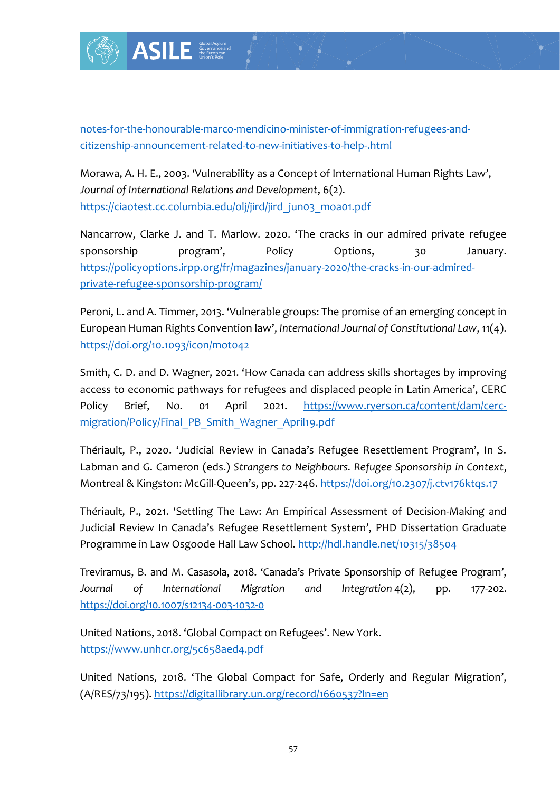

[notes-for-the-honourable-marco-mendicino-minister-of-immigration-refugees-and](https://www.canada.ca/en/immigration-refugees-citizenship/news/2021/07/speaking-notes-for-the-honourable-marco-mendicino-minister-of-immigration-refugees-and-citizenship-announcement-related-to-new-initiatives-to-help-.html)[citizenship-announcement-related-to-new-initiatives-to-help-.html](https://www.canada.ca/en/immigration-refugees-citizenship/news/2021/07/speaking-notes-for-the-honourable-marco-mendicino-minister-of-immigration-refugees-and-citizenship-announcement-related-to-new-initiatives-to-help-.html)

Morawa, A. H. E., 2003. 'Vulnerability as a Concept of International Human Rights Law', *Journal of International Relations and Development*, 6(2). [https://ciaotest.cc.columbia.edu/olj/jird/jird\\_jun03\\_moa01.pdf](https://ciaotest.cc.columbia.edu/olj/jird/jird_jun03_moa01.pdf)

Nancarrow, Clarke J. and T. Marlow. 2020. 'The cracks in our admired private refugee sponsorship program', Policy Options, 30 January. [https://policyoptions.irpp.org/fr/magazines/january-2020/the-cracks-in-our-admired](https://policyoptions.irpp.org/fr/magazines/january-2020/the-cracks-in-our-admired-private-refugee-sponsorship-program/)[private-refugee-sponsorship-program/](https://policyoptions.irpp.org/fr/magazines/january-2020/the-cracks-in-our-admired-private-refugee-sponsorship-program/)

Peroni, L. and A. Timmer, 2013. 'Vulnerable groups: The promise of an emerging concept in European Human Rights Convention law', *International Journal of Constitutional Law*, 11(4). <https://doi.org/10.1093/icon/mot042>

Smith, C. D. and D. Wagner, 2021. 'How Canada can address skills shortages by improving access to economic pathways for refugees and displaced people in Latin America', CERC Policy Brief, No. 01 April 2021. [https://www.ryerson.ca/content/dam/cerc](https://www.ryerson.ca/content/dam/cerc-migration/Policy/Final_PB_Smith_Wagner_April19.pdf)[migration/Policy/Final\\_PB\\_Smith\\_Wagner\\_April19.pdf](https://www.ryerson.ca/content/dam/cerc-migration/Policy/Final_PB_Smith_Wagner_April19.pdf)

Thériault, P., 2020. 'Judicial Review in Canada's Refugee Resettlement Program', In S. Labman and G. Cameron (eds.) *Strangers to Neighbours. Refugee Sponsorship in Context*, Montreal & Kingston: McGill-Queen's, pp. 227-246[. https://doi.org/10.2307/j.ctv176ktqs.17](https://doi.org/10.2307/j.ctv176ktqs.17)

Thériault, P., 2021. 'Settling The Law: An Empirical Assessment of Decision-Making and Judicial Review In Canada's Refugee Resettlement System', PHD Dissertation Graduate Programme in Law Osgoode Hall Law School. <http://hdl.handle.net/10315/38504>

Treviramus, B. and M. Casasola, 2018. 'Canada's Private Sponsorship of Refugee Program', *Journal of International Migration and Integration* 4(2), pp. 177-202. <https://doi.org/10.1007/s12134-003-1032-0>

United Nations, 2018. 'Global Compact on Refugees'. New York. <https://www.unhcr.org/5c658aed4.pdf>

United Nations, 2018. 'The Global Compact for Safe, Orderly and Regular Migration', (A/RES/73/195).<https://digitallibrary.un.org/record/1660537?ln=en>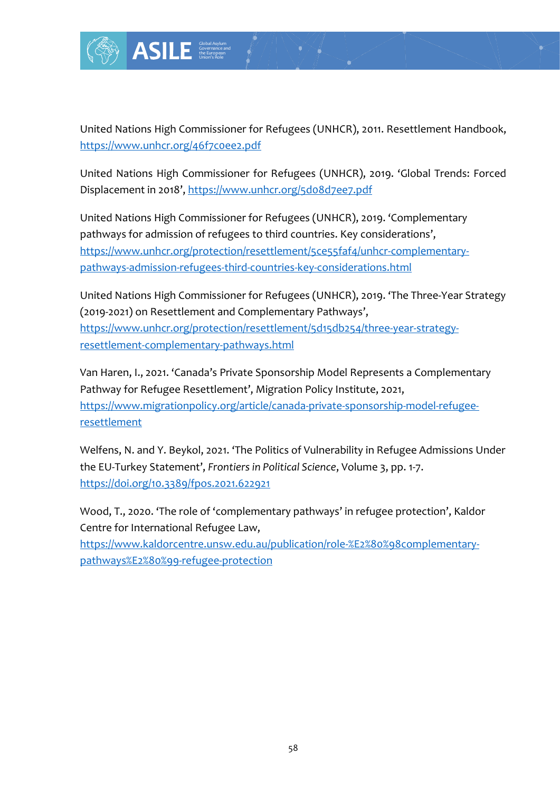

Governance and the European Union's Role

United Nations High Commissioner for Refugees (UNHCR), 2011. Resettlement Handbook, <https://www.unhcr.org/46f7c0ee2.pdf>

United Nations High Commissioner for Refugees (UNHCR), 2019. 'Global Trends: Forced Displacement in 2018', <https://www.unhcr.org/5d08d7ee7.pdf>

France Controllery<br>
France Controllery<br>
France Controllery<br>
France Controllery<br>
France Controllery<br>
France Controllery<br>
France Controllery<br>
France Controllery<br>
France Controllery<br>
France Controllery<br>
France Controllery<br>
Fr United Nations High Commissioner for Refugees (UNHCR), 2019. 'Complementary pathways for admission of refugees to third countries. Key considerations', [https://www.unhcr.org/protection/resettlement/5ce55faf4/unhcr-complementary](https://www.unhcr.org/protection/resettlement/5ce55faf4/unhcr-complementary-pathways-admission-refugees-third-countries-key-considerations.html)[pathways-admission-refugees-third-countries-key-considerations.html](https://www.unhcr.org/protection/resettlement/5ce55faf4/unhcr-complementary-pathways-admission-refugees-third-countries-key-considerations.html)

United Nations High Commissioner for Refugees (UNHCR), 2019. 'The Three-Year Strategy (2019-2021) on Resettlement and Complementary Pathways', [https://www.unhcr.org/protection/resettlement/5d15db254/three-year-strategy](https://www.unhcr.org/protection/resettlement/5d15db254/three-year-strategy-resettlement-complementary-pathways.html)[resettlement-complementary-pathways.html](https://www.unhcr.org/protection/resettlement/5d15db254/three-year-strategy-resettlement-complementary-pathways.html)

Van Haren, I., 2021. 'Canada's Private Sponsorship Model Represents a Complementary Pathway for Refugee Resettlement', Migration Policy Institute, 2021, [https://www.migrationpolicy.org/article/canada-private-sponsorship-model-refugee](https://www.migrationpolicy.org/article/canada-private-sponsorship-model-refugee-resettlement)[resettlement](https://www.migrationpolicy.org/article/canada-private-sponsorship-model-refugee-resettlement)

Welfens, N. and Y. Beykol, 2021. 'The Politics of Vulnerability in Refugee Admissions Under the EU-Turkey Statement', *Frontiers in Political Science*, Volume 3, pp. 1-7. <https://doi.org/10.3389/fpos.2021.622921>

Wood, T., 2020. 'The role of 'complementary pathways' in refugee protection', Kaldor Centre for International Refugee Law,

[https://www.kaldorcentre.unsw.edu.au/publication/role-%E2%80%98complementary](https://www.kaldorcentre.unsw.edu.au/publication/role-%E2%80%98complementary-pathways%E2%80%99-refugee-protection)[pathways%E2%80%99-refugee-protection](https://www.kaldorcentre.unsw.edu.au/publication/role-%E2%80%98complementary-pathways%E2%80%99-refugee-protection)